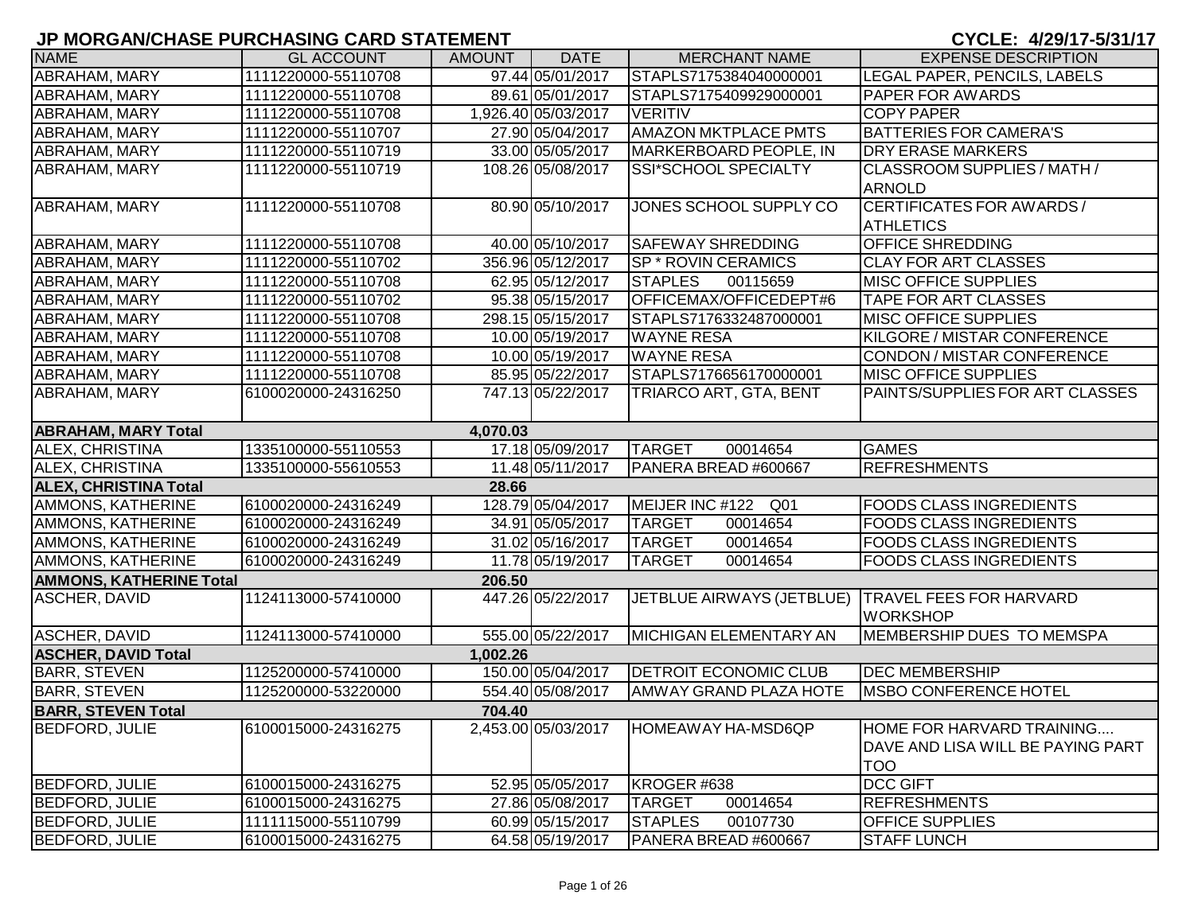| <b>NAME</b>                    | <b>GL ACCOUNT</b>   | AMOUNT   | <b>DATE</b>         | <b>MERCHANT NAME</b>                                | <b>EXPENSE DESCRIPTION</b>         |
|--------------------------------|---------------------|----------|---------------------|-----------------------------------------------------|------------------------------------|
| ABRAHAM, MARY                  | 1111220000-55110708 |          | 97.44 05/01/2017    | STAPLS7175384040000001                              | LEGAL PAPER, PENCILS, LABELS       |
| ABRAHAM, MARY                  | 1111220000-55110708 |          | 89.61 05/01/2017    | STAPLS7175409929000001                              | <b>PAPER FOR AWARDS</b>            |
| ABRAHAM, MARY                  | 1111220000-55110708 |          | 1,926.40 05/03/2017 | <b>VERITIV</b>                                      | <b>COPY PAPER</b>                  |
| ABRAHAM, MARY                  | 1111220000-55110707 |          | 27.90 05/04/2017    | <b>AMAZON MKTPLACE PMTS</b>                         | <b>BATTERIES FOR CAMERA'S</b>      |
| ABRAHAM, MARY                  | 1111220000-55110719 |          | 33.00 05/05/2017    | MARKERBOARD PEOPLE, IN                              | <b>DRY ERASE MARKERS</b>           |
| ABRAHAM, MARY                  | 1111220000-55110719 |          | 108.26 05/08/2017   | SSI*SCHOOL SPECIALTY                                | CLASSROOM SUPPLIES / MATH /        |
|                                |                     |          |                     |                                                     | <b>ARNOLD</b>                      |
| ABRAHAM, MARY                  | 1111220000-55110708 |          | 80.90 05/10/2017    | JONES SCHOOL SUPPLY CO                              | CERTIFICATES FOR AWARDS /          |
|                                |                     |          |                     |                                                     | <b>ATHLETICS</b>                   |
| ABRAHAM, MARY                  | 1111220000-55110708 |          | 40.00 05/10/2017    | <b>SAFEWAY SHREDDING</b>                            | <b>OFFICE SHREDDING</b>            |
| ABRAHAM, MARY                  | 1111220000-55110702 |          | 356.96 05/12/2017   | <b>SP * ROVIN CERAMICS</b>                          | <b>CLAY FOR ART CLASSES</b>        |
| ABRAHAM, MARY                  | 1111220000-55110708 |          | 62.95 05/12/2017    | <b>STAPLES</b><br>00115659                          | <b>MISC OFFICE SUPPLIES</b>        |
| ABRAHAM, MARY                  | 1111220000-55110702 |          | 95.38 05/15/2017    | OFFICEMAX/OFFICEDEPT#6                              | <b>TAPE FOR ART CLASSES</b>        |
| ABRAHAM, MARY                  | 1111220000-55110708 |          | 298.15 05/15/2017   | STAPLS7176332487000001                              | <b>MISC OFFICE SUPPLIES</b>        |
| ABRAHAM, MARY                  | 1111220000-55110708 |          | 10.00 05/19/2017    | <b>WAYNE RESA</b>                                   | KILGORE / MISTAR CONFERENCE        |
| ABRAHAM, MARY                  | 1111220000-55110708 |          | 10.00 05/19/2017    | <b>WAYNE RESA</b>                                   | CONDON / MISTAR CONFERENCE         |
| ABRAHAM, MARY                  | 1111220000-55110708 |          | 85.95 05/22/2017    | STAPLS7176656170000001                              | <b>MISC OFFICE SUPPLIES</b>        |
| ABRAHAM, MARY                  | 6100020000-24316250 |          | 747.13 05/22/2017   | TRIARCO ART, GTA, BENT                              | PAINTS/SUPPLIES FOR ART CLASSES    |
|                                |                     |          |                     |                                                     |                                    |
| <b>ABRAHAM, MARY Total</b>     |                     | 4,070.03 |                     |                                                     |                                    |
| ALEX, CHRISTINA                | 1335100000-55110553 |          | 17.18 05/09/2017    | <b>TARGET</b><br>00014654                           | <b>GAMES</b>                       |
| ALEX, CHRISTINA                | 1335100000-55610553 |          | 11.48 05/11/2017    | PANERA BREAD #600667                                | <b>REFRESHMENTS</b>                |
| <b>ALEX, CHRISTINA Total</b>   |                     | 28.66    |                     |                                                     |                                    |
| AMMONS, KATHERINE              | 6100020000-24316249 |          | 128.79 05/04/2017   | MEIJER INC #122 Q01                                 | <b>FOODS CLASS INGREDIENTS</b>     |
| AMMONS, KATHERINE              | 6100020000-24316249 |          | 34.91 05/05/2017    | <b>TARGET</b><br>00014654                           | <b>FOODS CLASS INGREDIENTS</b>     |
| AMMONS, KATHERINE              | 6100020000-24316249 |          | 31.02 05/16/2017    | <b>TARGET</b><br>00014654                           | <b>FOODS CLASS INGREDIENTS</b>     |
| AMMONS, KATHERINE              | 6100020000-24316249 |          | 11.78 05/19/2017    | <b>TARGET</b><br>00014654                           | <b>FOODS CLASS INGREDIENTS</b>     |
| <b>AMMONS, KATHERINE Total</b> |                     | 206.50   |                     |                                                     |                                    |
| <b>ASCHER, DAVID</b>           | 1124113000-57410000 |          | 447.26 05/22/2017   | JETBLUE AIRWAYS (JETBLUE)   TRAVEL FEES FOR HARVARD |                                    |
|                                |                     |          |                     |                                                     | <b>WORKSHOP</b>                    |
| ASCHER, DAVID                  | 1124113000-57410000 |          | 555.00 05/22/2017   | MICHIGAN ELEMENTARY AN                              | <b>IMEMBERSHIP DUES TO MEMSPA</b>  |
| <b>ASCHER, DAVID Total</b>     |                     | 1,002.26 |                     |                                                     |                                    |
| <b>BARR, STEVEN</b>            | 1125200000-57410000 |          | 150.00 05/04/2017   | <b>DETROIT ECONOMIC CLUB</b>                        | <b>DEC MEMBERSHIP</b>              |
| <b>BARR, STEVEN</b>            | 1125200000-53220000 |          | 554.40 05/08/2017   | AMWAY GRAND PLAZA HOTE                              | <b>IMSBO CONFERENCE HOTEL</b>      |
| <b>BARR, STEVEN Total</b>      |                     | 704.40   |                     |                                                     |                                    |
| <b>BEDFORD, JULIE</b>          | 6100015000-24316275 |          | 2,453.00 05/03/2017 | HOMEAWAY HA-MSD6QP                                  | HOME FOR HARVARD TRAINING          |
|                                |                     |          |                     |                                                     | IDAVE AND LISA WILL BE PAYING PART |
|                                |                     |          |                     |                                                     | <b>TOO</b>                         |
| <b>BEDFORD, JULIE</b>          | 6100015000-24316275 |          | 52.95 05/05/2017    | KROGER#638                                          | <b>DCC GIFT</b>                    |
| <b>BEDFORD, JULIE</b>          | 6100015000-24316275 |          | 27.86 05/08/2017    | <b>TARGET</b><br>00014654                           | <b>REFRESHMENTS</b>                |
| <b>BEDFORD, JULIE</b>          | 1111115000-55110799 |          | 60.99 05/15/2017    | <b>STAPLES</b><br>00107730                          | <b>OFFICE SUPPLIES</b>             |
| <b>BEDFORD, JULIE</b>          | 6100015000-24316275 |          | 64.58 05/19/2017    | PANERA BREAD #600667                                | <b>STAFF LUNCH</b>                 |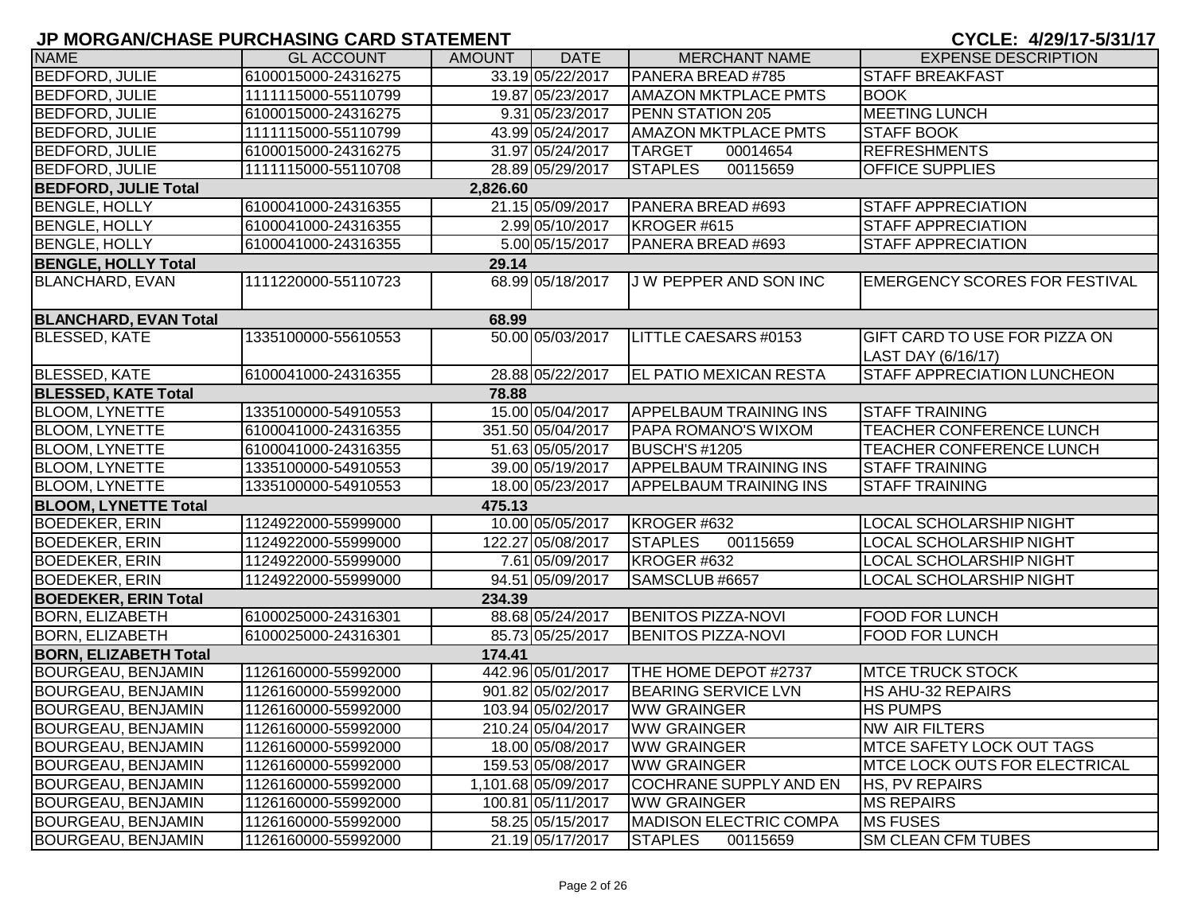| <b>NAME</b>                  | <b>GL ACCOUNT</b>   | <b>AMOUNT</b> | <b>DATE</b>         | <b>MERCHANT NAME</b>          | <b>EXPENSE DESCRIPTION</b>                                 |
|------------------------------|---------------------|---------------|---------------------|-------------------------------|------------------------------------------------------------|
| <b>BEDFORD, JULIE</b>        | 6100015000-24316275 |               | 33.19 05/22/2017    | PANERA BREAD #785             | <b>STAFF BREAKFAST</b>                                     |
| <b>BEDFORD, JULIE</b>        | 1111115000-55110799 |               | 19.87 05/23/2017    | <b>AMAZON MKTPLACE PMTS</b>   | <b>BOOK</b>                                                |
| <b>BEDFORD, JULIE</b>        | 6100015000-24316275 |               | 9.31 05/23/2017     | <b>PENN STATION 205</b>       | <b>MEETING LUNCH</b>                                       |
| <b>BEDFORD, JULIE</b>        | 1111115000-55110799 |               | 43.99 05/24/2017    | <b>AMAZON MKTPLACE PMTS</b>   | <b>STAFF BOOK</b>                                          |
| <b>BEDFORD, JULIE</b>        | 6100015000-24316275 |               | 31.97 05/24/2017    | <b>TARGET</b><br>00014654     | <b>REFRESHMENTS</b>                                        |
| <b>BEDFORD, JULIE</b>        | 1111115000-55110708 |               | 28.89 05/29/2017    | <b>STAPLES</b><br>00115659    | <b>OFFICE SUPPLIES</b>                                     |
| <b>BEDFORD, JULIE Total</b>  |                     | 2,826.60      |                     |                               |                                                            |
| <b>BENGLE, HOLLY</b>         | 6100041000-24316355 |               | 21.15 05/09/2017    | PANERA BREAD #693             | <b>STAFF APPRECIATION</b>                                  |
| <b>BENGLE, HOLLY</b>         | 6100041000-24316355 |               | 2.99 05/10/2017     | KROGER #615                   | <b>STAFF APPRECIATION</b>                                  |
| <b>BENGLE, HOLLY</b>         | 6100041000-24316355 |               | 5.00 05/15/2017     | PANERA BREAD #693             | <b>STAFF APPRECIATION</b>                                  |
| <b>BENGLE, HOLLY Total</b>   |                     | 29.14         |                     |                               |                                                            |
| <b>BLANCHARD, EVAN</b>       | 1111220000-55110723 |               | 68.99 05/18/2017    | J W PEPPER AND SON INC        | <b>EMERGENCY SCORES FOR FESTIVAL</b>                       |
| <b>BLANCHARD, EVAN Total</b> |                     | 68.99         |                     |                               |                                                            |
| <b>BLESSED, KATE</b>         | 1335100000-55610553 |               | 50.00 05/03/2017    | LITTLE CAESARS #0153          | <b>GIFT CARD TO USE FOR PIZZA ON</b><br>LAST DAY (6/16/17) |
| <b>BLESSED, KATE</b>         | 6100041000-24316355 |               | 28.88 05/22/2017    | <b>EL PATIO MEXICAN RESTA</b> | STAFF APPRECIATION LUNCHEON                                |
| <b>BLESSED, KATE Total</b>   |                     | 78.88         |                     |                               |                                                            |
| <b>BLOOM, LYNETTE</b>        | 1335100000-54910553 |               | 15.00 05/04/2017    | <b>APPELBAUM TRAINING INS</b> | <b>STAFF TRAINING</b>                                      |
| <b>BLOOM, LYNETTE</b>        | 6100041000-24316355 |               | 351.50 05/04/2017   | <b>PAPA ROMANO'S WIXOM</b>    | TEACHER CONFERENCE LUNCH                                   |
| <b>BLOOM, LYNETTE</b>        | 6100041000-24316355 |               | 51.63 05/05/2017    | <b>BUSCH'S #1205</b>          | TEACHER CONFERENCE LUNCH                                   |
| <b>BLOOM, LYNETTE</b>        | 1335100000-54910553 |               | 39.00 05/19/2017    | <b>APPELBAUM TRAINING INS</b> | <b>STAFF TRAINING</b>                                      |
| <b>BLOOM, LYNETTE</b>        | 1335100000-54910553 |               | 18.00 05/23/2017    | <b>APPELBAUM TRAINING INS</b> | <b>STAFF TRAINING</b>                                      |
| <b>BLOOM, LYNETTE Total</b>  |                     | 475.13        |                     |                               |                                                            |
| <b>BOEDEKER, ERIN</b>        | 1124922000-55999000 |               | 10.00 05/05/2017    | KROGER #632                   | LOCAL SCHOLARSHIP NIGHT                                    |
| <b>BOEDEKER, ERIN</b>        | 1124922000-55999000 |               | 122.27 05/08/2017   | <b>STAPLES</b><br>00115659    | LOCAL SCHOLARSHIP NIGHT                                    |
| <b>BOEDEKER, ERIN</b>        | 1124922000-55999000 |               | 7.61 05/09/2017     | KROGER #632                   | LOCAL SCHOLARSHIP NIGHT                                    |
| <b>BOEDEKER, ERIN</b>        | 1124922000-55999000 |               | 94.51 05/09/2017    | SAMSCLUB #6657                | LOCAL SCHOLARSHIP NIGHT                                    |
| <b>BOEDEKER, ERIN Total</b>  |                     | 234.39        |                     |                               |                                                            |
| <b>BORN, ELIZABETH</b>       | 6100025000-24316301 |               | 88.68 05/24/2017    | <b>BENITOS PIZZA-NOVI</b>     | <b>FOOD FOR LUNCH</b>                                      |
| <b>BORN, ELIZABETH</b>       | 6100025000-24316301 |               | 85.73 05/25/2017    | <b>BENITOS PIZZA-NOVI</b>     | <b>FOOD FOR LUNCH</b>                                      |
| <b>BORN, ELIZABETH Total</b> |                     | 174.41        |                     |                               |                                                            |
| BOURGEAU, BENJAMIN           | 1126160000-55992000 |               | 442.96 05/01/2017   | THE HOME DEPOT #2737          | <b>MTCE TRUCK STOCK</b>                                    |
| <b>BOURGEAU, BENJAMIN</b>    | 1126160000-55992000 |               | 901.82 05/02/2017   | <b>BEARING SERVICE LVN</b>    | <b>HS AHU-32 REPAIRS</b>                                   |
| <b>BOURGEAU, BENJAMIN</b>    | 1126160000-55992000 |               | 103.94 05/02/2017   | <b>WW GRAINGER</b>            | <b>HS PUMPS</b>                                            |
| <b>BOURGEAU, BENJAMIN</b>    | 1126160000-55992000 |               | 210.24 05/04/2017   | <b>WW GRAINGER</b>            | <b>NW AIR FILTERS</b>                                      |
| BOURGEAU, BENJAMIN           | 1126160000-55992000 |               | 18.00 05/08/2017    | <b>WW GRAINGER</b>            | <b>MTCE SAFETY LOCK OUT TAGS</b>                           |
| BOURGEAU, BENJAMIN           | 1126160000-55992000 |               | 159.53 05/08/2017   | <b>WW GRAINGER</b>            | <b>MTCE LOCK OUTS FOR ELECTRICAL</b>                       |
| BOURGEAU, BENJAMIN           | 1126160000-55992000 |               | 1,101.68 05/09/2017 | COCHRANE SUPPLY AND EN        | <b>HS, PV REPAIRS</b>                                      |
| BOURGEAU, BENJAMIN           | 1126160000-55992000 |               | 100.81 05/11/2017   | <b>WW GRAINGER</b>            | <b>MS REPAIRS</b>                                          |
| BOURGEAU, BENJAMIN           | 1126160000-55992000 |               | 58.25 05/15/2017    | <b>MADISON ELECTRIC COMPA</b> | <b>MS FUSES</b>                                            |
| <b>BOURGEAU, BENJAMIN</b>    | 1126160000-55992000 |               | 21.19 05/17/2017    | <b>STAPLES</b><br>00115659    | <b>SM CLEAN CFM TUBES</b>                                  |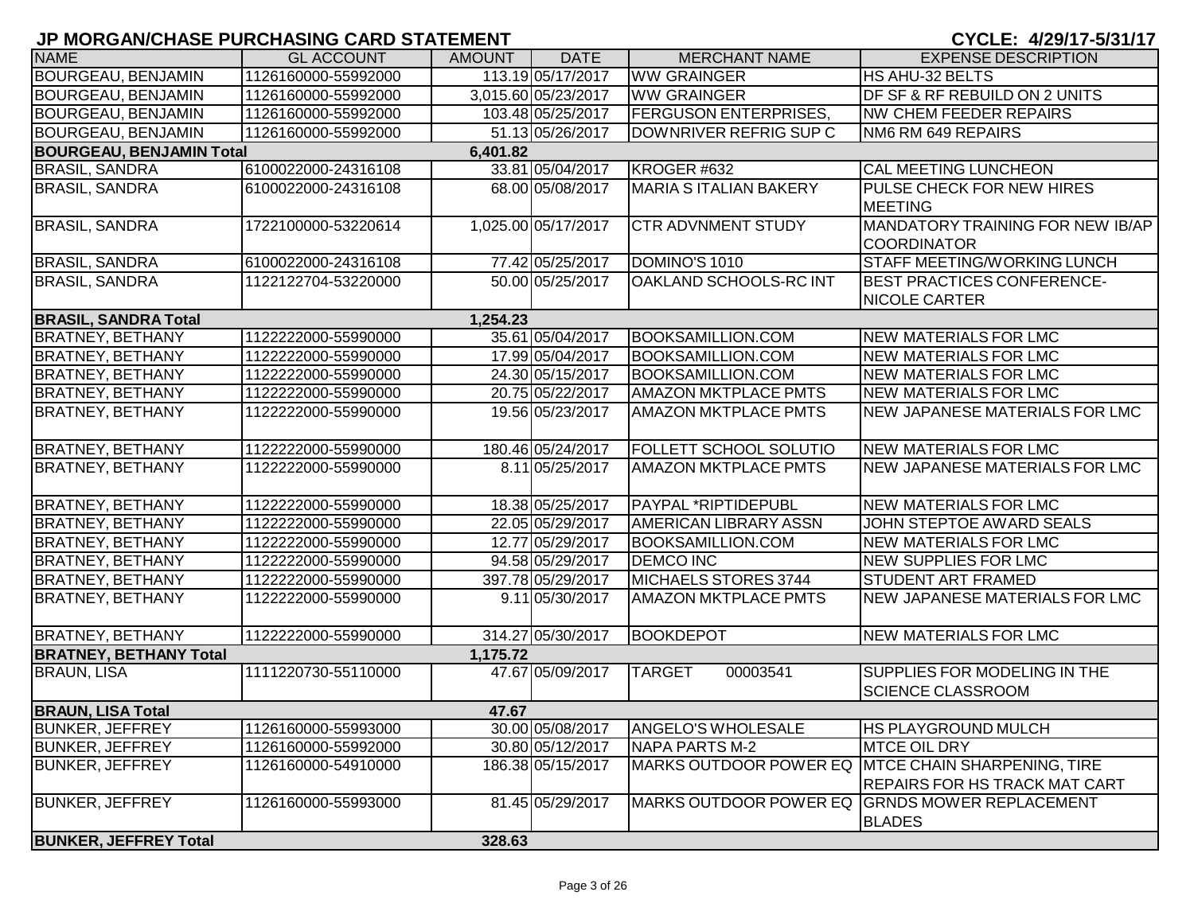| <b>NAME</b>                     | <b>GL ACCOUNT</b>   | AMOUNT I | <b>DATE</b>         | <b>MERCHANT NAME</b>          | <b>EXPENSE DESCRIPTION</b>                                          |
|---------------------------------|---------------------|----------|---------------------|-------------------------------|---------------------------------------------------------------------|
| <b>BOURGEAU, BENJAMIN</b>       | 1126160000-55992000 |          | 113.19 05/17/2017   | <b>WW GRAINGER</b>            | HS AHU-32 BELTS                                                     |
| <b>BOURGEAU, BENJAMIN</b>       | 1126160000-55992000 |          | 3,015.60 05/23/2017 | <b>WW GRAINGER</b>            | DF SF & RF REBUILD ON 2 UNITS                                       |
| <b>BOURGEAU, BENJAMIN</b>       | 1126160000-55992000 |          | 103.48 05/25/2017   | <b>FERGUSON ENTERPRISES,</b>  | <b>NW CHEM FEEDER REPAIRS</b>                                       |
| <b>BOURGEAU, BENJAMIN</b>       | 1126160000-55992000 |          | 51.13 05/26/2017    | DOWNRIVER REFRIG SUP C        | NM6 RM 649 REPAIRS                                                  |
| <b>BOURGEAU, BENJAMIN Total</b> |                     | 6,401.82 |                     |                               |                                                                     |
| <b>BRASIL, SANDRA</b>           | 6100022000-24316108 |          | 33.81 05/04/2017    | KROGER #632                   | CAL MEETING LUNCHEON                                                |
| <b>BRASIL, SANDRA</b>           | 6100022000-24316108 |          | 68.00 05/08/2017    | <b>MARIA S ITALIAN BAKERY</b> | PULSE CHECK FOR NEW HIRES<br><b>MEETING</b>                         |
| <b>BRASIL, SANDRA</b>           | 1722100000-53220614 |          | 1,025.00 05/17/2017 | <b>CTR ADVNMENT STUDY</b>     | MANDATORY TRAINING FOR NEW IB/AP<br><b>COORDINATOR</b>              |
| <b>BRASIL, SANDRA</b>           | 6100022000-24316108 |          | 77.42 05/25/2017    | DOMINO'S 1010                 | <b>STAFF MEETING/WORKING LUNCH</b>                                  |
| <b>BRASIL, SANDRA</b>           | 1122122704-53220000 |          | 50.00 05/25/2017    | OAKLAND SCHOOLS-RC INT        | <b>BEST PRACTICES CONFERENCE-</b><br><b>NICOLE CARTER</b>           |
| <b>BRASIL, SANDRA Total</b>     |                     | 1,254.23 |                     |                               |                                                                     |
| <b>BRATNEY, BETHANY</b>         | 1122222000-55990000 |          | 35.61 05/04/2017    | <b>BOOKSAMILLION.COM</b>      | <b>NEW MATERIALS FOR LMC</b>                                        |
| <b>BRATNEY, BETHANY</b>         | 1122222000-55990000 |          | 17.99 05/04/2017    | <b>BOOKSAMILLION.COM</b>      | <b>NEW MATERIALS FOR LMC</b>                                        |
| <b>BRATNEY, BETHANY</b>         | 1122222000-55990000 |          | 24.30 05/15/2017    | <b>BOOKSAMILLION.COM</b>      | <b>NEW MATERIALS FOR LMC</b>                                        |
| <b>BRATNEY, BETHANY</b>         | 1122222000-55990000 |          | 20.75 05/22/2017    | <b>AMAZON MKTPLACE PMTS</b>   | <b>NEW MATERIALS FOR LMC</b>                                        |
| <b>BRATNEY, BETHANY</b>         | 1122222000-55990000 |          | 19.56 05/23/2017    | <b>AMAZON MKTPLACE PMTS</b>   | NEW JAPANESE MATERIALS FOR LMC                                      |
| <b>BRATNEY, BETHANY</b>         | 1122222000-55990000 |          | 180.46 05/24/2017   | <b>FOLLETT SCHOOL SOLUTIO</b> | <b>NEW MATERIALS FOR LMC</b>                                        |
| <b>BRATNEY, BETHANY</b>         | 1122222000-55990000 |          | 8.11 05/25/2017     | <b>AMAZON MKTPLACE PMTS</b>   | <b>NEW JAPANESE MATERIALS FOR LMC</b>                               |
| <b>BRATNEY, BETHANY</b>         | 1122222000-55990000 |          | 18.38 05/25/2017    | PAYPAL *RIPTIDEPUBL           | <b>NEW MATERIALS FOR LMC</b>                                        |
| <b>BRATNEY, BETHANY</b>         | 1122222000-55990000 |          | 22.05 05/29/2017    | <b>AMERICAN LIBRARY ASSN</b>  | JOHN STEPTOE AWARD SEALS                                            |
| <b>BRATNEY, BETHANY</b>         | 1122222000-55990000 |          | 12.77 05/29/2017    | <b>BOOKSAMILLION.COM</b>      | <b>NEW MATERIALS FOR LMC</b>                                        |
| <b>BRATNEY, BETHANY</b>         | 1122222000-55990000 |          | 94.58 05/29/2017    | <b>DEMCO INC</b>              | <b>NEW SUPPLIES FOR LMC</b>                                         |
| <b>BRATNEY, BETHANY</b>         | 1122222000-55990000 |          | 397.78 05/29/2017   | MICHAELS STORES 3744          | STUDENT ART FRAMED                                                  |
| <b>BRATNEY, BETHANY</b>         | 1122222000-55990000 |          | 9.11 05/30/2017     | <b>AMAZON MKTPLACE PMTS</b>   | NEW JAPANESE MATERIALS FOR LMC                                      |
| <b>BRATNEY, BETHANY</b>         | 1122222000-55990000 |          | 314.27 05/30/2017   | <b>BOOKDEPOT</b>              | <b>NEW MATERIALS FOR LMC</b>                                        |
| <b>BRATNEY, BETHANY Total</b>   |                     | 1,175.72 |                     |                               |                                                                     |
| <b>BRAUN, LISA</b>              | 1111220730-55110000 |          | 47.67 05/09/2017    | <b>TARGET</b><br>00003541     | SUPPLIES FOR MODELING IN THE<br><b>SCIENCE CLASSROOM</b>            |
| <b>BRAUN, LISA Total</b>        |                     | 47.67    |                     |                               |                                                                     |
| <b>BUNKER, JEFFREY</b>          | 1126160000-55993000 |          | 30.00 05/08/2017    | <b>ANGELO'S WHOLESALE</b>     | <b>HS PLAYGROUND MULCH</b>                                          |
| <b>BUNKER, JEFFREY</b>          | 1126160000-55992000 |          | 30.80 05/12/2017    | NAPA PARTS M-2                | <b>MTCE OIL DRY</b>                                                 |
| <b>BUNKER, JEFFREY</b>          | 1126160000-54910000 |          | 186.38 05/15/2017   | MARKS OUTDOOR POWER EQ        | <b>MTCE CHAIN SHARPENING, TIRE</b><br>REPAIRS FOR HS TRACK MAT CART |
| <b>BUNKER, JEFFREY</b>          | 1126160000-55993000 |          | 81.45 05/29/2017    |                               | MARKS OUTDOOR POWER EQ GRNDS MOWER REPLACEMENT<br><b>BLADES</b>     |
| <b>BUNKER, JEFFREY Total</b>    |                     | 328.63   |                     |                               |                                                                     |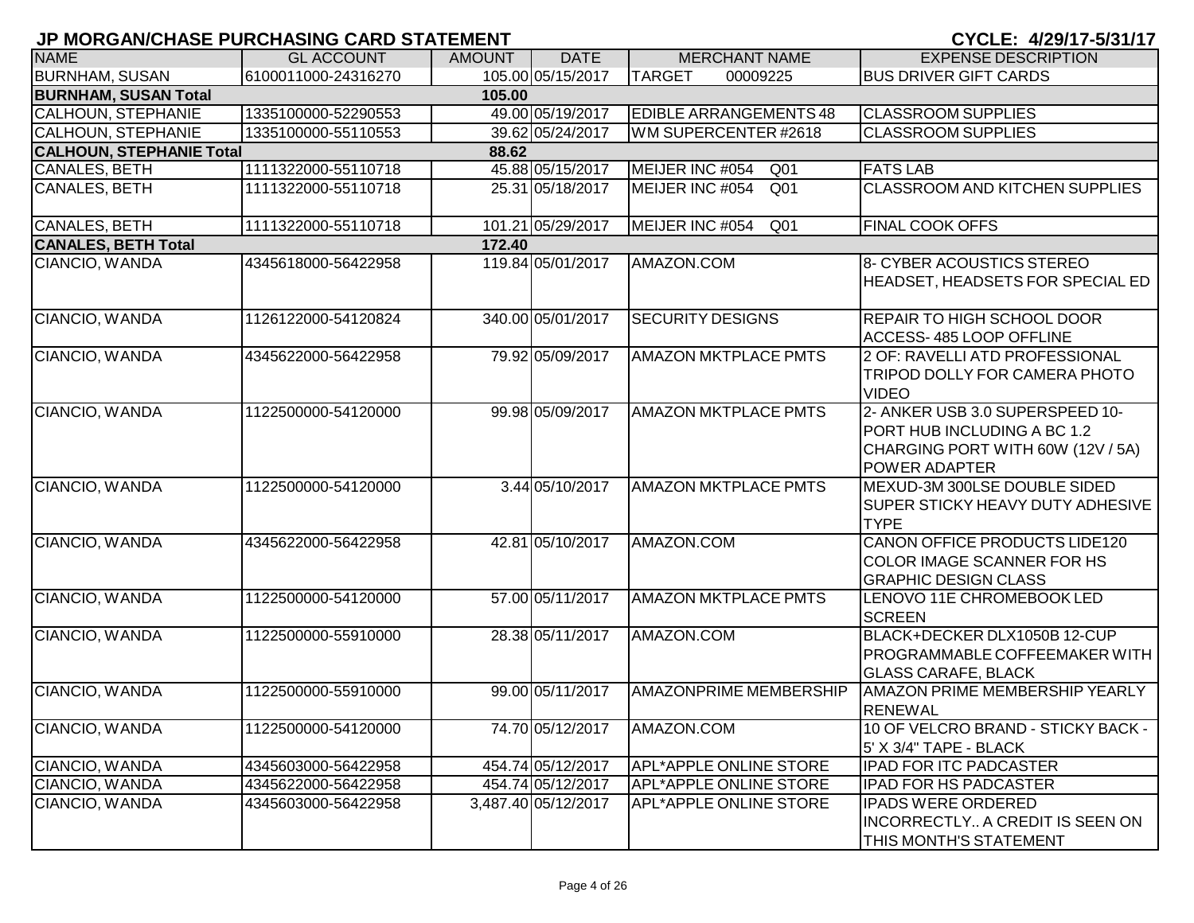|  |  | CYCLE: 4/29/17-5/31/17 |  |  |  |  |  |
|--|--|------------------------|--|--|--|--|--|
|--|--|------------------------|--|--|--|--|--|

| <b>NAME</b>                     | <b>GL ACCOUNT</b>   | <b>AMOUNT</b> | <b>DATE</b>         | <b>MERCHANT NAME</b>               | <b>EXPENSE DESCRIPTION</b>                                                                                                  |
|---------------------------------|---------------------|---------------|---------------------|------------------------------------|-----------------------------------------------------------------------------------------------------------------------------|
| <b>BURNHAM, SUSAN</b>           | 6100011000-24316270 |               | 105.00 05/15/2017   | <b>TARGET</b><br>00009225          | <b>BUS DRIVER GIFT CARDS</b>                                                                                                |
| <b>BURNHAM, SUSAN Total</b>     |                     | 105.00        |                     |                                    |                                                                                                                             |
| <b>CALHOUN, STEPHANIE</b>       | 1335100000-52290553 |               | 49.00 05/19/2017    | <b>EDIBLE ARRANGEMENTS 48</b>      | <b>CLASSROOM SUPPLIES</b>                                                                                                   |
| <b>CALHOUN, STEPHANIE</b>       | 1335100000-55110553 |               | 39.62 05/24/2017    | WM SUPERCENTER #2618               | <b>CLASSROOM SUPPLIES</b>                                                                                                   |
| <b>CALHOUN, STEPHANIE Total</b> |                     | 88.62         |                     |                                    |                                                                                                                             |
| <b>CANALES, BETH</b>            | 1111322000-55110718 |               | 45.88 05/15/2017    | MEIJER INC #054<br>Q <sub>01</sub> | <b>FATS LAB</b>                                                                                                             |
| <b>CANALES, BETH</b>            | 1111322000-55110718 |               | 25.31 05/18/2017    | MEIJER INC #054<br>Q <sub>01</sub> | <b>CLASSROOM AND KITCHEN SUPPLIES</b>                                                                                       |
| <b>CANALES, BETH</b>            | 1111322000-55110718 |               | 101.21 05/29/2017   | MEIJER INC #054<br>Q <sub>01</sub> | <b>FINAL COOK OFFS</b>                                                                                                      |
| <b>CANALES, BETH Total</b>      |                     | 172.40        |                     |                                    |                                                                                                                             |
| CIANCIO, WANDA                  | 4345618000-56422958 |               | 119.84 05/01/2017   | AMAZON.COM                         | 8- CYBER ACOUSTICS STEREO<br>HEADSET, HEADSETS FOR SPECIAL ED                                                               |
| CIANCIO, WANDA                  | 1126122000-54120824 |               | 340.00 05/01/2017   | <b>SECURITY DESIGNS</b>            | <b>REPAIR TO HIGH SCHOOL DOOR</b><br><b>ACCESS-485 LOOP OFFLINE</b>                                                         |
| CIANCIO, WANDA                  | 4345622000-56422958 |               | 79.92 05/09/2017    | <b>AMAZON MKTPLACE PMTS</b>        | 2 OF: RAVELLI ATD PROFESSIONAL<br>TRIPOD DOLLY FOR CAMERA PHOTO<br><b>VIDEO</b>                                             |
| CIANCIO, WANDA                  | 1122500000-54120000 |               | 99.98 05/09/2017    | <b>AMAZON MKTPLACE PMTS</b>        | 2- ANKER USB 3.0 SUPERSPEED 10-<br>PORT HUB INCLUDING A BC 1.2<br>CHARGING PORT WITH 60W (12V / 5A)<br><b>POWER ADAPTER</b> |
| CIANCIO, WANDA                  | 1122500000-54120000 |               | 3.44 05/10/2017     | <b>AMAZON MKTPLACE PMTS</b>        | MEXUD-3M 300LSE DOUBLE SIDED<br><b>SUPER STICKY HEAVY DUTY ADHESIVE</b><br><b>TYPE</b>                                      |
| CIANCIO, WANDA                  | 4345622000-56422958 |               | 42.81 05/10/2017    | AMAZON.COM                         | CANON OFFICE PRODUCTS LIDE120<br><b>COLOR IMAGE SCANNER FOR HS</b><br><b>GRAPHIC DESIGN CLASS</b>                           |
| CIANCIO, WANDA                  | 1122500000-54120000 |               | 57.00 05/11/2017    | <b>AMAZON MKTPLACE PMTS</b>        | LENOVO 11E CHROMEBOOK LED<br><b>SCREEN</b>                                                                                  |
| CIANCIO, WANDA                  | 1122500000-55910000 |               | 28.38 05/11/2017    | AMAZON.COM                         | BLACK+DECKER DLX1050B 12-CUP<br><b>PROGRAMMABLE COFFEEMAKER WITH</b><br><b>GLASS CARAFE, BLACK</b>                          |
| CIANCIO, WANDA                  | 1122500000-55910000 |               | 99.00 05/11/2017    | <b>AMAZONPRIME MEMBERSHIP</b>      | <b>AMAZON PRIME MEMBERSHIP YEARLY</b><br><b>RENEWAL</b>                                                                     |
| CIANCIO, WANDA                  | 1122500000-54120000 |               | 74.70 05/12/2017    | AMAZON.COM                         | 10 OF VELCRO BRAND - STICKY BACK -<br>5' X 3/4" TAPE - BLACK                                                                |
| CIANCIO, WANDA                  | 4345603000-56422958 |               | 454.74 05/12/2017   | <b>APL*APPLE ONLINE STORE</b>      | <b>IPAD FOR ITC PADCASTER</b>                                                                                               |
| CIANCIO, WANDA                  | 4345622000-56422958 |               | 454.74 05/12/2017   | <b>APL*APPLE ONLINE STORE</b>      | <b>IPAD FOR HS PADCASTER</b>                                                                                                |
| CIANCIO, WANDA                  | 4345603000-56422958 |               | 3,487.40 05/12/2017 | APL*APPLE ONLINE STORE             | <b>IPADS WERE ORDERED</b><br>INCORRECTLY A CREDIT IS SEEN ON<br>THIS MONTH'S STATEMENT                                      |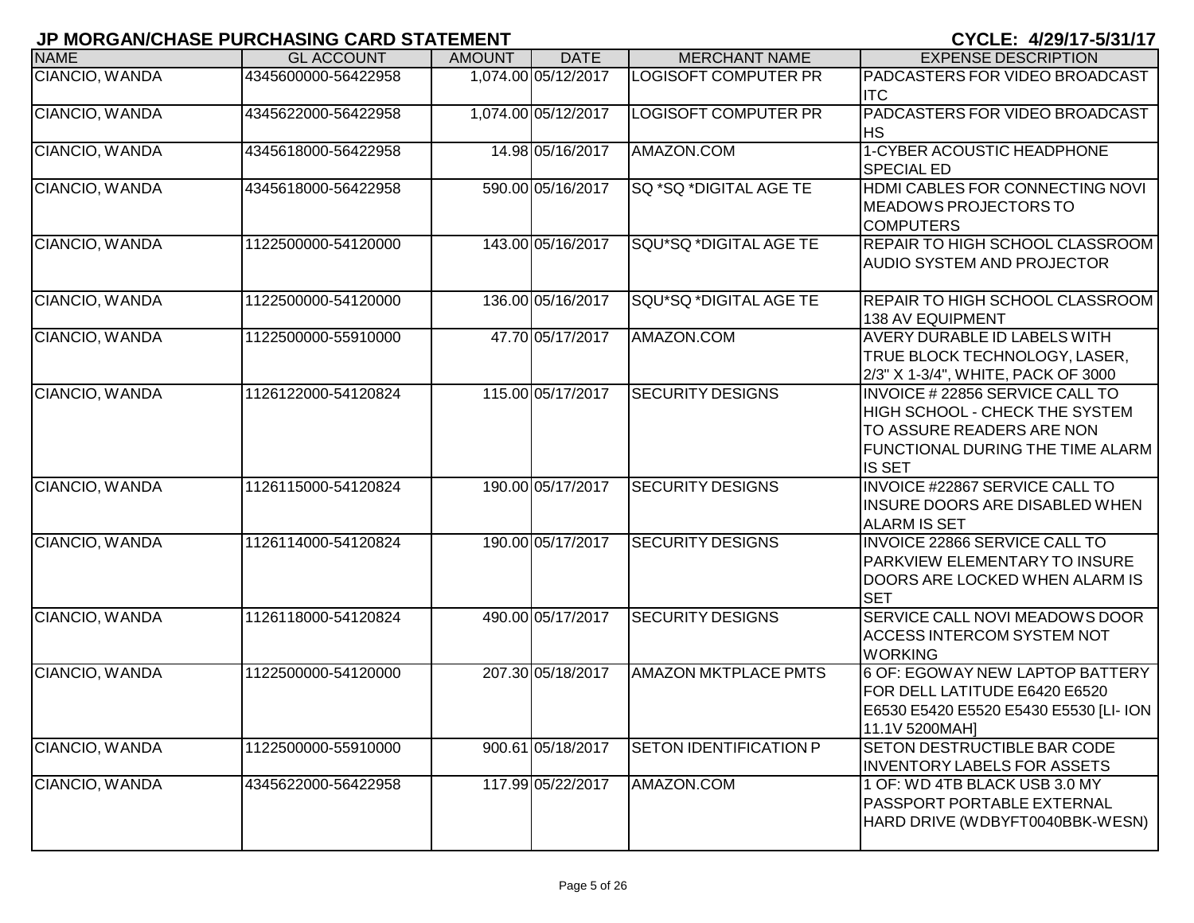|                       | JF MUKUAN/UNAJE FUKUNAJINU UAKU JTATEMENT |               |                     |                               | U I ULE. <i>41291 1 1 - 313 11 1 1</i>                                                                                                              |
|-----------------------|-------------------------------------------|---------------|---------------------|-------------------------------|-----------------------------------------------------------------------------------------------------------------------------------------------------|
| <b>NAME</b>           | <b>GL ACCOUNT</b>                         | <b>AMOUNT</b> | <b>DATE</b>         | <b>MERCHANT NAME</b>          | <b>EXPENSE DESCRIPTION</b>                                                                                                                          |
| CIANCIO, WANDA        | 4345600000-56422958                       |               | 1,074.00 05/12/2017 | <b>LOGISOFT COMPUTER PR</b>   | PADCASTERS FOR VIDEO BROADCAST<br><b>ITC</b>                                                                                                        |
| CIANCIO, WANDA        | 4345622000-56422958                       |               | 1,074.00 05/12/2017 | <b>LOGISOFT COMPUTER PR</b>   | PADCASTERS FOR VIDEO BROADCAST<br><b>HS</b>                                                                                                         |
| CIANCIO, WANDA        | 4345618000-56422958                       |               | 14.98 05/16/2017    | AMAZON.COM                    | 1-CYBER ACOUSTIC HEADPHONE<br><b>SPECIAL ED</b>                                                                                                     |
| CIANCIO, WANDA        | 4345618000-56422958                       |               | 590.00 05/16/2017   | <b>SQ *SQ *DIGITAL AGE TE</b> | HDMI CABLES FOR CONNECTING NOVI<br><b>MEADOWS PROJECTORS TO</b><br><b>COMPUTERS</b>                                                                 |
| CIANCIO, WANDA        | 1122500000-54120000                       |               | 143.00 05/16/2017   | SQU*SQ *DIGITAL AGE TE        | REPAIR TO HIGH SCHOOL CLASSROOM<br><b>AUDIO SYSTEM AND PROJECTOR</b>                                                                                |
| CIANCIO, WANDA        | 1122500000-54120000                       |               | 136.00 05/16/2017   | SQU*SQ *DIGITAL AGE TE        | REPAIR TO HIGH SCHOOL CLASSROOM<br>138 AV EQUIPMENT                                                                                                 |
| CIANCIO, WANDA        | 1122500000-55910000                       |               | 47.70 05/17/2017    | AMAZON.COM                    | AVERY DURABLE ID LABELS WITH<br>TRUE BLOCK TECHNOLOGY, LASER,<br>2/3" X 1-3/4", WHITE, PACK OF 3000                                                 |
| CIANCIO, WANDA        | 1126122000-54120824                       |               | 115.00 05/17/2017   | <b>SECURITY DESIGNS</b>       | INVOICE # 22856 SERVICE CALL TO<br>HIGH SCHOOL - CHECK THE SYSTEM<br>TO ASSURE READERS ARE NON<br>FUNCTIONAL DURING THE TIME ALARM<br><b>IS SET</b> |
| CIANCIO, WANDA        | 1126115000-54120824                       |               | 190.00 05/17/2017   | <b>SECURITY DESIGNS</b>       | INVOICE #22867 SERVICE CALL TO<br><b>INSURE DOORS ARE DISABLED WHEN</b><br><b>ALARM IS SET</b>                                                      |
| CIANCIO, WANDA        | 1126114000-54120824                       |               | 190.00 05/17/2017   | <b>SECURITY DESIGNS</b>       | INVOICE 22866 SERVICE CALL TO<br>PARKVIEW ELEMENTARY TO INSURE<br>DOORS ARE LOCKED WHEN ALARM IS<br><b>SET</b>                                      |
| CIANCIO, WANDA        | 1126118000-54120824                       |               | 490.00 05/17/2017   | <b>SECURITY DESIGNS</b>       | SERVICE CALL NOVI MEADOWS DOOR<br><b>ACCESS INTERCOM SYSTEM NOT</b><br><b>WORKING</b>                                                               |
| <b>CIANCIO, WANDA</b> | 1122500000-54120000                       |               | 207.30 05/18/2017   | <b>AMAZON MKTPLACE PMTS</b>   | 6 OF: EGOWAY NEW LAPTOP BATTERY<br>FOR DELL LATITUDE E6420 E6520<br>E6530 E5420 E5520 E5430 E5530 [LI- ION<br>11.1V 5200MAH]                        |
| CIANCIO, WANDA        | 1122500000-55910000                       |               | 900.61 05/18/2017   | <b>SETON IDENTIFICATION P</b> | SETON DESTRUCTIBLE BAR CODE<br><b>INVENTORY LABELS FOR ASSETS</b>                                                                                   |
| CIANCIO, WANDA        | 4345622000-56422958                       |               | 117.99 05/22/2017   | AMAZON.COM                    | 1 OF: WD 4TB BLACK USB 3.0 MY<br>PASSPORT PORTABLE EXTERNAL<br>HARD DRIVE (WDBYFT0040BBK-WESN)                                                      |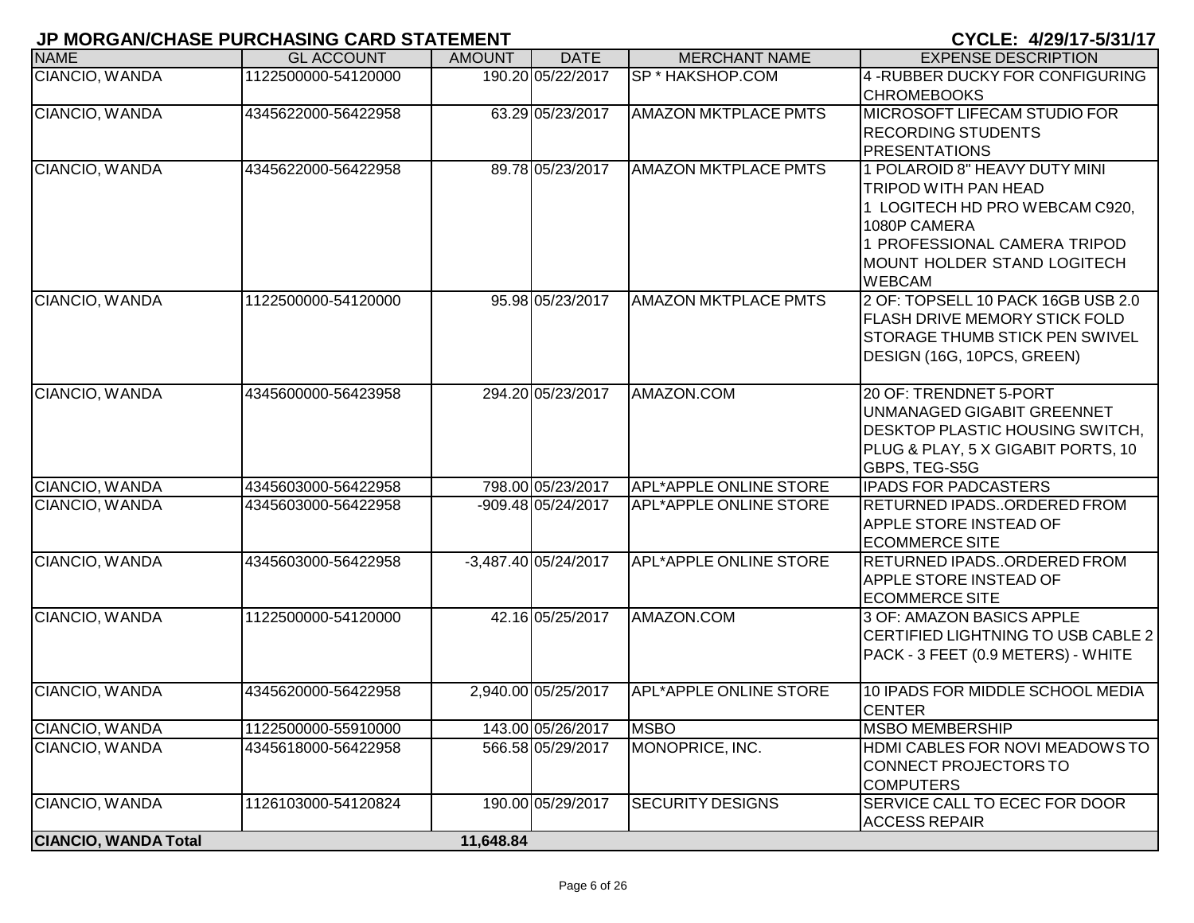|                             | <b>UNIVERSITY OF LAST LANGERY OF LANGER AND A LATERIES I</b> |               |                        |                               | V I VLL. ₩∠JI I I "JIJ II I I                                                                                                                                                                  |
|-----------------------------|--------------------------------------------------------------|---------------|------------------------|-------------------------------|------------------------------------------------------------------------------------------------------------------------------------------------------------------------------------------------|
| <b>NAME</b>                 | <b>GL ACCOUNT</b>                                            | <b>AMOUNT</b> | <b>DATE</b>            | <b>MERCHANT NAME</b>          | <b>EXPENSE DESCRIPTION</b>                                                                                                                                                                     |
| CIANCIO, WANDA              | 1122500000-54120000                                          |               | 190.20 05/22/2017      | <b>SP * HAKSHOP.COM</b>       | 4-RUBBER DUCKY FOR CONFIGURING<br><b>CHROMEBOOKS</b>                                                                                                                                           |
| CIANCIO, WANDA              | 4345622000-56422958                                          |               | 63.29 05/23/2017       | <b>AMAZON MKTPLACE PMTS</b>   | MICROSOFT LIFECAM STUDIO FOR<br><b>RECORDING STUDENTS</b><br><b>PRESENTATIONS</b>                                                                                                              |
| CIANCIO, WANDA              | 4345622000-56422958                                          |               | 89.78 05/23/2017       | <b>AMAZON MKTPLACE PMTS</b>   | 1 POLAROID 8" HEAVY DUTY MINI<br><b>TRIPOD WITH PAN HEAD</b><br>1 LOGITECH HD PRO WEBCAM C920,<br>1080P CAMERA<br>1 PROFESSIONAL CAMERA TRIPOD<br>MOUNT HOLDER STAND LOGITECH<br><b>WEBCAM</b> |
| CIANCIO, WANDA              | 1122500000-54120000                                          |               | 95.98 05/23/2017       | <b>AMAZON MKTPLACE PMTS</b>   | 2 OF: TOPSELL 10 PACK 16GB USB 2.0<br><b>FLASH DRIVE MEMORY STICK FOLD</b><br><b>STORAGE THUMB STICK PEN SWIVEL</b><br>DESIGN (16G, 10PCS, GREEN)                                              |
| CIANCIO, WANDA              | 4345600000-56423958                                          |               | 294.20 05/23/2017      | AMAZON.COM                    | 20 OF: TRENDNET 5-PORT<br>UNMANAGED GIGABIT GREENNET<br><b>DESKTOP PLASTIC HOUSING SWITCH,</b><br>PLUG & PLAY, 5 X GIGABIT PORTS, 10<br>GBPS, TEG-S5G                                          |
| CIANCIO, WANDA              | 4345603000-56422958                                          |               | 798.00 05/23/2017      | APL*APPLE ONLINE STORE        | <b>IPADS FOR PADCASTERS</b>                                                                                                                                                                    |
| CIANCIO, WANDA              | 4345603000-56422958                                          |               | -909.48 05/24/2017     | <b>APL*APPLE ONLINE STORE</b> | RETURNED IPADSORDERED FROM<br><b>APPLE STORE INSTEAD OF</b><br><b>ECOMMERCE SITE</b>                                                                                                           |
| CIANCIO, WANDA              | 4345603000-56422958                                          |               | $-3,487.40$ 05/24/2017 | <b>APL*APPLE ONLINE STORE</b> | RETURNED IPADSORDERED FROM<br><b>APPLE STORE INSTEAD OF</b><br><b>ECOMMERCE SITE</b>                                                                                                           |
| CIANCIO, WANDA              | 1122500000-54120000                                          |               | 42.16 05/25/2017       | AMAZON.COM                    | 3 OF: AMAZON BASICS APPLE<br>CERTIFIED LIGHTNING TO USB CABLE 2<br>PACK - 3 FEET (0.9 METERS) - WHITE                                                                                          |
| CIANCIO, WANDA              | 4345620000-56422958                                          |               | 2,940.00 05/25/2017    | <b>APL*APPLE ONLINE STORE</b> | 10 IPADS FOR MIDDLE SCHOOL MEDIA<br><b>CENTER</b>                                                                                                                                              |
| CIANCIO, WANDA              | 1122500000-55910000                                          |               | 143.00 05/26/2017      | <b>MSBO</b>                   | <b>MSBO MEMBERSHIP</b>                                                                                                                                                                         |
| CIANCIO, WANDA              | 4345618000-56422958                                          |               | 566.58 05/29/2017      | MONOPRICE, INC.               | HDMI CABLES FOR NOVI MEADOWS TO<br>CONNECT PROJECTORS TO<br><b>COMPUTERS</b>                                                                                                                   |
| CIANCIO, WANDA              | 1126103000-54120824                                          |               | 190.00 05/29/2017      | <b>SECURITY DESIGNS</b>       | SERVICE CALL TO ECEC FOR DOOR<br><b>ACCESS REPAIR</b>                                                                                                                                          |
| <b>CIANCIO, WANDA Total</b> |                                                              | 11,648.84     |                        |                               |                                                                                                                                                                                                |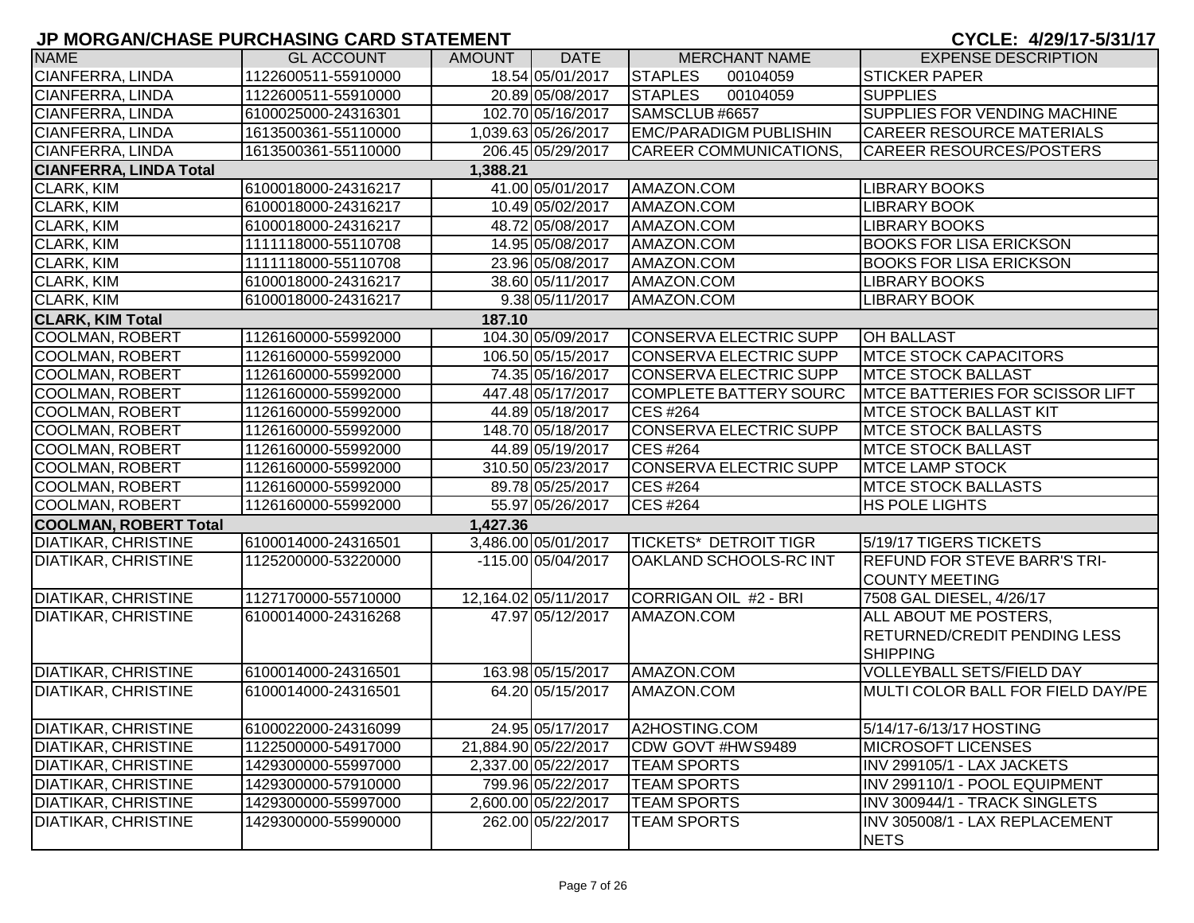| <b>NAME</b>                   | <b>GL ACCOUNT</b>   | <b>AMOUNT</b> | <b>DATE</b>          | <b>MERCHANT NAME</b>          | <b>EXPENSE DESCRIPTION</b>                                   |
|-------------------------------|---------------------|---------------|----------------------|-------------------------------|--------------------------------------------------------------|
| CIANFERRA, LINDA              | 1122600511-55910000 |               | 18.54 05/01/2017     | <b>STAPLES</b><br>00104059    | <b>STICKER PAPER</b>                                         |
| CIANFERRA, LINDA              | 1122600511-55910000 |               | 20.89 05/08/2017     | <b>STAPLES</b><br>00104059    | <b>SUPPLIES</b>                                              |
| <b>CIANFERRA, LINDA</b>       | 6100025000-24316301 |               | 102.70 05/16/2017    | SAMSCLUB #6657                | <b>SUPPLIES FOR VENDING MACHINE</b>                          |
| CIANFERRA, LINDA              | 1613500361-55110000 |               | 1,039.63 05/26/2017  | <b>EMC/PARADIGM PUBLISHIN</b> | CAREER RESOURCE MATERIALS                                    |
| <b>CIANFERRA, LINDA</b>       | 1613500361-55110000 |               | 206.45 05/29/2017    | CAREER COMMUNICATIONS,        | <b>CAREER RESOURCES/POSTERS</b>                              |
| <b>CIANFERRA, LINDA Total</b> |                     | 1,388.21      |                      |                               |                                                              |
| <b>CLARK, KIM</b>             | 6100018000-24316217 |               | 41.00 05/01/2017     | AMAZON.COM                    | LIBRARY BOOKS                                                |
| CLARK, KIM                    | 6100018000-24316217 |               | 10.49 05/02/2017     | AMAZON.COM                    | LIBRARY BOOK                                                 |
| CLARK, KIM                    | 6100018000-24316217 |               | 48.72 05/08/2017     | AMAZON.COM                    | <b>LIBRARY BOOKS</b>                                         |
| CLARK, KIM                    | 1111118000-55110708 |               | 14.95 05/08/2017     | AMAZON.COM                    | <b>BOOKS FOR LISA ERICKSON</b>                               |
| <b>CLARK, KIM</b>             | 1111118000-55110708 |               | 23.96 05/08/2017     | AMAZON.COM                    | <b>BOOKS FOR LISA ERICKSON</b>                               |
| CLARK, KIM                    | 6100018000-24316217 |               | 38.60 05/11/2017     | AMAZON.COM                    | <b>LIBRARY BOOKS</b>                                         |
| <b>CLARK, KIM</b>             | 6100018000-24316217 |               | 9.38 05/11/2017      | AMAZON.COM                    | <b>LIBRARY BOOK</b>                                          |
| <b>CLARK, KIM Total</b>       |                     | 187.10        |                      |                               |                                                              |
| <b>COOLMAN, ROBERT</b>        | 1126160000-55992000 |               | 104.30 05/09/2017    | <b>CONSERVA ELECTRIC SUPP</b> | <b>OH BALLAST</b>                                            |
| COOLMAN, ROBERT               | 1126160000-55992000 |               | 106.50 05/15/2017    | <b>CONSERVA ELECTRIC SUPP</b> | <b>IMTCE STOCK CAPACITORS</b>                                |
| <b>COOLMAN, ROBERT</b>        | 1126160000-55992000 |               | 74.35 05/16/2017     | <b>CONSERVA ELECTRIC SUPP</b> | <b>MTCE STOCK BALLAST</b>                                    |
| <b>COOLMAN, ROBERT</b>        | 1126160000-55992000 |               | 447.48 05/17/2017    | <b>COMPLETE BATTERY SOURC</b> | <b>IMTCE BATTERIES FOR SCISSOR LIFT</b>                      |
| <b>COOLMAN, ROBERT</b>        | 1126160000-55992000 |               | 44.89 05/18/2017     | <b>CES #264</b>               | MTCE STOCK BALLAST KIT                                       |
| <b>COOLMAN, ROBERT</b>        | 1126160000-55992000 |               | 148.70 05/18/2017    | <b>CONSERVA ELECTRIC SUPP</b> | <b>IMTCE STOCK BALLASTS</b>                                  |
| <b>COOLMAN, ROBERT</b>        | 1126160000-55992000 |               | 44.89 05/19/2017     | <b>CES #264</b>               | <b>MTCE STOCK BALLAST</b>                                    |
| <b>COOLMAN, ROBERT</b>        | 1126160000-55992000 |               | 310.50 05/23/2017    | <b>CONSERVA ELECTRIC SUPP</b> | <b>MTCE LAMP STOCK</b>                                       |
| COOLMAN, ROBERT               | 1126160000-55992000 |               | 89.78 05/25/2017     | <b>CES #264</b>               | <b>IMTCE STOCK BALLASTS</b>                                  |
| COOLMAN, ROBERT               | 1126160000-55992000 |               | 55.97 05/26/2017     | <b>CES #264</b>               | <b>HS POLE LIGHTS</b>                                        |
| <b>COOLMAN, ROBERT Total</b>  |                     | 1,427.36      |                      |                               |                                                              |
| <b>DIATIKAR, CHRISTINE</b>    | 6100014000-24316501 |               | 3,486.00 05/01/2017  | <b>TICKETS* DETROIT TIGR</b>  | 5/19/17 TIGERS TICKETS                                       |
| <b>DIATIKAR, CHRISTINE</b>    | 1125200000-53220000 |               | -115.00 05/04/2017   | OAKLAND SCHOOLS-RC INT        | <b>REFUND FOR STEVE BARR'S TRI-</b><br><b>COUNTY MEETING</b> |
| <b>DIATIKAR, CHRISTINE</b>    | 1127170000-55710000 |               | 12,164.02 05/11/2017 | CORRIGAN OIL #2 - BRI         | 7508 GAL DIESEL, 4/26/17                                     |
| <b>DIATIKAR, CHRISTINE</b>    | 6100014000-24316268 |               | 47.97 05/12/2017     | AMAZON.COM                    | ALL ABOUT ME POSTERS,                                        |
|                               |                     |               |                      |                               | <b>RETURNED/CREDIT PENDING LESS</b>                          |
|                               |                     |               |                      |                               | <b>SHIPPING</b>                                              |
| <b>DIATIKAR, CHRISTINE</b>    | 6100014000-24316501 |               | 163.98 05/15/2017    | AMAZON.COM                    | <b>VOLLEYBALL SETS/FIELD DAY</b>                             |
| <b>DIATIKAR, CHRISTINE</b>    | 6100014000-24316501 |               | 64.20 05/15/2017     | AMAZON.COM                    | MULTI COLOR BALL FOR FIELD DAY/PE                            |
|                               |                     |               |                      |                               |                                                              |
| <b>DIATIKAR, CHRISTINE</b>    | 6100022000-24316099 |               | 24.95 05/17/2017     | A2HOSTING.COM                 | 5/14/17-6/13/17 HOSTING                                      |
| DIATIKAR, CHRISTINE           | 1122500000-54917000 |               | 21,884.90 05/22/2017 | CDW GOVT #HWS9489             | <b>MICROSOFT LICENSES</b>                                    |
| <b>DIATIKAR, CHRISTINE</b>    | 1429300000-55997000 |               | 2,337.00 05/22/2017  | <b>TEAM SPORTS</b>            | INV 299105/1 - LAX JACKETS                                   |
| <b>DIATIKAR, CHRISTINE</b>    | 1429300000-57910000 |               | 799.96 05/22/2017    | <b>TEAM SPORTS</b>            | INV 299110/1 - POOL EQUIPMENT                                |
| <b>DIATIKAR, CHRISTINE</b>    | 1429300000-55997000 |               | 2,600.00 05/22/2017  | <b>TEAM SPORTS</b>            | INV 300944/1 - TRACK SINGLETS                                |
| DIATIKAR, CHRISTINE           | 1429300000-55990000 |               | 262.00 05/22/2017    | <b>TEAM SPORTS</b>            | INV 305008/1 - LAX REPLACEMENT                               |
|                               |                     |               |                      |                               | <b>NETS</b>                                                  |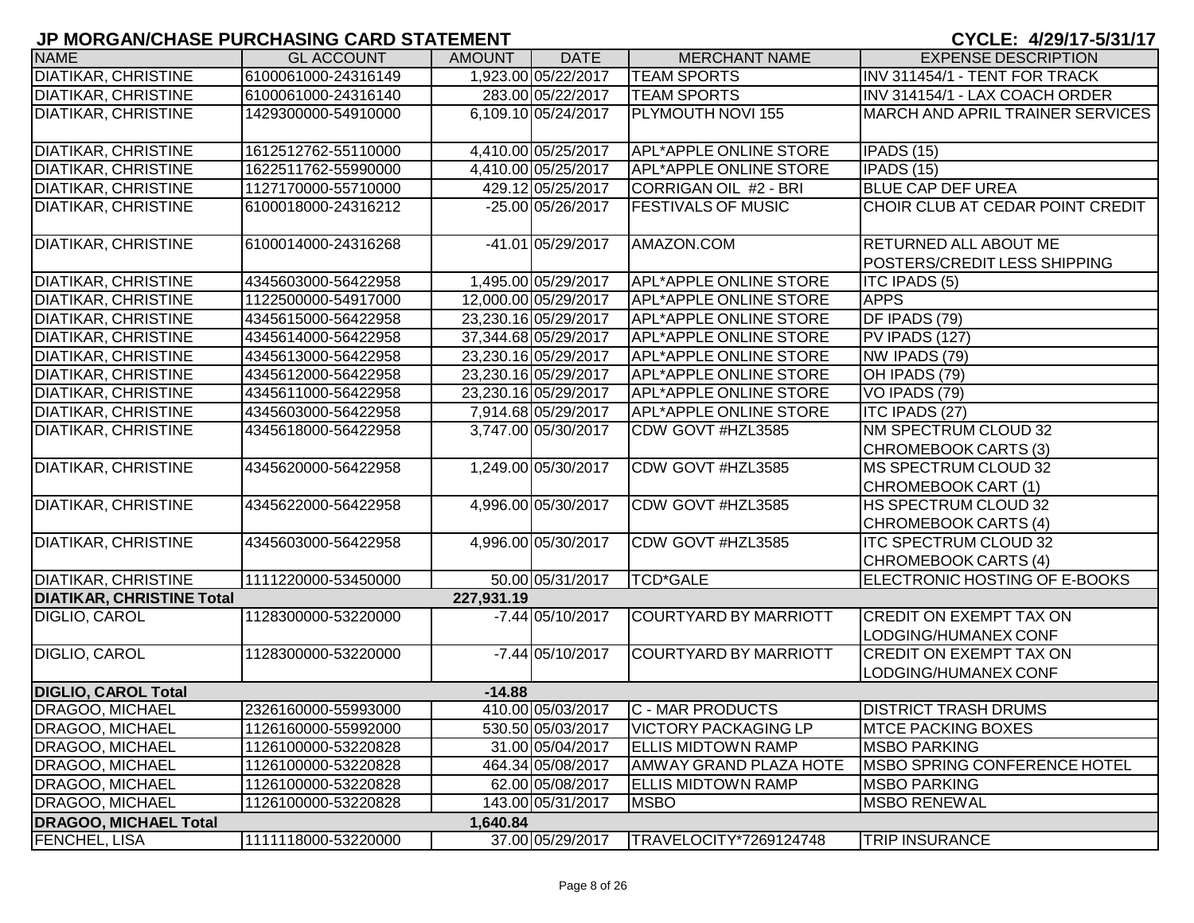| <b>NAME</b>                      | <b>GL ACCOUNT</b>   | <b>AMOUNT</b> | <b>DATE</b>          | <b>MERCHANT NAME</b>          | <b>EXPENSE DESCRIPTION</b>                                          |
|----------------------------------|---------------------|---------------|----------------------|-------------------------------|---------------------------------------------------------------------|
| <b>DIATIKAR, CHRISTINE</b>       | 6100061000-24316149 |               | 1,923.00 05/22/2017  | <b>TEAM SPORTS</b>            | INV 311454/1 - TENT FOR TRACK                                       |
| <b>DIATIKAR, CHRISTINE</b>       | 6100061000-24316140 |               | 283.00 05/22/2017    | <b>TEAM SPORTS</b>            | INV 314154/1 - LAX COACH ORDER                                      |
| <b>DIATIKAR, CHRISTINE</b>       | 1429300000-54910000 |               | 6,109.10 05/24/2017  | PLYMOUTH NOVI 155             | MARCH AND APRIL TRAINER SERVICES                                    |
| <b>DIATIKAR, CHRISTINE</b>       | 1612512762-55110000 |               | 4,410.00 05/25/2017  | <b>APL*APPLE ONLINE STORE</b> | IPADS(15)                                                           |
| <b>DIATIKAR, CHRISTINE</b>       | 1622511762-55990000 |               | 4,410.00 05/25/2017  | APL*APPLE ONLINE STORE        | IPADS (15)                                                          |
| <b>DIATIKAR, CHRISTINE</b>       | 1127170000-55710000 |               | 429.12 05/25/2017    | CORRIGAN OIL #2 - BRI         | <b>BLUE CAP DEF UREA</b>                                            |
| <b>DIATIKAR, CHRISTINE</b>       | 6100018000-24316212 |               | -25.00 05/26/2017    | <b>FESTIVALS OF MUSIC</b>     | CHOIR CLUB AT CEDAR POINT CREDIT                                    |
| <b>DIATIKAR, CHRISTINE</b>       | 6100014000-24316268 |               | -41.01 05/29/2017    | AMAZON.COM                    | <b>RETURNED ALL ABOUT ME</b><br><b>POSTERS/CREDIT LESS SHIPPING</b> |
| <b>DIATIKAR, CHRISTINE</b>       | 4345603000-56422958 |               | 1,495.00 05/29/2017  | <b>APL*APPLE ONLINE STORE</b> | <b>ITC IPADS (5)</b>                                                |
| <b>DIATIKAR, CHRISTINE</b>       | 1122500000-54917000 |               | 12,000.00 05/29/2017 | APL*APPLE ONLINE STORE        | <b>APPS</b>                                                         |
| <b>DIATIKAR, CHRISTINE</b>       | 4345615000-56422958 |               | 23,230.16 05/29/2017 | APL*APPLE ONLINE STORE        | DF IPADS (79)                                                       |
| DIATIKAR, CHRISTINE              | 4345614000-56422958 |               | 37,344.68 05/29/2017 | <b>APL*APPLE ONLINE STORE</b> | PV IPADS (127)                                                      |
| <b>DIATIKAR, CHRISTINE</b>       | 4345613000-56422958 |               | 23,230.16 05/29/2017 | <b>APL*APPLE ONLINE STORE</b> | NW IPADS (79)                                                       |
| DIATIKAR, CHRISTINE              | 4345612000-56422958 |               | 23,230.16 05/29/2017 | <b>APL*APPLE ONLINE STORE</b> | OH IPADS (79)                                                       |
| <b>DIATIKAR, CHRISTINE</b>       | 4345611000-56422958 |               | 23,230.16 05/29/2017 | <b>APL*APPLE ONLINE STORE</b> | VO IPADS (79)                                                       |
| <b>DIATIKAR, CHRISTINE</b>       | 4345603000-56422958 |               | 7,914.68 05/29/2017  | APL*APPLE ONLINE STORE        | <b>ITC IPADS (27)</b>                                               |
| <b>DIATIKAR, CHRISTINE</b>       | 4345618000-56422958 |               | 3,747.00 05/30/2017  | CDW GOVT #HZL3585             | NM SPECTRUM CLOUD 32<br>CHROMEBOOK CARTS (3)                        |
| <b>DIATIKAR, CHRISTINE</b>       | 4345620000-56422958 |               | 1,249.00 05/30/2017  | CDW GOVT #HZL3585             | <b>MS SPECTRUM CLOUD 32</b><br>CHROMEBOOK CART (1)                  |
| <b>DIATIKAR, CHRISTINE</b>       | 4345622000-56422958 |               | 4,996.00 05/30/2017  | CDW GOVT #HZL3585             | <b>HS SPECTRUM CLOUD 32</b><br>CHROMEBOOK CARTS (4)                 |
| <b>DIATIKAR, CHRISTINE</b>       | 4345603000-56422958 |               | 4,996.00 05/30/2017  | CDW GOVT #HZL3585             | <b>ITC SPECTRUM CLOUD 32</b><br>CHROMEBOOK CARTS (4)                |
| <b>DIATIKAR, CHRISTINE</b>       | 1111220000-53450000 |               | 50.00 05/31/2017     | <b>TCD*GALE</b>               | ELECTRONIC HOSTING OF E-BOOKS                                       |
| <b>DIATIKAR, CHRISTINE Total</b> |                     | 227,931.19    |                      |                               |                                                                     |
| DIGLIO, CAROL                    | 1128300000-53220000 |               | $-7.44$ 05/10/2017   | COURTYARD BY MARRIOTT         | <b>CREDIT ON EXEMPT TAX ON</b><br>LODGING/HUMANEX CONF              |
| DIGLIO, CAROL                    | 1128300000-53220000 |               | $-7.44$ 05/10/2017   | COURTYARD BY MARRIOTT         | <b>CREDIT ON EXEMPT TAX ON</b><br>LODGING/HUMANEX CONF              |
| <b>DIGLIO, CAROL Total</b>       |                     | $-14.88$      |                      |                               |                                                                     |
| <b>DRAGOO, MICHAEL</b>           | 2326160000-55993000 |               | 410.00 05/03/2017    | <b>C - MAR PRODUCTS</b>       | <b>DISTRICT TRASH DRUMS</b>                                         |
| <b>DRAGOO, MICHAEL</b>           | 1126160000-55992000 |               | 530.50 05/03/2017    | <b>VICTORY PACKAGING LP</b>   | <b>MTCE PACKING BOXES</b>                                           |
| <b>DRAGOO, MICHAEL</b>           | 1126100000-53220828 |               | 31.00 05/04/2017     | <b>ELLIS MIDTOWN RAMP</b>     | <b>MSBO PARKING</b>                                                 |
| <b>DRAGOO, MICHAEL</b>           | 1126100000-53220828 |               | 464.34 05/08/2017    | <b>AMWAY GRAND PLAZA HOTE</b> | <b>IMSBO SPRING CONFERENCE HOTEL</b>                                |
| DRAGOO, MICHAEL                  | 1126100000-53220828 |               | 62.00 05/08/2017     | <b>ELLIS MIDTOWN RAMP</b>     | <b>MSBO PARKING</b>                                                 |
| DRAGOO, MICHAEL                  | 1126100000-53220828 |               | 143.00 05/31/2017    | <b>MSBO</b>                   | <b>MSBO RENEWAL</b>                                                 |
| <b>DRAGOO, MICHAEL Total</b>     |                     | 1,640.84      |                      |                               |                                                                     |
| <b>FENCHEL, LISA</b>             | 1111118000-53220000 |               | 37.00 05/29/2017     | TRAVELOCITY*7269124748        | <b>TRIP INSURANCE</b>                                               |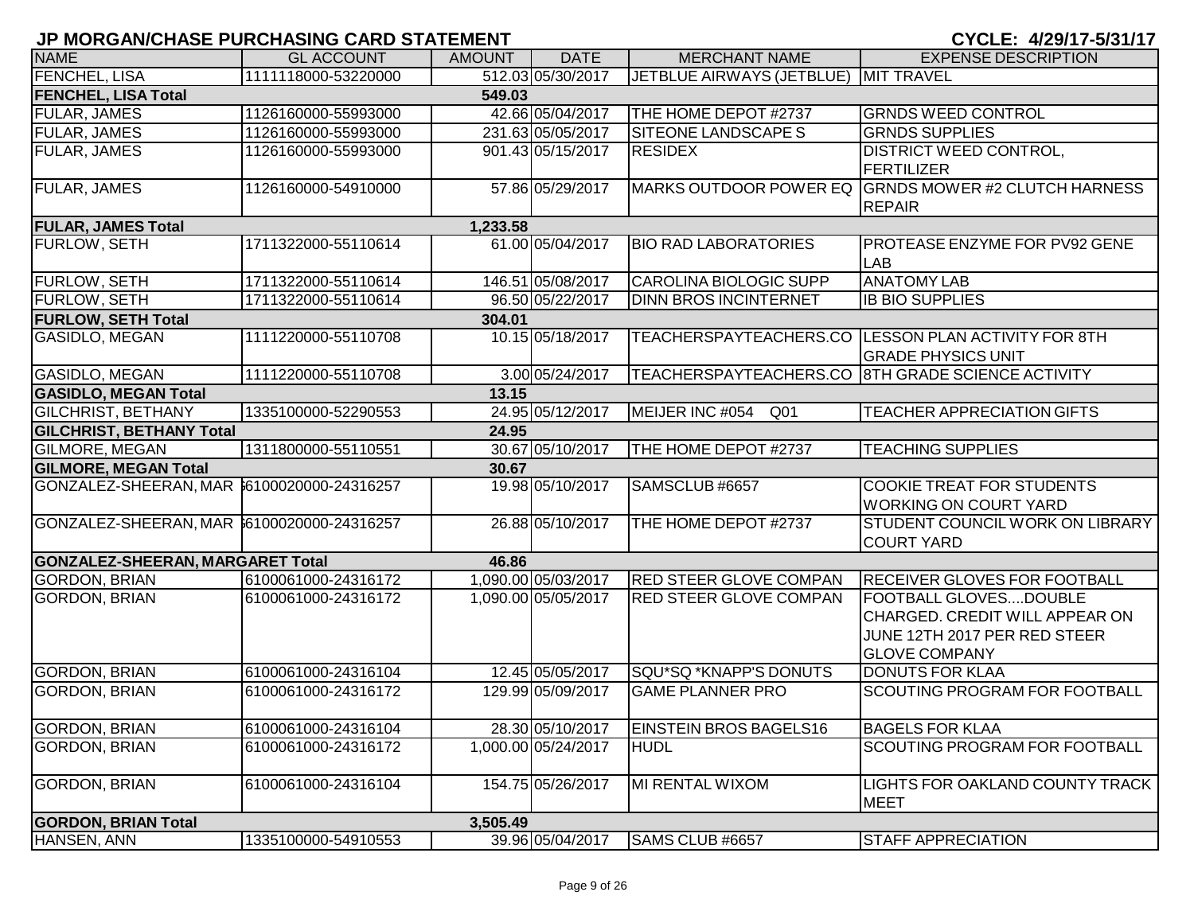| <b>NAME</b>                                 | <b>GL ACCOUNT</b>   | <b>AMOUNT</b> | <b>DATE</b>         | <b>MERCHANT NAME</b>                 | <b>EXPENSE DESCRIPTION</b>                                                                                             |
|---------------------------------------------|---------------------|---------------|---------------------|--------------------------------------|------------------------------------------------------------------------------------------------------------------------|
| FENCHEL, LISA                               | 1111118000-53220000 |               | 512.03 05/30/2017   | JETBLUE AIRWAYS (JETBLUE) MIT TRAVEL |                                                                                                                        |
| <b>FENCHEL, LISA Total</b>                  |                     | 549.03        |                     |                                      |                                                                                                                        |
| <b>FULAR, JAMES</b>                         | 1126160000-55993000 |               | 42.66 05/04/2017    | THE HOME DEPOT #2737                 | <b>GRNDS WEED CONTROL</b>                                                                                              |
| <b>FULAR, JAMES</b>                         | 1126160000-55993000 |               | 231.63 05/05/2017   | <b>SITEONE LANDSCAPE S</b>           | <b>GRNDS SUPPLIES</b>                                                                                                  |
| FULAR, JAMES                                | 1126160000-55993000 |               | 901.43 05/15/2017   | <b>RESIDEX</b>                       | <b>DISTRICT WEED CONTROL,</b>                                                                                          |
|                                             |                     |               |                     |                                      | FERTILIZER                                                                                                             |
| <b>FULAR, JAMES</b>                         | 1126160000-54910000 |               | 57.86 05/29/2017    |                                      | MARKS OUTDOOR POWER EQ GRNDS MOWER #2 CLUTCH HARNESS<br><b>REPAIR</b>                                                  |
| <b>FULAR, JAMES Total</b>                   |                     | 1,233.58      |                     |                                      |                                                                                                                        |
| <b>FURLOW, SETH</b>                         | 1711322000-55110614 |               | 61.00 05/04/2017    | <b>BIO RAD LABORATORIES</b>          | PROTEASE ENZYME FOR PV92 GENE<br><b>LAB</b>                                                                            |
| <b>FURLOW, SETH</b>                         | 1711322000-55110614 |               | 146.51 05/08/2017   | <b>CAROLINA BIOLOGIC SUPP</b>        | <b>ANATOMY LAB</b>                                                                                                     |
| <b>FURLOW, SETH</b>                         | 1711322000-55110614 |               | 96.50 05/22/2017    | <b>DINN BROS INCINTERNET</b>         | <b>IB BIO SUPPLIES</b>                                                                                                 |
| <b>FURLOW, SETH Total</b>                   |                     | 304.01        |                     |                                      |                                                                                                                        |
| <b>GASIDLO, MEGAN</b>                       | 1111220000-55110708 |               | 10.15 05/18/2017    |                                      | TEACHERSPAYTEACHERS.CO LESSON PLAN ACTIVITY FOR 8TH<br><b>GRADE PHYSICS UNIT</b>                                       |
| GASIDLO, MEGAN                              | 1111220000-55110708 |               | 3.00 05/24/2017     |                                      | TEACHERSPAYTEACHERS.CO 8TH GRADE SCIENCE ACTIVITY                                                                      |
| <b>GASIDLO, MEGAN Total</b>                 |                     | 13.15         |                     |                                      |                                                                                                                        |
| <b>GILCHRIST, BETHANY</b>                   | 1335100000-52290553 |               | 24.95 05/12/2017    | MEIJER INC #054<br>Q01               | <b>TEACHER APPRECIATION GIFTS</b>                                                                                      |
| <b>GILCHRIST, BETHANY Total</b>             |                     | 24.95         |                     |                                      |                                                                                                                        |
| GILMORE, MEGAN                              | 1311800000-55110551 |               | 30.67 05/10/2017    | THE HOME DEPOT #2737                 | <b>TEACHING SUPPLIES</b>                                                                                               |
| <b>GILMORE, MEGAN Total</b>                 |                     | 30.67         |                     |                                      |                                                                                                                        |
| GONZALEZ-SHEERAN, MAR \$6100020000-24316257 |                     |               | 19.98 05/10/2017    | SAMSCLUB #6657                       | COOKIE TREAT FOR STUDENTS<br><b>WORKING ON COURT YARD</b>                                                              |
| GONZALEZ-SHEERAN, MAR 6100020000-24316257   |                     |               | 26.88 05/10/2017    | THE HOME DEPOT #2737                 | STUDENT COUNCIL WORK ON LIBRARY<br><b>COURT YARD</b>                                                                   |
| <b>GONZALEZ-SHEERAN, MARGARET Total</b>     |                     | 46.86         |                     |                                      |                                                                                                                        |
| <b>GORDON, BRIAN</b>                        | 6100061000-24316172 |               | 1,090.00 05/03/2017 | <b>RED STEER GLOVE COMPAN</b>        | <b>RECEIVER GLOVES FOR FOOTBALL</b>                                                                                    |
| <b>GORDON, BRIAN</b>                        | 6100061000-24316172 |               | 1,090.00 05/05/2017 | <b>RED STEER GLOVE COMPAN</b>        | <b>FOOTBALL GLOVESDOUBLE</b><br>CHARGED. CREDIT WILL APPEAR ON<br>JUNE 12TH 2017 PER RED STEER<br><b>GLOVE COMPANY</b> |
| <b>GORDON, BRIAN</b>                        | 6100061000-24316104 |               | 12.45 05/05/2017    | SQU*SQ *KNAPP'S DONUTS               | <b>DONUTS FOR KLAA</b>                                                                                                 |
| <b>GORDON, BRIAN</b>                        | 6100061000-24316172 |               | 129.99 05/09/2017   | <b>GAME PLANNER PRO</b>              | SCOUTING PROGRAM FOR FOOTBALL                                                                                          |
| <b>GORDON, BRIAN</b>                        | 6100061000-24316104 |               | 28.30 05/10/2017    | <b>EINSTEIN BROS BAGELS16</b>        | <b>BAGELS FOR KLAA</b>                                                                                                 |
| <b>GORDON, BRIAN</b>                        | 6100061000-24316172 |               | 1,000.00 05/24/2017 | <b>HUDL</b>                          | SCOUTING PROGRAM FOR FOOTBALL                                                                                          |
| <b>GORDON, BRIAN</b>                        | 6100061000-24316104 |               | 154.75 05/26/2017   | <b>MI RENTAL WIXOM</b>               | LIGHTS FOR OAKLAND COUNTY TRACK<br><b>MEET</b>                                                                         |
| <b>GORDON, BRIAN Total</b>                  |                     | 3,505.49      |                     |                                      |                                                                                                                        |
| <b>HANSEN, ANN</b>                          | 1335100000-54910553 |               | 39.96 05/04/2017    | SAMS CLUB #6657                      | STAFF APPRECIATION                                                                                                     |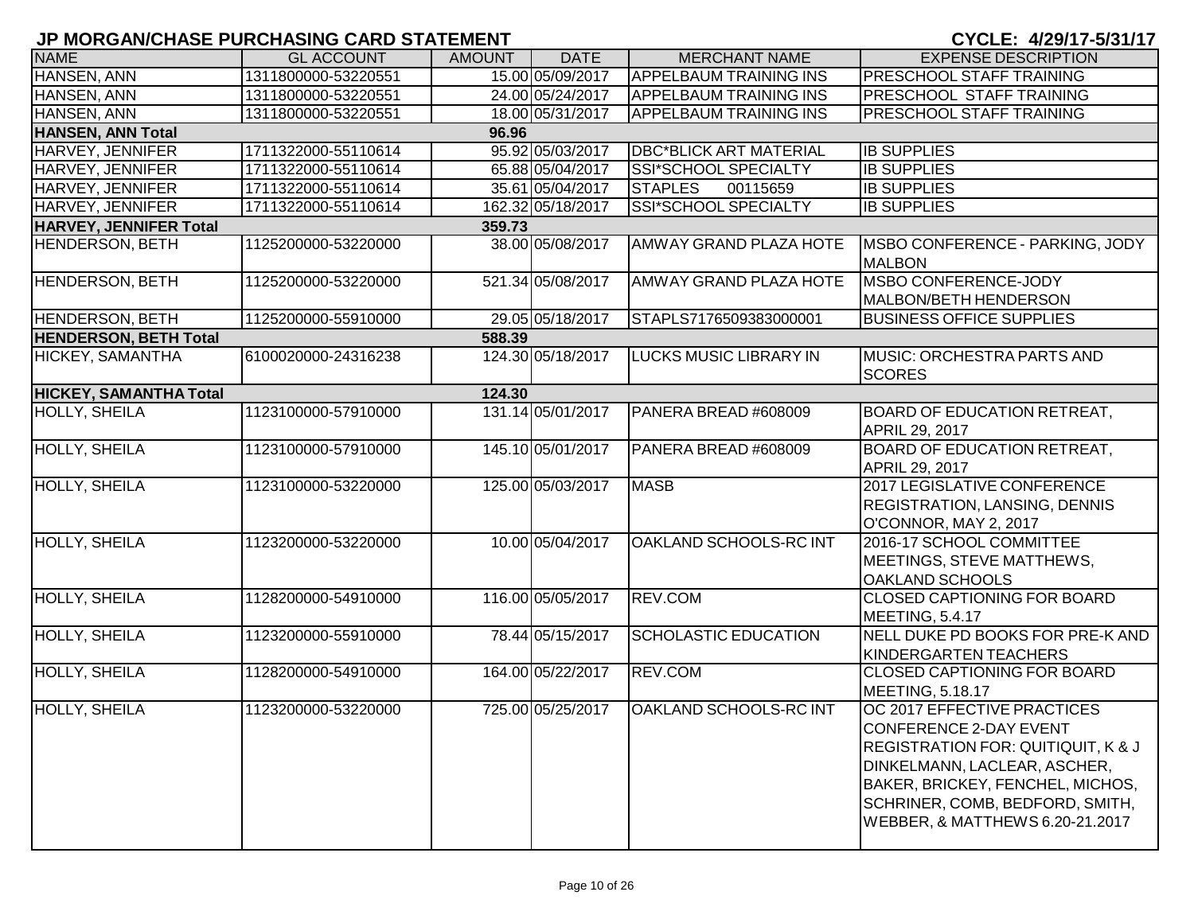| <b>NAME</b>                   | <b>GL ACCOUNT</b>   | <b>AMOUNT</b> | <b>DATE</b>       | <b>MERCHANT NAME</b>          | <b>EXPENSE DESCRIPTION</b>                                                                                                                                                                                                                       |
|-------------------------------|---------------------|---------------|-------------------|-------------------------------|--------------------------------------------------------------------------------------------------------------------------------------------------------------------------------------------------------------------------------------------------|
| HANSEN, ANN                   | 1311800000-53220551 |               | 15.00 05/09/2017  | <b>APPELBAUM TRAINING INS</b> | <b>PRESCHOOL STAFF TRAINING</b>                                                                                                                                                                                                                  |
| HANSEN, ANN                   | 1311800000-53220551 |               | 24.00 05/24/2017  | <b>APPELBAUM TRAINING INS</b> | <b>PRESCHOOL STAFF TRAINING</b>                                                                                                                                                                                                                  |
| HANSEN, ANN                   | 1311800000-53220551 |               | 18.00 05/31/2017  | <b>APPELBAUM TRAINING INS</b> | <b>PRESCHOOL STAFF TRAINING</b>                                                                                                                                                                                                                  |
| <b>HANSEN, ANN Total</b>      |                     | 96.96         |                   |                               |                                                                                                                                                                                                                                                  |
| HARVEY, JENNIFER              | 1711322000-55110614 |               | 95.92 05/03/2017  | <b>DBC*BLICK ART MATERIAL</b> | <b>IB SUPPLIES</b>                                                                                                                                                                                                                               |
| HARVEY, JENNIFER              | 1711322000-55110614 |               | 65.88 05/04/2017  | SSI*SCHOOL SPECIALTY          | <b>IB SUPPLIES</b>                                                                                                                                                                                                                               |
| HARVEY, JENNIFER              | 1711322000-55110614 |               | 35.61 05/04/2017  | <b>STAPLES</b><br>00115659    | <b>IB SUPPLIES</b>                                                                                                                                                                                                                               |
| HARVEY, JENNIFER              | 1711322000-55110614 |               | 162.32 05/18/2017 | SSI*SCHOOL SPECIALTY          | <b>IB SUPPLIES</b>                                                                                                                                                                                                                               |
| <b>HARVEY, JENNIFER Total</b> |                     | 359.73        |                   |                               |                                                                                                                                                                                                                                                  |
| <b>HENDERSON, BETH</b>        | 1125200000-53220000 |               | 38.00 05/08/2017  | <b>AMWAY GRAND PLAZA HOTE</b> | MSBO CONFERENCE - PARKING, JODY<br><b>MALBON</b>                                                                                                                                                                                                 |
| <b>HENDERSON, BETH</b>        | 1125200000-53220000 |               | 521.34 05/08/2017 | <b>AMWAY GRAND PLAZA HOTE</b> | MSBO CONFERENCE-JODY<br>MALBON/BETH HENDERSON                                                                                                                                                                                                    |
| <b>HENDERSON, BETH</b>        | 1125200000-55910000 |               | 29.05 05/18/2017  | STAPLS7176509383000001        | <b>BUSINESS OFFICE SUPPLIES</b>                                                                                                                                                                                                                  |
| <b>HENDERSON, BETH Total</b>  |                     | 588.39        |                   |                               |                                                                                                                                                                                                                                                  |
| <b>HICKEY, SAMANTHA</b>       | 6100020000-24316238 |               | 124.30 05/18/2017 | <b>LUCKS MUSIC LIBRARY IN</b> | MUSIC: ORCHESTRA PARTS AND<br><b>SCORES</b>                                                                                                                                                                                                      |
| <b>HICKEY, SAMANTHA Total</b> |                     | 124.30        |                   |                               |                                                                                                                                                                                                                                                  |
| <b>HOLLY, SHEILA</b>          | 1123100000-57910000 |               | 131.14 05/01/2017 | PANERA BREAD #608009          | <b>BOARD OF EDUCATION RETREAT,</b><br><b>APRIL 29, 2017</b>                                                                                                                                                                                      |
| <b>HOLLY, SHEILA</b>          | 1123100000-57910000 |               | 145.10 05/01/2017 | PANERA BREAD #608009          | <b>BOARD OF EDUCATION RETREAT,</b><br>APRIL 29, 2017                                                                                                                                                                                             |
| <b>HOLLY, SHEILA</b>          | 1123100000-53220000 |               | 125.00 05/03/2017 | <b>MASB</b>                   | 2017 LEGISLATIVE CONFERENCE<br><b>REGISTRATION, LANSING, DENNIS</b><br>O'CONNOR, MAY 2, 2017                                                                                                                                                     |
| <b>HOLLY, SHEILA</b>          | 1123200000-53220000 |               | 10.00 05/04/2017  | <b>OAKLAND SCHOOLS-RC INT</b> | 2016-17 SCHOOL COMMITTEE<br>MEETINGS, STEVE MATTHEWS,<br><b>OAKLAND SCHOOLS</b>                                                                                                                                                                  |
| <b>HOLLY, SHEILA</b>          | 1128200000-54910000 |               | 116.00 05/05/2017 | <b>REV.COM</b>                | <b>CLOSED CAPTIONING FOR BOARD</b><br>MEETING, 5.4.17                                                                                                                                                                                            |
| <b>HOLLY, SHEILA</b>          | 1123200000-55910000 |               | 78.44 05/15/2017  | <b>SCHOLASTIC EDUCATION</b>   | NELL DUKE PD BOOKS FOR PRE-K AND<br>KINDERGARTEN TEACHERS                                                                                                                                                                                        |
| <b>HOLLY, SHEILA</b>          | 1128200000-54910000 |               | 164.00 05/22/2017 | <b>REV.COM</b>                | <b>CLOSED CAPTIONING FOR BOARD</b><br>MEETING, 5.18.17                                                                                                                                                                                           |
| <b>HOLLY, SHEILA</b>          | 1123200000-53220000 |               | 725.00 05/25/2017 | <b>OAKLAND SCHOOLS-RC INT</b> | OC 2017 EFFECTIVE PRACTICES<br>CONFERENCE 2-DAY EVENT<br><b>REGISTRATION FOR: QUITIQUIT, K &amp; J</b><br>DINKELMANN, LACLEAR, ASCHER,<br>BAKER, BRICKEY, FENCHEL, MICHOS,<br>SCHRINER, COMB, BEDFORD, SMITH,<br>WEBBER, & MATTHEWS 6.20-21.2017 |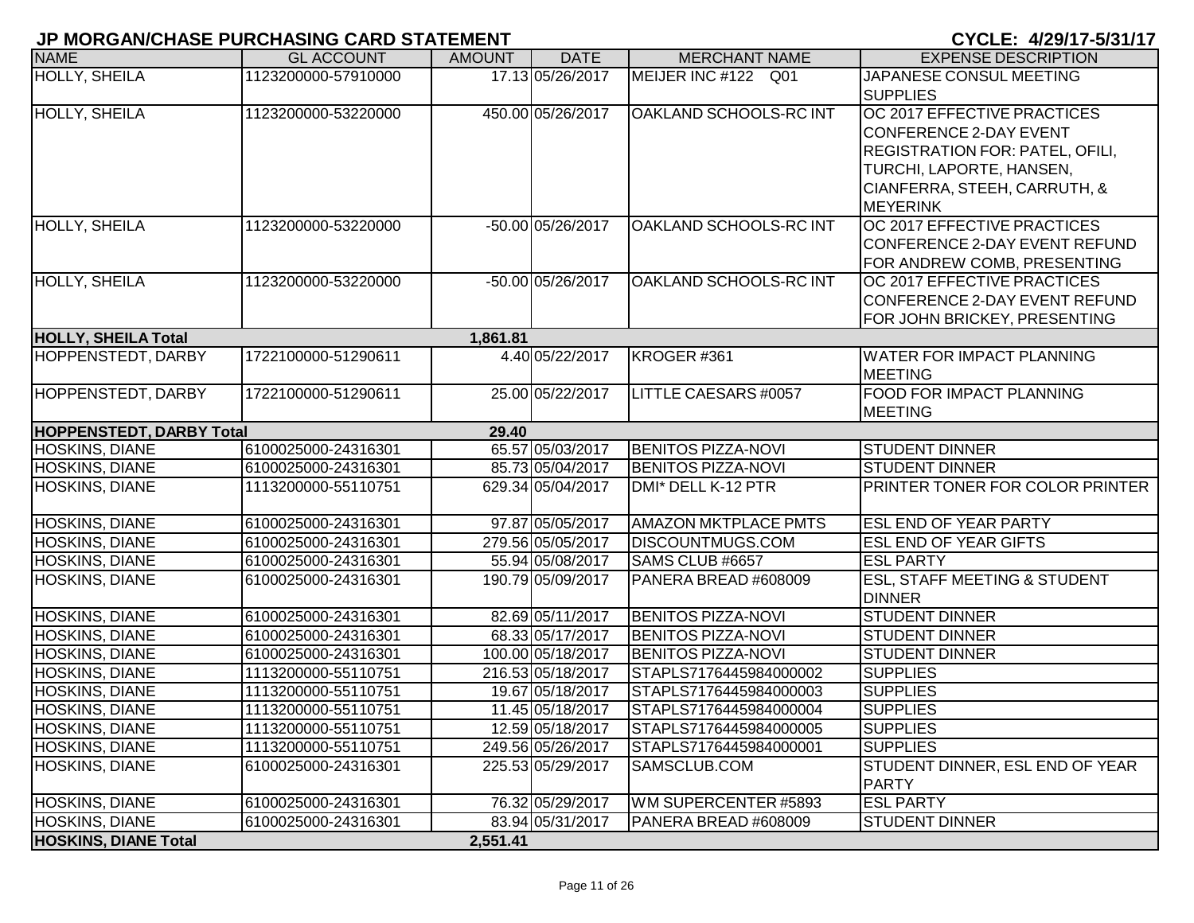| <b>NAME</b>                     | <b>GL ACCOUNT</b>   | <b>AMOUNT</b> | <b>DATE</b>       | <b>MERCHANT NAME</b>        | <b>EXPENSE DESCRIPTION</b>             |
|---------------------------------|---------------------|---------------|-------------------|-----------------------------|----------------------------------------|
| <b>HOLLY, SHEILA</b>            | 1123200000-57910000 |               | 17.13 05/26/2017  | MEIJER INC #122 Q01         | JAPANESE CONSUL MEETING                |
|                                 |                     |               |                   |                             | <b>SUPPLIES</b>                        |
| <b>HOLLY, SHEILA</b>            | 1123200000-53220000 |               | 450.00 05/26/2017 | OAKLAND SCHOOLS-RC INT      | OC 2017 EFFECTIVE PRACTICES            |
|                                 |                     |               |                   |                             | CONFERENCE 2-DAY EVENT                 |
|                                 |                     |               |                   |                             | <b>REGISTRATION FOR: PATEL, OFILI,</b> |
|                                 |                     |               |                   |                             | TURCHI, LAPORTE, HANSEN,               |
|                                 |                     |               |                   |                             | CIANFERRA, STEEH, CARRUTH, &           |
|                                 |                     |               |                   |                             | <b>MEYERINK</b>                        |
| <b>HOLLY, SHEILA</b>            | 1123200000-53220000 |               | -50.00 05/26/2017 | OAKLAND SCHOOLS-RC INT      | OC 2017 EFFECTIVE PRACTICES            |
|                                 |                     |               |                   |                             | CONFERENCE 2-DAY EVENT REFUND          |
|                                 |                     |               |                   |                             | FOR ANDREW COMB, PRESENTING            |
| <b>HOLLY, SHEILA</b>            | 1123200000-53220000 |               | -50.00 05/26/2017 | OAKLAND SCHOOLS-RC INT      | OC 2017 EFFECTIVE PRACTICES            |
|                                 |                     |               |                   |                             | CONFERENCE 2-DAY EVENT REFUND          |
|                                 |                     |               |                   |                             | FOR JOHN BRICKEY, PRESENTING           |
| <b>HOLLY, SHEILA Total</b>      |                     | 1,861.81      |                   |                             |                                        |
| <b>HOPPENSTEDT, DARBY</b>       | 1722100000-51290611 |               | 4.40 05/22/2017   | KROGER#361                  | <b>WATER FOR IMPACT PLANNING</b>       |
|                                 |                     |               |                   |                             | <b>MEETING</b>                         |
| <b>HOPPENSTEDT, DARBY</b>       | 1722100000-51290611 |               | 25.00 05/22/2017  | LITTLE CAESARS #0057        | FOOD FOR IMPACT PLANNING               |
|                                 |                     |               |                   |                             | <b>MEETING</b>                         |
| <b>HOPPENSTEDT, DARBY Total</b> |                     | 29.40         |                   |                             |                                        |
| <b>HOSKINS, DIANE</b>           | 6100025000-24316301 |               | 65.57 05/03/2017  | <b>BENITOS PIZZA-NOVI</b>   | <b>STUDENT DINNER</b>                  |
| <b>HOSKINS, DIANE</b>           | 6100025000-24316301 |               | 85.73 05/04/2017  | <b>BENITOS PIZZA-NOVI</b>   | <b>STUDENT DINNER</b>                  |
| <b>HOSKINS, DIANE</b>           | 1113200000-55110751 |               | 629.34 05/04/2017 | DMI* DELL K-12 PTR          | PRINTER TONER FOR COLOR PRINTER        |
|                                 |                     |               |                   |                             |                                        |
| <b>HOSKINS, DIANE</b>           | 6100025000-24316301 |               | 97.87 05/05/2017  | <b>AMAZON MKTPLACE PMTS</b> | <b>ESL END OF YEAR PARTY</b>           |
| <b>HOSKINS, DIANE</b>           | 6100025000-24316301 |               | 279.56 05/05/2017 | <b>DISCOUNTMUGS.COM</b>     | ESL END OF YEAR GIFTS                  |
| <b>HOSKINS, DIANE</b>           | 6100025000-24316301 |               | 55.94 05/08/2017  | SAMS CLUB #6657             | <b>ESL PARTY</b>                       |
| <b>HOSKINS, DIANE</b>           | 6100025000-24316301 |               | 190.79 05/09/2017 | PANERA BREAD #608009        | ESL, STAFF MEETING & STUDENT           |
| <b>HOSKINS, DIANE</b>           | 6100025000-24316301 |               | 82.69 05/11/2017  | <b>BENITOS PIZZA-NOVI</b>   | <b>DINNER</b><br><b>STUDENT DINNER</b> |
| <b>HOSKINS, DIANE</b>           | 6100025000-24316301 |               | 68.33 05/17/2017  | <b>BENITOS PIZZA-NOVI</b>   | <b>STUDENT DINNER</b>                  |
| <b>HOSKINS, DIANE</b>           | 6100025000-24316301 |               | 100.00 05/18/2017 | <b>BENITOS PIZZA-NOVI</b>   | <b>STUDENT DINNER</b>                  |
| <b>HOSKINS, DIANE</b>           | 1113200000-55110751 |               | 216.53 05/18/2017 | STAPLS7176445984000002      | <b>SUPPLIES</b>                        |
| <b>HOSKINS, DIANE</b>           | 1113200000-55110751 |               | 19.67 05/18/2017  | STAPLS7176445984000003      | <b>SUPPLIES</b>                        |
| <b>HOSKINS, DIANE</b>           | 1113200000-55110751 |               | 11.45 05/18/2017  | STAPLS7176445984000004      | <b>SUPPLIES</b>                        |
| <b>HOSKINS, DIANE</b>           | 1113200000-55110751 |               | 12.59 05/18/2017  | STAPLS7176445984000005      | <b>SUPPLIES</b>                        |
| <b>HOSKINS, DIANE</b>           | 1113200000-55110751 |               | 249.56 05/26/2017 | STAPLS7176445984000001      | <b>SUPPLIES</b>                        |
| <b>HOSKINS, DIANE</b>           | 6100025000-24316301 |               | 225.53 05/29/2017 | SAMSCLUB.COM                | STUDENT DINNER, ESL END OF YEAR        |
|                                 |                     |               |                   |                             | <b>PARTY</b>                           |
| <b>HOSKINS, DIANE</b>           | 6100025000-24316301 |               | 76.32 05/29/2017  | WM SUPERCENTER #5893        | <b>ESL PARTY</b>                       |
| <b>HOSKINS, DIANE</b>           | 6100025000-24316301 |               | 83.94 05/31/2017  | PANERA BREAD #608009        | <b>STUDENT DINNER</b>                  |
| <b>HOSKINS, DIANE Total</b>     |                     | 2,551.41      |                   |                             |                                        |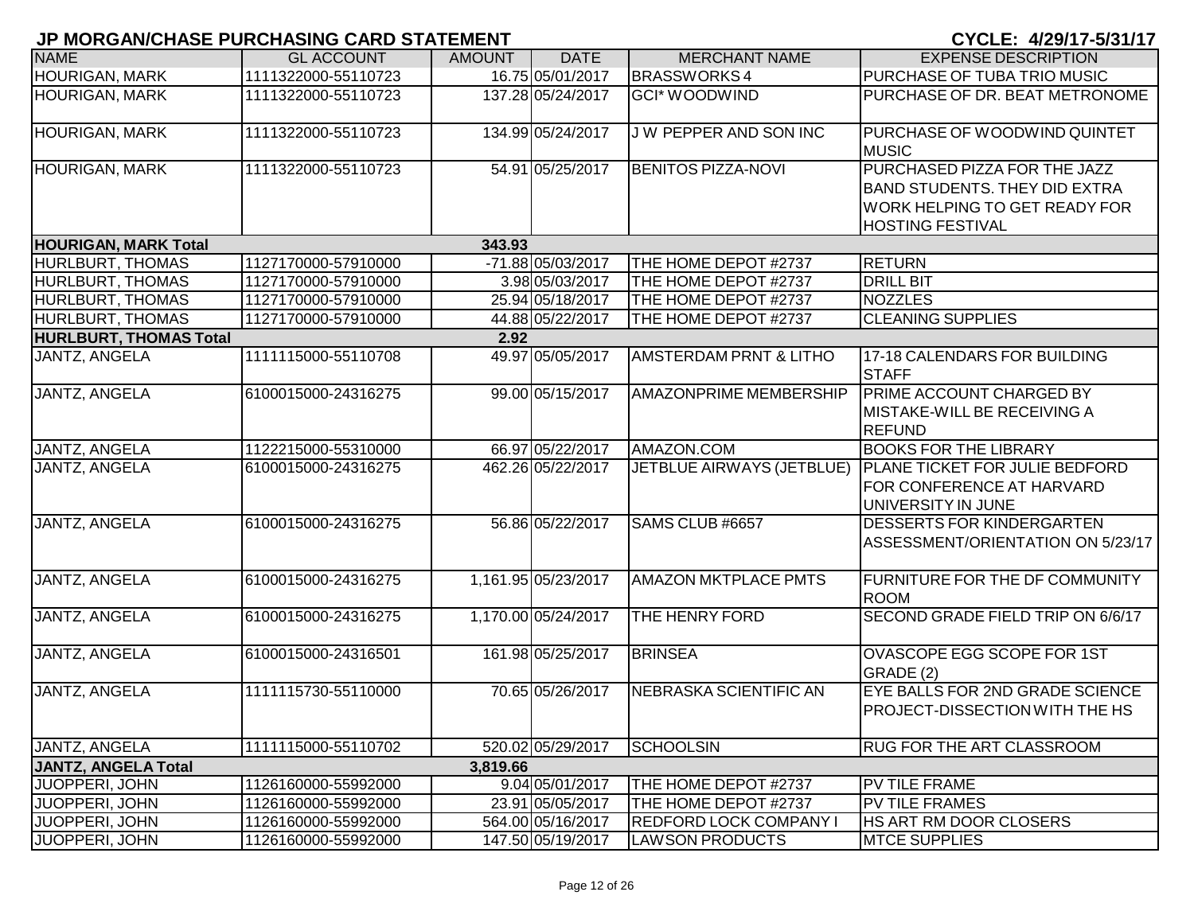| <b>NAME</b>                   | <b>GL ACCOUNT</b>   | <b>AMOUNT</b> | <b>DATE</b>         | <b>MERCHANT NAME</b>              | <b>EXPENSE DESCRIPTION</b>                                                                                                       |
|-------------------------------|---------------------|---------------|---------------------|-----------------------------------|----------------------------------------------------------------------------------------------------------------------------------|
| <b>HOURIGAN, MARK</b>         | 1111322000-55110723 |               | 16.75 05/01/2017    | <b>BRASSWORKS4</b>                | PURCHASE OF TUBA TRIO MUSIC                                                                                                      |
| <b>HOURIGAN, MARK</b>         | 1111322000-55110723 |               | 137.28 05/24/2017   | <b>GCI* WOODWIND</b>              | PURCHASE OF DR. BEAT METRONOME                                                                                                   |
| <b>HOURIGAN, MARK</b>         | 1111322000-55110723 |               | 134.99 05/24/2017   | J W PEPPER AND SON INC            | PURCHASE OF WOODWIND QUINTET<br><b>MUSIC</b>                                                                                     |
| <b>HOURIGAN, MARK</b>         | 1111322000-55110723 |               | 54.91 05/25/2017    | <b>BENITOS PIZZA-NOVI</b>         | PURCHASED PIZZA FOR THE JAZZ<br><b>BAND STUDENTS. THEY DID EXTRA</b><br>WORK HELPING TO GET READY FOR<br><b>HOSTING FESTIVAL</b> |
| <b>HOURIGAN, MARK Total</b>   |                     | 343.93        |                     |                                   |                                                                                                                                  |
| <b>HURLBURT, THOMAS</b>       | 1127170000-57910000 |               | -71.88 05/03/2017   | THE HOME DEPOT #2737              | <b>RETURN</b>                                                                                                                    |
| <b>HURLBURT, THOMAS</b>       | 1127170000-57910000 |               | 3.98 05/03/2017     | THE HOME DEPOT #2737              | <b>DRILL BIT</b>                                                                                                                 |
| <b>HURLBURT, THOMAS</b>       | 1127170000-57910000 |               | 25.94 05/18/2017    | THE HOME DEPOT #2737              | <b>NOZZLES</b>                                                                                                                   |
| <b>HURLBURT, THOMAS</b>       | 1127170000-57910000 |               | 44.88 05/22/2017    | THE HOME DEPOT #2737              | <b>CLEANING SUPPLIES</b>                                                                                                         |
| <b>HURLBURT, THOMAS Total</b> |                     | 2.92          |                     |                                   |                                                                                                                                  |
| <b>JANTZ, ANGELA</b>          | 1111115000-55110708 |               | 49.97 05/05/2017    | <b>AMSTERDAM PRNT &amp; LITHO</b> | 17-18 CALENDARS FOR BUILDING<br><b>STAFF</b>                                                                                     |
| <b>JANTZ, ANGELA</b>          | 6100015000-24316275 |               | 99.00 05/15/2017    | <b>AMAZONPRIME MEMBERSHIP</b>     | <b>PRIME ACCOUNT CHARGED BY</b><br>MISTAKE-WILL BE RECEIVING A<br>REFUND                                                         |
| <b>JANTZ, ANGELA</b>          | 1122215000-55310000 |               | 66.97 05/22/2017    | AMAZON.COM                        | <b>BOOKS FOR THE LIBRARY</b>                                                                                                     |
| <b>JANTZ, ANGELA</b>          | 6100015000-24316275 |               | 462.26 05/22/2017   |                                   | JETBLUE AIRWAYS (JETBLUE)   PLANE TICKET FOR JULIE BEDFORD<br>FOR CONFERENCE AT HARVARD<br>UNIVERSITY IN JUNE                    |
| <b>JANTZ, ANGELA</b>          | 6100015000-24316275 |               | 56.86 05/22/2017    | SAMS CLUB #6657                   | <b>DESSERTS FOR KINDERGARTEN</b><br>ASSESSMENT/ORIENTATION ON 5/23/17                                                            |
| JANTZ, ANGELA                 | 6100015000-24316275 |               | 1,161.95 05/23/2017 | <b>AMAZON MKTPLACE PMTS</b>       | <b>FURNITURE FOR THE DF COMMUNITY</b><br><b>ROOM</b>                                                                             |
| JANTZ, ANGELA                 | 6100015000-24316275 |               | 1,170.00 05/24/2017 | THE HENRY FORD                    | SECOND GRADE FIELD TRIP ON 6/6/17                                                                                                |
| JANTZ, ANGELA                 | 6100015000-24316501 |               | 161.98 05/25/2017   | <b>BRINSEA</b>                    | OVASCOPE EGG SCOPE FOR 1ST<br>GRADE (2)                                                                                          |
| JANTZ, ANGELA                 | 1111115730-55110000 |               | 70.65 05/26/2017    | NEBRASKA SCIENTIFIC AN            | EYE BALLS FOR 2ND GRADE SCIENCE<br><b>PROJECT-DISSECTION WITH THE HS</b>                                                         |
| <b>JANTZ, ANGELA</b>          | 1111115000-55110702 |               | 520.02 05/29/2017   | <b>SCHOOLSIN</b>                  | <b>RUG FOR THE ART CLASSROOM</b>                                                                                                 |
| <b>JANTZ, ANGELA Total</b>    |                     | 3,819.66      |                     |                                   |                                                                                                                                  |
| JUOPPERI, JOHN                | 1126160000-55992000 |               | 9.04 05/01/2017     | THE HOME DEPOT #2737              | PV TILE FRAME                                                                                                                    |
| JUOPPERI, JOHN                | 1126160000-55992000 |               | 23.91 05/05/2017    | THE HOME DEPOT #2737              | <b>PV TILE FRAMES</b>                                                                                                            |
| JUOPPERI, JOHN                | 1126160000-55992000 |               | 564.00 05/16/2017   | <b>IREDFORD LOCK COMPANY I</b>    | <b>HS ART RM DOOR CLOSERS</b>                                                                                                    |
| JUOPPERI, JOHN                | 1126160000-55992000 |               | 147.50 05/19/2017   | <b>LAWSON PRODUCTS</b>            | <b>MTCE SUPPLIES</b>                                                                                                             |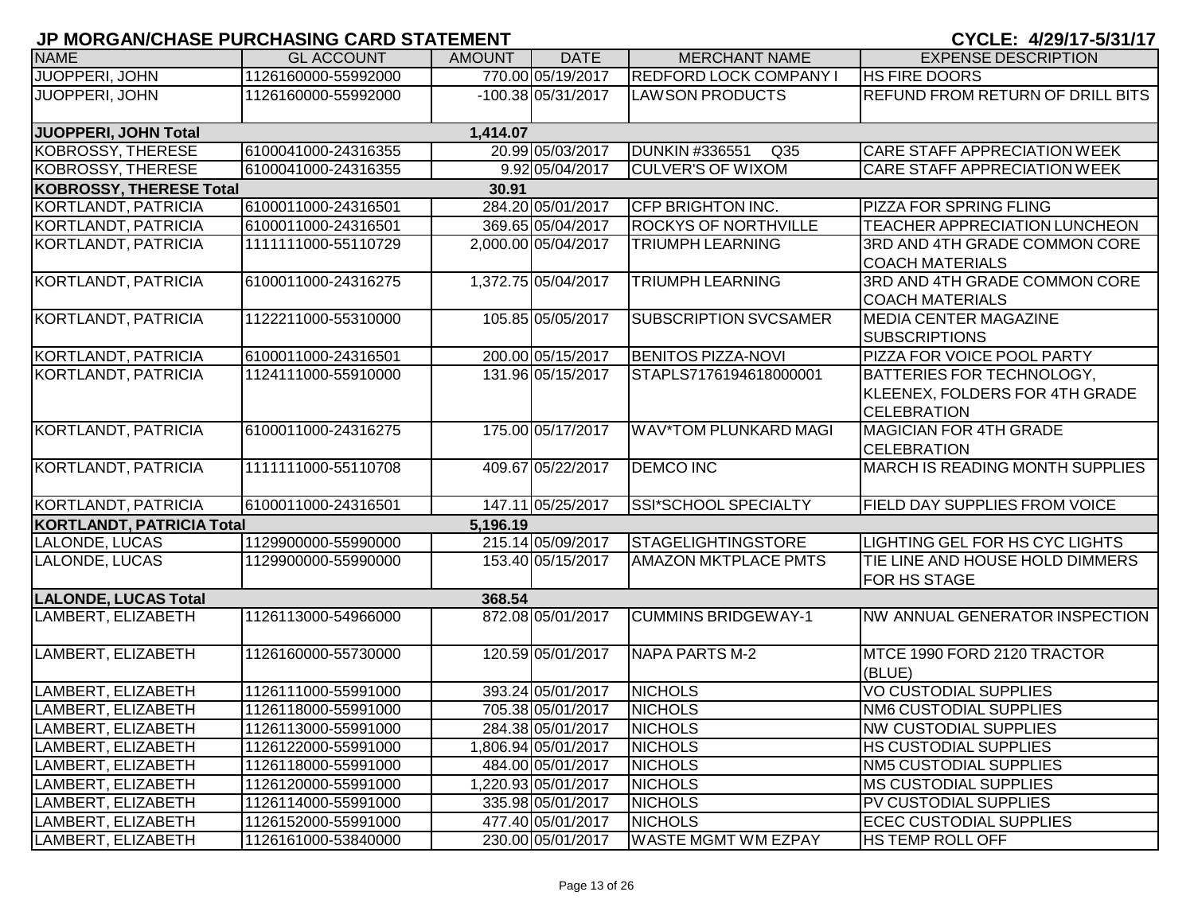|                                  | <u>u mononivumus i unumumu univ unismeni </u> |               |                      |                                          | 01944.7749.11                                                                     |
|----------------------------------|-----------------------------------------------|---------------|----------------------|------------------------------------------|-----------------------------------------------------------------------------------|
| <b>NAME</b>                      | <b>GL ACCOUNT</b>                             | <b>AMOUNT</b> | <b>DATE</b>          | <b>MERCHANT NAME</b>                     | <b>EXPENSE DESCRIPTION</b>                                                        |
| JUOPPERI, JOHN                   | 1126160000-55992000                           |               | 770.00 05/19/2017    | <b>REDFORD LOCK COMPANY I</b>            | <b>HS FIRE DOORS</b>                                                              |
| <b>JUOPPERI, JOHN</b>            | 1126160000-55992000                           |               | $-100.38 05/31/2017$ | <b>LAWSON PRODUCTS</b>                   | <b>REFUND FROM RETURN OF DRILL BITS</b>                                           |
| JUOPPERI, JOHN Total             |                                               | 1,414.07      |                      |                                          |                                                                                   |
| KOBROSSY, THERESE                | 6100041000-24316355                           |               | 20.99 05/03/2017     | <b>DUNKIN #336551</b><br>Q <sub>35</sub> | CARE STAFF APPRECIATION WEEK                                                      |
| KOBROSSY, THERESE                | 6100041000-24316355                           |               | 9.92 05/04/2017      | <b>CULVER'S OF WIXOM</b>                 | CARE STAFF APPRECIATION WEEK                                                      |
| <b>KOBROSSY, THERESE Total</b>   |                                               | 30.91         |                      |                                          |                                                                                   |
| KORTLANDT, PATRICIA              | 6100011000-24316501                           |               | 284.20 05/01/2017    | CFP BRIGHTON INC.                        | PIZZA FOR SPRING FLING                                                            |
| KORTLANDT, PATRICIA              | 6100011000-24316501                           |               | 369.65 05/04/2017    | <b>ROCKYS OF NORTHVILLE</b>              | TEACHER APPRECIATION LUNCHEON                                                     |
| KORTLANDT, PATRICIA              | 1111111000-55110729                           |               | 2,000.00 05/04/2017  | <b>TRIUMPH LEARNING</b>                  | 3RD AND 4TH GRADE COMMON CORE<br><b>COACH MATERIALS</b>                           |
| <b>KORTLANDT, PATRICIA</b>       | 6100011000-24316275                           |               | 1,372.75 05/04/2017  | <b>TRIUMPH LEARNING</b>                  | 3RD AND 4TH GRADE COMMON CORE<br><b>COACH MATERIALS</b>                           |
| <b>KORTLANDT, PATRICIA</b>       | 1122211000-55310000                           |               | 105.85 05/05/2017    | <b>SUBSCRIPTION SVCSAMER</b>             | <b>MEDIA CENTER MAGAZINE</b><br><b>SUBSCRIPTIONS</b>                              |
| <b>KORTLANDT, PATRICIA</b>       | 6100011000-24316501                           |               | 200.00 05/15/2017    | <b>BENITOS PIZZA-NOVI</b>                | PIZZA FOR VOICE POOL PARTY                                                        |
| KORTLANDT, PATRICIA              | 1124111000-55910000                           |               | 131.96 05/15/2017    | STAPLS7176194618000001                   | BATTERIES FOR TECHNOLOGY,<br>KLEENEX, FOLDERS FOR 4TH GRADE<br><b>CELEBRATION</b> |
| <b>KORTLANDT, PATRICIA</b>       | 6100011000-24316275                           |               | 175.00 05/17/2017    | <b>WAV*TOM PLUNKARD MAGI</b>             | <b>MAGICIAN FOR 4TH GRADE</b><br><b>CELEBRATION</b>                               |
| KORTLANDT, PATRICIA              | 1111111000-55110708                           |               | 409.67 05/22/2017    | <b>DEMCO INC</b>                         | <b>MARCH IS READING MONTH SUPPLIES</b>                                            |
| KORTLANDT, PATRICIA              | 6100011000-24316501                           |               | 147.11 05/25/2017    | SSI*SCHOOL SPECIALTY                     | FIELD DAY SUPPLIES FROM VOICE                                                     |
| <b>KORTLANDT, PATRICIA Total</b> |                                               | 5,196.19      |                      |                                          |                                                                                   |
| LALONDE, LUCAS                   | 1129900000-55990000                           |               | 215.14 05/09/2017    | <b>STAGELIGHTINGSTORE</b>                | LIGHTING GEL FOR HS CYC LIGHTS                                                    |
| LALONDE, LUCAS                   | 1129900000-55990000                           |               | 153.40 05/15/2017    | <b>AMAZON MKTPLACE PMTS</b>              | TIE LINE AND HOUSE HOLD DIMMERS<br>FOR HS STAGE                                   |
| <b>LALONDE, LUCAS Total</b>      |                                               | 368.54        |                      |                                          |                                                                                   |
| LAMBERT, ELIZABETH               | 1126113000-54966000                           |               | 872.08 05/01/2017    | <b>CUMMINS BRIDGEWAY-1</b>               | NW ANNUAL GENERATOR INSPECTION                                                    |
| LAMBERT, ELIZABETH               | 1126160000-55730000                           |               | 120.59 05/01/2017    | NAPA PARTS M-2                           | MTCE 1990 FORD 2120 TRACTOR<br>(BLUE)                                             |
| LAMBERT, ELIZABETH               | 1126111000-55991000                           |               | 393.24 05/01/2017    | <b>NICHOLS</b>                           | VO CUSTODIAL SUPPLIES                                                             |
| LAMBERT, ELIZABETH               | 1126118000-55991000                           |               | 705.38 05/01/2017    | <b>NICHOLS</b>                           | <b>NM6 CUSTODIAL SUPPLIES</b>                                                     |
| LAMBERT, ELIZABETH               | 1126113000-55991000                           |               | 284.38 05/01/2017    | <b>NICHOLS</b>                           | INW CUSTODIAL SUPPLIES                                                            |
| LAMBERT, ELIZABETH               | 1126122000-55991000                           |               | 1,806.94 05/01/2017  | <b>NICHOLS</b>                           | HS CUSTODIAL SUPPLIES                                                             |
| LAMBERT, ELIZABETH               | 1126118000-55991000                           |               | 484.00 05/01/2017    | <b>NICHOLS</b>                           | <b>NM5 CUSTODIAL SUPPLIES</b>                                                     |
| LAMBERT, ELIZABETH               | 1126120000-55991000                           |               | 1,220.93 05/01/2017  | <b>NICHOLS</b>                           | <b>MS CUSTODIAL SUPPLIES</b>                                                      |
| LAMBERT, ELIZABETH               | 1126114000-55991000                           |               | 335.98 05/01/2017    | <b>NICHOLS</b>                           | PV CUSTODIAL SUPPLIES                                                             |
| LAMBERT, ELIZABETH               | 1126152000-55991000                           |               | 477.40 05/01/2017    | <b>NICHOLS</b>                           | <b>ECEC CUSTODIAL SUPPLIES</b>                                                    |
| LAMBERT, ELIZABETH               | 1126161000-53840000                           |               | 230.00 05/01/2017    | <b>WASTE MGMT WM EZPAY</b>               | <b>HS TEMP ROLL OFF</b>                                                           |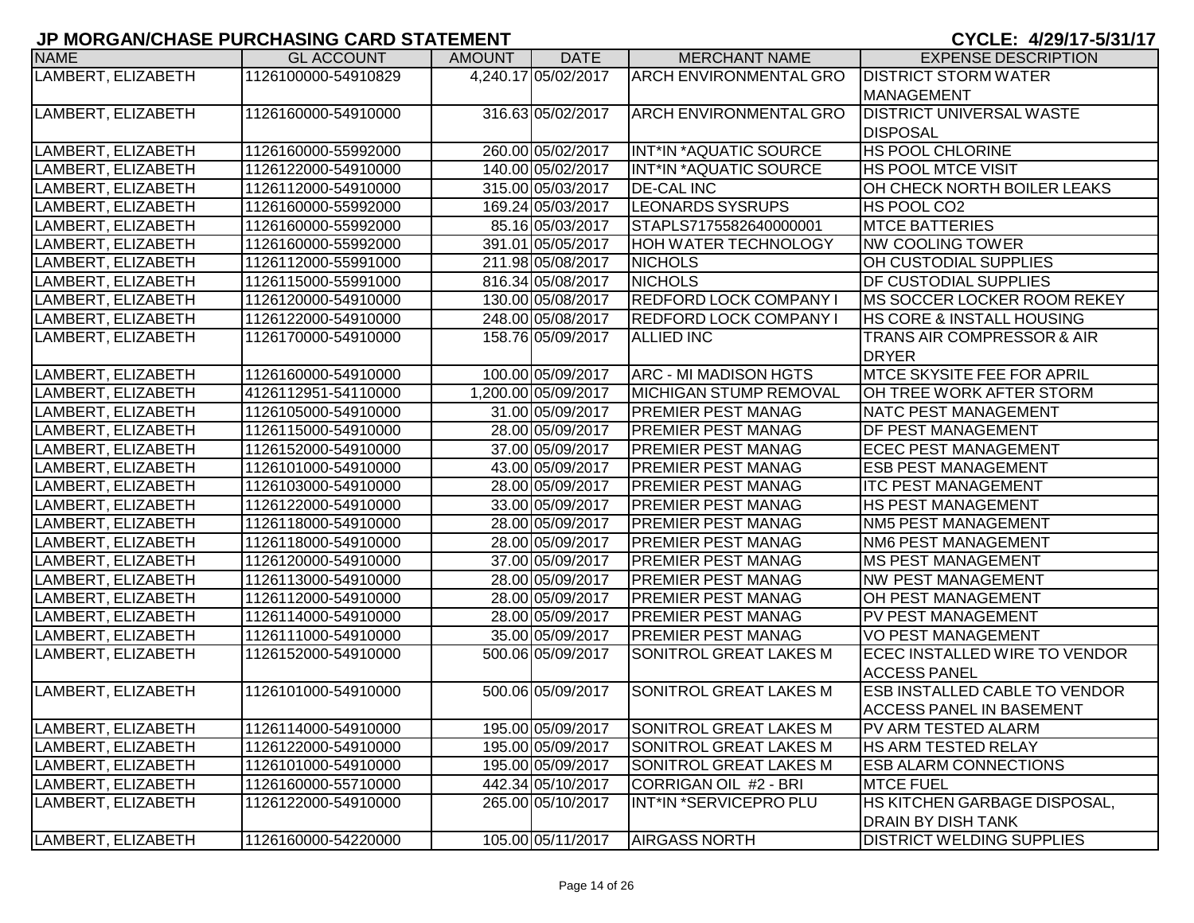| <b>NAME</b>        | <b>GL ACCOUNT</b>   | AMOUNT | <b>DATE</b>         | <b>MERCHANT NAME</b>          | <b>EXPENSE DESCRIPTION</b>           |
|--------------------|---------------------|--------|---------------------|-------------------------------|--------------------------------------|
| LAMBERT, ELIZABETH | 1126100000-54910829 |        | 4,240.17 05/02/2017 | <b>ARCH ENVIRONMENTAL GRO</b> | <b>DISTRICT STORM WATER</b>          |
|                    |                     |        |                     |                               | <b>MANAGEMENT</b>                    |
| LAMBERT, ELIZABETH | 1126160000-54910000 |        | 316.63 05/02/2017   | <b>ARCH ENVIRONMENTAL GRO</b> | <b>DISTRICT UNIVERSAL WASTE</b>      |
|                    |                     |        |                     |                               | <b>DISPOSAL</b>                      |
| LAMBERT, ELIZABETH | 1126160000-55992000 |        | 260.00 05/02/2017   | INT*IN *AQUATIC SOURCE        | <b>HS POOL CHLORINE</b>              |
| LAMBERT, ELIZABETH | 1126122000-54910000 |        | 140.00 05/02/2017   | <b>INT*IN *AQUATIC SOURCE</b> | <b>HS POOL MTCE VISIT</b>            |
| LAMBERT, ELIZABETH | 1126112000-54910000 |        | 315.00 05/03/2017   | <b>DE-CAL INC</b>             | OH CHECK NORTH BOILER LEAKS          |
| LAMBERT, ELIZABETH | 1126160000-55992000 |        | 169.24 05/03/2017   | <b>LEONARDS SYSRUPS</b>       | HS POOL CO2                          |
| LAMBERT, ELIZABETH | 1126160000-55992000 |        | 85.16 05/03/2017    | STAPLS7175582640000001        | <b>MTCE BATTERIES</b>                |
| LAMBERT, ELIZABETH | 1126160000-55992000 |        | 391.01 05/05/2017   | <b>HOH WATER TECHNOLOGY</b>   | <b>NW COOLING TOWER</b>              |
| LAMBERT, ELIZABETH | 1126112000-55991000 |        | 211.98 05/08/2017   | <b>NICHOLS</b>                | OH CUSTODIAL SUPPLIES                |
| LAMBERT, ELIZABETH | 1126115000-55991000 |        | 816.34 05/08/2017   | <b>NICHOLS</b>                | <b>DF CUSTODIAL SUPPLIES</b>         |
| LAMBERT, ELIZABETH | 1126120000-54910000 |        | 130.00 05/08/2017   | <b>REDFORD LOCK COMPANY I</b> | MS SOCCER LOCKER ROOM REKEY          |
| LAMBERT, ELIZABETH | 1126122000-54910000 |        | 248.00 05/08/2017   | <b>REDFORD LOCK COMPANY I</b> | HS CORE & INSTALL HOUSING            |
| LAMBERT, ELIZABETH | 1126170000-54910000 |        | 158.76 05/09/2017   | <b>ALLIED INC</b>             | TRANS AIR COMPRESSOR & AIR           |
|                    |                     |        |                     |                               | <b>DRYER</b>                         |
| LAMBERT, ELIZABETH | 1126160000-54910000 |        | 100.00 05/09/2017   | <b>ARC - MI MADISON HGTS</b>  | <b>MTCE SKYSITE FEE FOR APRIL</b>    |
| LAMBERT, ELIZABETH | 4126112951-54110000 |        | 1,200.00 05/09/2017 | <b>MICHIGAN STUMP REMOVAL</b> | OH TREE WORK AFTER STORM             |
| LAMBERT, ELIZABETH | 1126105000-54910000 |        | 31.00 05/09/2017    | <b>PREMIER PEST MANAG</b>     | <b>NATC PEST MANAGEMENT</b>          |
| LAMBERT, ELIZABETH | 1126115000-54910000 |        | 28.00 05/09/2017    | <b>PREMIER PEST MANAG</b>     | <b>DF PEST MANAGEMENT</b>            |
| LAMBERT, ELIZABETH | 1126152000-54910000 |        | 37.00 05/09/2017    | <b>PREMIER PEST MANAG</b>     | <b>ECEC PEST MANAGEMENT</b>          |
| LAMBERT, ELIZABETH | 1126101000-54910000 |        | 43.00 05/09/2017    | <b>PREMIER PEST MANAG</b>     | <b>ESB PEST MANAGEMENT</b>           |
| LAMBERT, ELIZABETH | 1126103000-54910000 |        | 28.00 05/09/2017    | <b>PREMIER PEST MANAG</b>     | <b>ITC PEST MANAGEMENT</b>           |
| LAMBERT, ELIZABETH | 1126122000-54910000 |        | 33.00 05/09/2017    | <b>PREMIER PEST MANAG</b>     | <b>HS PEST MANAGEMENT</b>            |
| LAMBERT, ELIZABETH | 1126118000-54910000 |        | 28.00 05/09/2017    | <b>PREMIER PEST MANAG</b>     | <b>NM5 PEST MANAGEMENT</b>           |
| LAMBERT, ELIZABETH | 1126118000-54910000 |        | 28.00 05/09/2017    | <b>PREMIER PEST MANAG</b>     | <b>NM6 PEST MANAGEMENT</b>           |
| LAMBERT, ELIZABETH | 1126120000-54910000 |        | 37.00 05/09/2017    | <b>PREMIER PEST MANAG</b>     | <b>MS PEST MANAGEMENT</b>            |
| LAMBERT, ELIZABETH | 1126113000-54910000 |        | 28.00 05/09/2017    | <b>PREMIER PEST MANAG</b>     | <b>NW PEST MANAGEMENT</b>            |
| LAMBERT, ELIZABETH | 1126112000-54910000 |        | 28.00 05/09/2017    | <b>PREMIER PEST MANAG</b>     | OH PEST MANAGEMENT                   |
| LAMBERT, ELIZABETH | 1126114000-54910000 |        | 28.00 05/09/2017    | <b>PREMIER PEST MANAG</b>     | PV PEST MANAGEMENT                   |
| LAMBERT, ELIZABETH | 1126111000-54910000 |        | 35.00 05/09/2017    | <b>PREMIER PEST MANAG</b>     | <b>VO PEST MANAGEMENT</b>            |
| LAMBERT, ELIZABETH | 1126152000-54910000 |        | 500.06 05/09/2017   | SONITROL GREAT LAKES M        | ECEC INSTALLED WIRE TO VENDOR        |
|                    |                     |        |                     |                               | <b>ACCESS PANEL</b>                  |
| LAMBERT, ELIZABETH | 1126101000-54910000 |        | 500.06 05/09/2017   | SONITROL GREAT LAKES M        | <b>ESB INSTALLED CABLE TO VENDOR</b> |
|                    |                     |        |                     |                               | <b>ACCESS PANEL IN BASEMENT</b>      |
| LAMBERT, ELIZABETH | 1126114000-54910000 |        | 195.00 05/09/2017   | <b>SONITROL GREAT LAKES M</b> | PV ARM TESTED ALARM                  |
| LAMBERT, ELIZABETH | 1126122000-54910000 |        | 195.00 05/09/2017   | SONITROL GREAT LAKES M        | <b>HS ARM TESTED RELAY</b>           |
| LAMBERT, ELIZABETH | 1126101000-54910000 |        | 195.00 05/09/2017   | SONITROL GREAT LAKES M        | <b>ESB ALARM CONNECTIONS</b>         |
| LAMBERT, ELIZABETH | 1126160000-55710000 |        | 442.34 05/10/2017   | CORRIGAN OIL #2 - BRI         | <b>MTCE FUEL</b>                     |
| LAMBERT, ELIZABETH | 1126122000-54910000 |        | 265.00 05/10/2017   | INT*IN *SERVICEPRO PLU        | HS KITCHEN GARBAGE DISPOSAL,         |
|                    |                     |        |                     |                               | <b>DRAIN BY DISH TANK</b>            |
| LAMBERT, ELIZABETH | 1126160000-54220000 |        | 105.00 05/11/2017   | <b>AIRGASS NORTH</b>          | <b>DISTRICT WELDING SUPPLIES</b>     |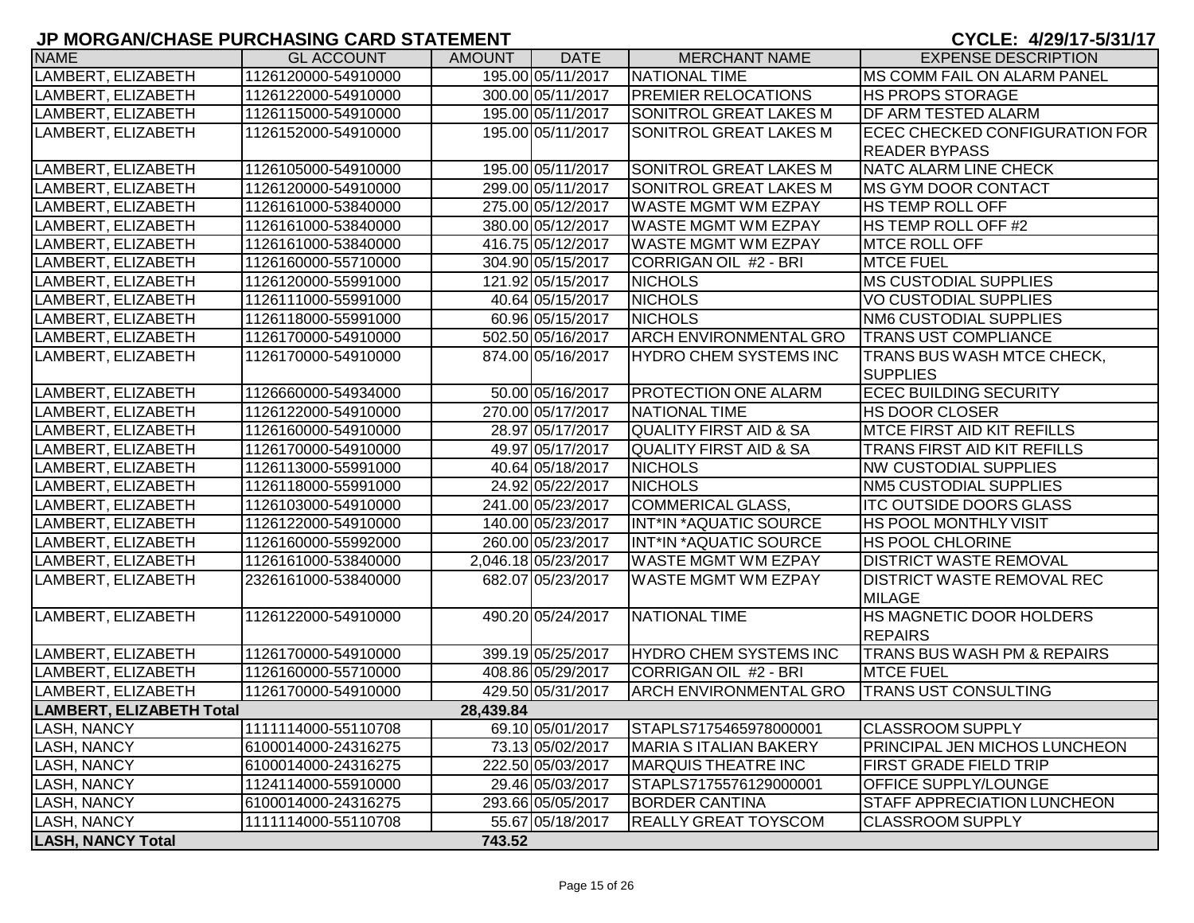| <b>NAME</b>                     | <b>GL ACCOUNT</b>   | <b>AMOUNT</b> | <b>DATE</b>         | <b>MERCHANT NAME</b>              | <b>EXPENSE DESCRIPTION</b>             |
|---------------------------------|---------------------|---------------|---------------------|-----------------------------------|----------------------------------------|
| LAMBERT, ELIZABETH              | 1126120000-54910000 |               | 195.00 05/11/2017   | NATIONAL TIME                     | <b>IMS COMM FAIL ON ALARM PANEL</b>    |
| LAMBERT, ELIZABETH              | 1126122000-54910000 |               | 300.00 05/11/2017   | <b>PREMIER RELOCATIONS</b>        | <b>HS PROPS STORAGE</b>                |
| LAMBERT, ELIZABETH              | 1126115000-54910000 |               | 195.00 05/11/2017   | <b>SONITROL GREAT LAKES M</b>     | <b>DF ARM TESTED ALARM</b>             |
| LAMBERT, ELIZABETH              | 1126152000-54910000 |               | 195.00 05/11/2017   | SONITROL GREAT LAKES M            | ECEC CHECKED CONFIGURATION FOR         |
|                                 |                     |               |                     |                                   | <b>READER BYPASS</b>                   |
| LAMBERT, ELIZABETH              | 1126105000-54910000 |               | 195.00 05/11/2017   | SONITROL GREAT LAKES M            | NATC ALARM LINE CHECK                  |
| LAMBERT, ELIZABETH              | 1126120000-54910000 |               | 299.00 05/11/2017   | <b>SONITROL GREAT LAKES M</b>     | <b>IMS GYM DOOR CONTACT</b>            |
| LAMBERT, ELIZABETH              | 1126161000-53840000 |               | 275.00 05/12/2017   | <b>WASTE MGMT WM EZPAY</b>        | <b>HS TEMP ROLL OFF</b>                |
| LAMBERT, ELIZABETH              | 1126161000-53840000 |               | 380.00 05/12/2017   | <b>WASTE MGMT WM EZPAY</b>        | <b>HS TEMP ROLL OFF #2</b>             |
| LAMBERT, ELIZABETH              | 1126161000-53840000 |               | 416.75 05/12/2017   | <b>WASTE MGMT WM EZPAY</b>        | <b>MTCE ROLL OFF</b>                   |
| LAMBERT, ELIZABETH              | 1126160000-55710000 |               | 304.90 05/15/2017   | CORRIGAN OIL #2 - BRI             | <b>MTCE FUEL</b>                       |
| LAMBERT, ELIZABETH              | 1126120000-55991000 |               | 121.92 05/15/2017   | <b>NICHOLS</b>                    | <b>MS CUSTODIAL SUPPLIES</b>           |
| LAMBERT, ELIZABETH              | 1126111000-55991000 |               | 40.64 05/15/2017    | <b>NICHOLS</b>                    | <b>VO CUSTODIAL SUPPLIES</b>           |
| LAMBERT, ELIZABETH              | 1126118000-55991000 |               | 60.96 05/15/2017    | <b>NICHOLS</b>                    | <b>NM6 CUSTODIAL SUPPLIES</b>          |
| LAMBERT, ELIZABETH              | 1126170000-54910000 |               | 502.50 05/16/2017   | <b>ARCH ENVIRONMENTAL GRO</b>     | <b>TRANS UST COMPLIANCE</b>            |
| LAMBERT, ELIZABETH              | 1126170000-54910000 |               | 874.00 05/16/2017   | <b>HYDRO CHEM SYSTEMS INC</b>     | <b>TRANS BUS WASH MTCE CHECK,</b>      |
|                                 |                     |               |                     |                                   | <b>SUPPLIES</b>                        |
| LAMBERT, ELIZABETH              | 1126660000-54934000 |               | 50.00 05/16/2017    | <b>PROTECTION ONE ALARM</b>       | <b>ECEC BUILDING SECURITY</b>          |
| LAMBERT, ELIZABETH              | 1126122000-54910000 |               | 270.00 05/17/2017   | <b>NATIONAL TIME</b>              | <b>HS DOOR CLOSER</b>                  |
| LAMBERT, ELIZABETH              | 1126160000-54910000 |               | 28.97 05/17/2017    | <b>QUALITY FIRST AID &amp; SA</b> | <b>MTCE FIRST AID KIT REFILLS</b>      |
| LAMBERT, ELIZABETH              | 1126170000-54910000 |               | 49.97 05/17/2017    | QUALITY FIRST AID & SA            | <b>TRANS FIRST AID KIT REFILLS</b>     |
| LAMBERT, ELIZABETH              | 1126113000-55991000 |               | 40.64 05/18/2017    | <b>NICHOLS</b>                    | <b>NW CUSTODIAL SUPPLIES</b>           |
| LAMBERT, ELIZABETH              | 1126118000-55991000 |               | 24.92 05/22/2017    | <b>NICHOLS</b>                    | <b>NM5 CUSTODIAL SUPPLIES</b>          |
| LAMBERT, ELIZABETH              | 1126103000-54910000 |               | 241.00 05/23/2017   | <b>COMMERICAL GLASS,</b>          | <b>ITC OUTSIDE DOORS GLASS</b>         |
| LAMBERT, ELIZABETH              | 1126122000-54910000 |               | 140.00 05/23/2017   | INT*IN *AQUATIC SOURCE            | <b>HS POOL MONTHLY VISIT</b>           |
| LAMBERT, ELIZABETH              | 1126160000-55992000 |               | 260.00 05/23/2017   | INT*IN *AQUATIC SOURCE            | <b>HS POOL CHLORINE</b>                |
| LAMBERT, ELIZABETH              | 1126161000-53840000 |               | 2,046.18 05/23/2017 | <b>WASTE MGMT WM EZPAY</b>        | <b>DISTRICT WASTE REMOVAL</b>          |
| LAMBERT, ELIZABETH              | 2326161000-53840000 |               | 682.07 05/23/2017   | <b>WASTE MGMT WM EZPAY</b>        | <b>DISTRICT WASTE REMOVAL REC</b>      |
|                                 |                     |               |                     |                                   | <b>MILAGE</b>                          |
| LAMBERT, ELIZABETH              | 1126122000-54910000 |               | 490.20 05/24/2017   | <b>NATIONAL TIME</b>              | <b>HS MAGNETIC DOOR HOLDERS</b>        |
|                                 |                     |               |                     |                                   | <b>REPAIRS</b>                         |
| LAMBERT, ELIZABETH              | 1126170000-54910000 |               | 399.19 05/25/2017   | <b>HYDRO CHEM SYSTEMS INC</b>     | <b>TRANS BUS WASH PM &amp; REPAIRS</b> |
| LAMBERT, ELIZABETH              | 1126160000-55710000 |               | 408.86 05/29/2017   | CORRIGAN OIL #2 - BRI             | <b>MTCE FUEL</b>                       |
| LAMBERT, ELIZABETH              | 1126170000-54910000 |               | 429.50 05/31/2017   | <b>ARCH ENVIRONMENTAL GRO</b>     | <b>TRANS UST CONSULTING</b>            |
| <b>LAMBERT, ELIZABETH Total</b> |                     | 28,439.84     |                     |                                   |                                        |
| LASH, NANCY                     | 1111114000-55110708 |               | 69.10 05/01/2017    | STAPLS7175465978000001            | <b>CLASSROOM SUPPLY</b>                |
| LASH, NANCY                     | 6100014000-24316275 |               | 73.13 05/02/2017    | <b>MARIA S ITALIAN BAKERY</b>     | <b>PRINCIPAL JEN MICHOS LUNCHEON</b>   |
| LASH, NANCY                     | 6100014000-24316275 |               | 222.50 05/03/2017   | <b>MARQUIS THEATRE INC</b>        | FIRST GRADE FIELD TRIP                 |
| LASH, NANCY                     | 1124114000-55910000 |               | 29.46 05/03/2017    | STAPLS7175576129000001            | <b>OFFICE SUPPLY/LOUNGE</b>            |
| LASH, NANCY                     | 6100014000-24316275 |               | 293.66 05/05/2017   | <b>BORDER CANTINA</b>             | <b>STAFF APPRECIATION LUNCHEON</b>     |
| LASH, NANCY                     | 1111114000-55110708 |               | 55.67 05/18/2017    | <b>REALLY GREAT TOYSCOM</b>       | <b>CLASSROOM SUPPLY</b>                |
| <b>LASH, NANCY Total</b>        |                     | 743.52        |                     |                                   |                                        |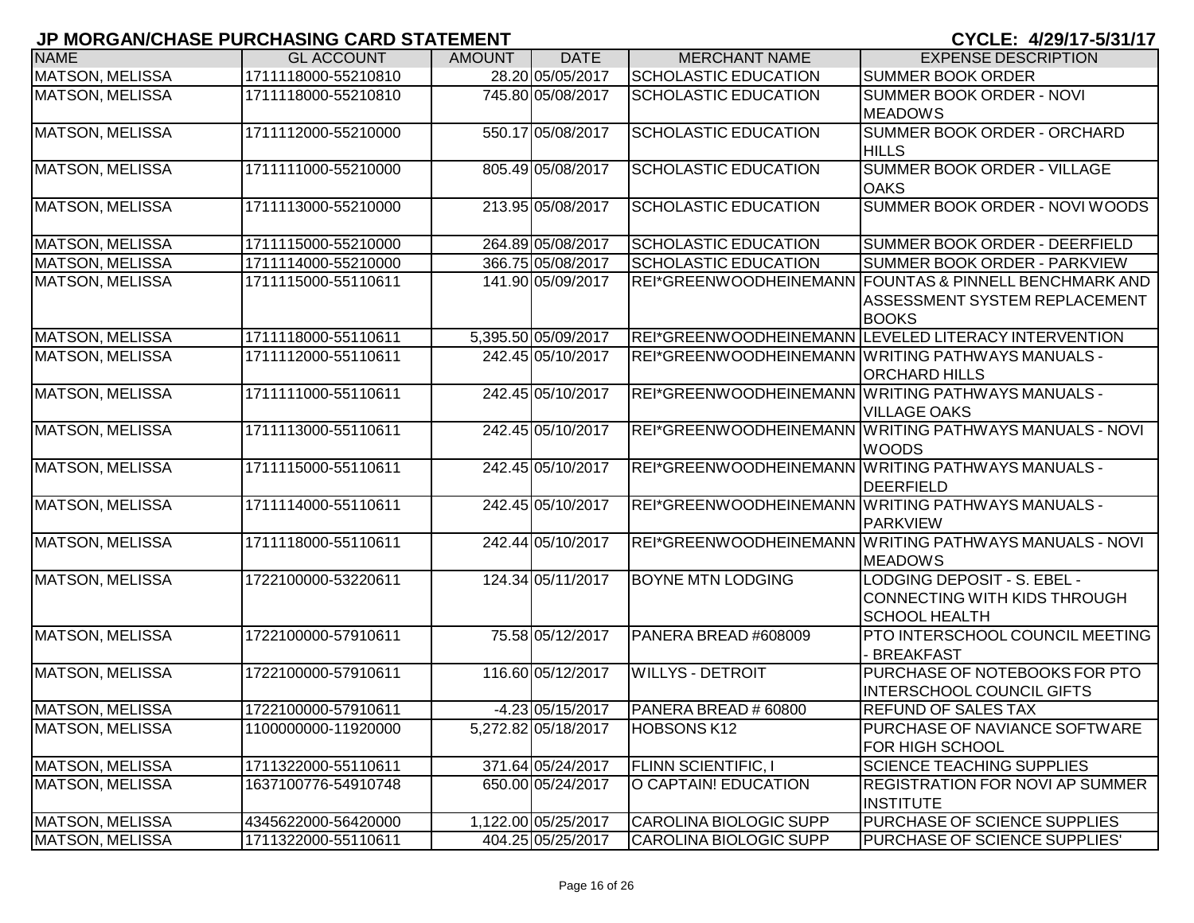| <b>NAME</b>            | <b>GL ACCOUNT</b>   | <b>AMOUNT</b> | <b>DATE</b>         | <b>MERCHANT NAME</b>          | <b>EXPENSE DESCRIPTION</b>                             |
|------------------------|---------------------|---------------|---------------------|-------------------------------|--------------------------------------------------------|
| MATSON, MELISSA        | 1711118000-55210810 |               | 28.20 05/05/2017    | <b>SCHOLASTIC EDUCATION</b>   | <b>SUMMER BOOK ORDER</b>                               |
| <b>MATSON, MELISSA</b> | 1711118000-55210810 |               | 745.80 05/08/2017   | <b>SCHOLASTIC EDUCATION</b>   | SUMMER BOOK ORDER - NOVI                               |
|                        |                     |               |                     |                               | <b>MEADOWS</b>                                         |
| <b>MATSON, MELISSA</b> | 1711112000-55210000 |               | 550.17 05/08/2017   | <b>SCHOLASTIC EDUCATION</b>   | <b>SUMMER BOOK ORDER - ORCHARD</b>                     |
|                        |                     |               |                     |                               | <b>HILLS</b>                                           |
| <b>MATSON, MELISSA</b> | 1711111000-55210000 |               | 805.49 05/08/2017   | <b>SCHOLASTIC EDUCATION</b>   | <b>SUMMER BOOK ORDER - VILLAGE</b>                     |
|                        |                     |               |                     |                               | <b>OAKS</b>                                            |
| MATSON, MELISSA        | 1711113000-55210000 |               | 213.95 05/08/2017   | <b>SCHOLASTIC EDUCATION</b>   | SUMMER BOOK ORDER - NOVI WOODS                         |
|                        |                     |               |                     |                               |                                                        |
| <b>MATSON, MELISSA</b> | 1711115000-55210000 |               | 264.89 05/08/2017   | <b>SCHOLASTIC EDUCATION</b>   | <b>SUMMER BOOK ORDER - DEERFIELD</b>                   |
| <b>MATSON, MELISSA</b> | 1711114000-55210000 |               | 366.75 05/08/2017   | <b>SCHOLASTIC EDUCATION</b>   | <b>SUMMER BOOK ORDER - PARKVIEW</b>                    |
| <b>MATSON, MELISSA</b> | 1711115000-55110611 |               | 141.90 05/09/2017   |                               | REI*GREENWOODHEINEMANN FOUNTAS & PINNELL BENCHMARK AND |
|                        |                     |               |                     |                               | ASSESSMENT SYSTEM REPLACEMENT<br><b>BOOKS</b>          |
| <b>MATSON, MELISSA</b> | 1711118000-55110611 |               | 5,395.50 05/09/2017 |                               | REI*GREENWOODHEINEMANN LEVELED LITERACY INTERVENTION   |
| <b>MATSON, MELISSA</b> | 1711112000-55110611 |               | 242.45 05/10/2017   |                               | REI*GREENWOODHEINEMANN WRITING PATHWAYS MANUALS -      |
|                        |                     |               |                     |                               | <b>ORCHARD HILLS</b>                                   |
| <b>MATSON, MELISSA</b> | 1711111000-55110611 |               | 242.45 05/10/2017   |                               | REI*GREENWOODHEINEMANN WRITING PATHWAYS MANUALS -      |
|                        |                     |               |                     |                               | <b>VILLAGE OAKS</b>                                    |
| <b>MATSON, MELISSA</b> | 1711113000-55110611 |               | 242.45 05/10/2017   |                               | REI*GREENWOODHEINEMANN WRITING PATHWAYS MANUALS - NOVI |
|                        |                     |               |                     |                               | <b>WOODS</b>                                           |
| <b>MATSON, MELISSA</b> | 1711115000-55110611 |               | 242.45 05/10/2017   |                               | REI*GREENWOODHEINEMANN WRITING PATHWAYS MANUALS -      |
|                        |                     |               |                     |                               | <b>DEERFIELD</b>                                       |
| <b>MATSON, MELISSA</b> | 1711114000-55110611 |               | 242.45 05/10/2017   |                               | REI*GREENWOODHEINEMANN WRITING PATHWAYS MANUALS -      |
|                        |                     |               |                     |                               | <b>PARKVIEW</b>                                        |
| <b>MATSON, MELISSA</b> | 1711118000-55110611 |               | 242.44 05/10/2017   |                               | REI*GREENWOODHEINEMANN WRITING PATHWAYS MANUALS - NOVI |
|                        |                     |               |                     |                               | <b>MEADOWS</b>                                         |
| <b>MATSON, MELISSA</b> | 1722100000-53220611 |               | 124.34 05/11/2017   | <b>BOYNE MTN LODGING</b>      | <b>LODGING DEPOSIT - S. EBEL -</b>                     |
|                        |                     |               |                     |                               | CONNECTING WITH KIDS THROUGH                           |
|                        |                     |               |                     |                               | <b>SCHOOL HEALTH</b>                                   |
| <b>MATSON, MELISSA</b> | 1722100000-57910611 |               | 75.58 05/12/2017    | PANERA BREAD #608009          | <b>PTO INTERSCHOOL COUNCIL MEETING</b>                 |
|                        |                     |               |                     |                               | <b>BREAKFAST</b>                                       |
| <b>MATSON, MELISSA</b> | 1722100000-57910611 |               | 116.60 05/12/2017   | <b>WILLYS - DETROIT</b>       | PURCHASE OF NOTEBOOKS FOR PTO                          |
|                        |                     |               |                     |                               | <b>INTERSCHOOL COUNCIL GIFTS</b>                       |
| <b>MATSON, MELISSA</b> | 1722100000-57910611 |               | $-4.23 05/15/2017$  | PANERA BREAD # 60800          | <b>REFUND OF SALES TAX</b>                             |
| <b>MATSON, MELISSA</b> | 1100000000-11920000 |               | 5,272.82 05/18/2017 | <b>HOBSONS K12</b>            | PURCHASE OF NAVIANCE SOFTWARE                          |
|                        |                     |               |                     |                               | <b>FOR HIGH SCHOOL</b>                                 |
| <b>MATSON, MELISSA</b> | 1711322000-55110611 |               | 371.64 05/24/2017   | <b>FLINN SCIENTIFIC, I</b>    | <b>SCIENCE TEACHING SUPPLIES</b>                       |
| <b>MATSON, MELISSA</b> | 1637100776-54910748 |               | 650.00 05/24/2017   | O CAPTAIN! EDUCATION          | <b>REGISTRATION FOR NOVI AP SUMMER</b>                 |
|                        |                     |               |                     |                               | <b>INSTITUTE</b>                                       |
| <b>MATSON, MELISSA</b> | 4345622000-56420000 |               | 1,122.00 05/25/2017 | <b>CAROLINA BIOLOGIC SUPP</b> | PURCHASE OF SCIENCE SUPPLIES                           |
| MATSON, MELISSA        | 1711322000-55110611 |               | 404.25 05/25/2017   | <b>CAROLINA BIOLOGIC SUPP</b> | PURCHASE OF SCIENCE SUPPLIES'                          |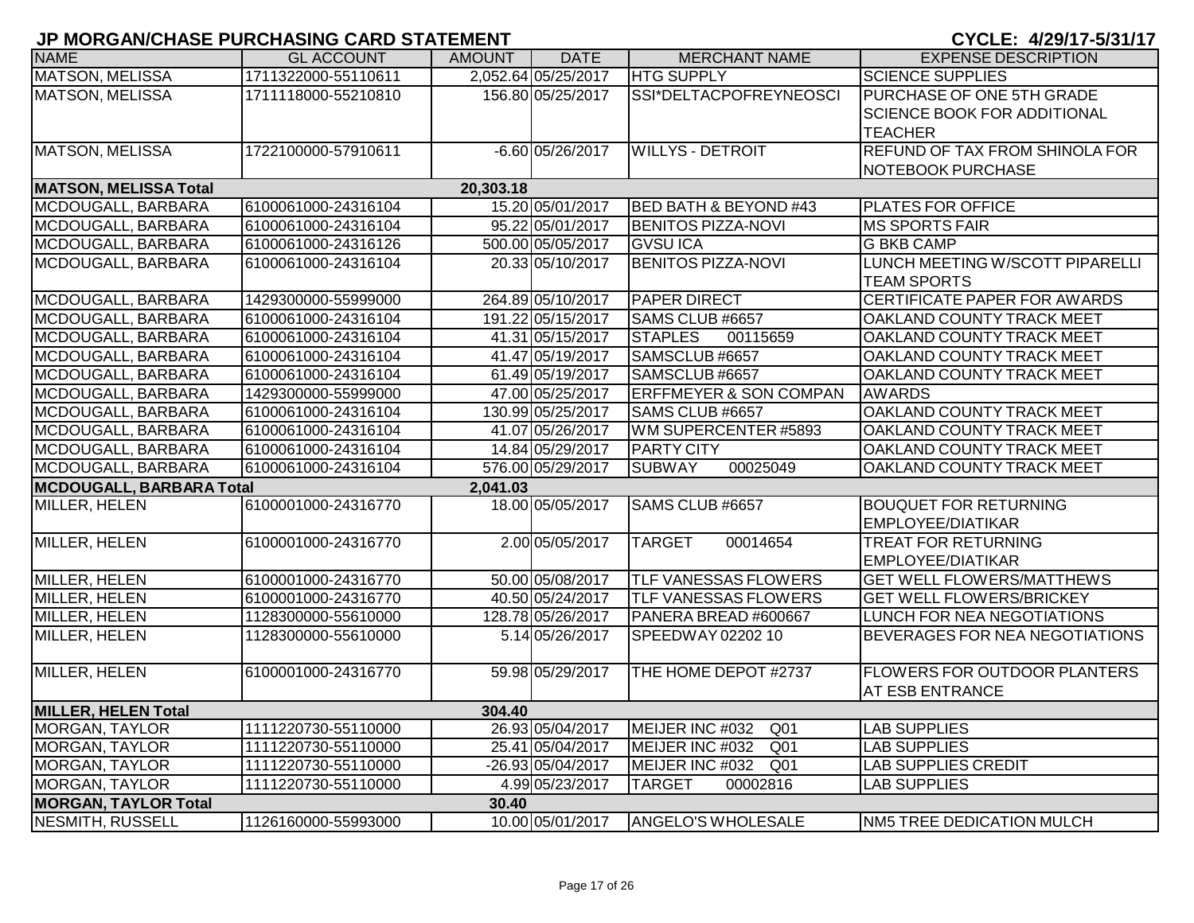|                                 | <u>of monoration the renormality orald on the menti</u> |           |                     |                                    |                                       |
|---------------------------------|---------------------------------------------------------|-----------|---------------------|------------------------------------|---------------------------------------|
| <b>NAME</b>                     | <b>GL ACCOUNT</b>                                       | AMOUNT    | <b>DATE</b>         | <b>MERCHANT NAME</b>               | <b>EXPENSE DESCRIPTION</b>            |
| <b>MATSON, MELISSA</b>          | 1711322000-55110611                                     |           | 2,052.64 05/25/2017 | <b>HTG SUPPLY</b>                  | <b>SCIENCE SUPPLIES</b>               |
| <b>MATSON, MELISSA</b>          | 1711118000-55210810                                     |           | 156.80 05/25/2017   | SSI*DELTACPOFREYNEOSCI             | PURCHASE OF ONE 5TH GRADE             |
|                                 |                                                         |           |                     |                                    | <b>SCIENCE BOOK FOR ADDITIONAL</b>    |
|                                 |                                                         |           |                     |                                    | <b>TEACHER</b>                        |
| <b>MATSON, MELISSA</b>          | 1722100000-57910611                                     |           | $-6.60$ 05/26/2017  | <b>WILLYS - DETROIT</b>            | <b>REFUND OF TAX FROM SHINOLA FOR</b> |
|                                 |                                                         |           |                     |                                    | NOTEBOOK PURCHASE                     |
| <b>MATSON, MELISSA Total</b>    |                                                         | 20,303.18 |                     |                                    |                                       |
| MCDOUGALL, BARBARA              | 6100061000-24316104                                     |           | 15.20 05/01/2017    | <b>BED BATH &amp; BEYOND #43</b>   | PLATES FOR OFFICE                     |
| MCDOUGALL, BARBARA              | 6100061000-24316104                                     |           | 95.22 05/01/2017    | <b>BENITOS PIZZA-NOVI</b>          | <b>MS SPORTS FAIR</b>                 |
| MCDOUGALL, BARBARA              | 6100061000-24316126                                     |           | 500.00 05/05/2017   | <b>GVSUICA</b>                     | <b>G BKB CAMP</b>                     |
| MCDOUGALL, BARBARA              | 6100061000-24316104                                     |           | 20.33 05/10/2017    | <b>BENITOS PIZZA-NOVI</b>          | LUNCH MEETING W/SCOTT PIPARELLI       |
|                                 |                                                         |           |                     |                                    | <b>TEAM SPORTS</b>                    |
| MCDOUGALL, BARBARA              | 1429300000-55999000                                     |           | 264.89 05/10/2017   | <b>PAPER DIRECT</b>                | CERTIFICATE PAPER FOR AWARDS          |
| MCDOUGALL, BARBARA              | 6100061000-24316104                                     |           | 191.22 05/15/2017   | SAMS CLUB #6657                    | <b>OAKLAND COUNTY TRACK MEET</b>      |
| MCDOUGALL, BARBARA              | 6100061000-24316104                                     |           | 41.31 05/15/2017    | <b>STAPLES</b><br>00115659         | <b>OAKLAND COUNTY TRACK MEET</b>      |
| MCDOUGALL, BARBARA              | 6100061000-24316104                                     |           | 41.47 05/19/2017    | SAMSCLUB #6657                     | <b>OAKLAND COUNTY TRACK MEET</b>      |
| MCDOUGALL, BARBARA              | 6100061000-24316104                                     |           | 61.49 05/19/2017    | SAMSCLUB #6657                     | <b>OAKLAND COUNTY TRACK MEET</b>      |
| MCDOUGALL, BARBARA              | 1429300000-55999000                                     |           | 47.00 05/25/2017    | <b>ERFFMEYER &amp; SON COMPAN</b>  | <b>AWARDS</b>                         |
| MCDOUGALL, BARBARA              | 6100061000-24316104                                     |           | 130.99 05/25/2017   | SAMS CLUB #6657                    | OAKLAND COUNTY TRACK MEET             |
| MCDOUGALL, BARBARA              | 6100061000-24316104                                     |           | 41.07 05/26/2017    | WM SUPERCENTER #5893               | <b>OAKLAND COUNTY TRACK MEET</b>      |
| MCDOUGALL, BARBARA              | 6100061000-24316104                                     |           | 14.84 05/29/2017    | <b>PARTY CITY</b>                  | OAKLAND COUNTY TRACK MEET             |
| MCDOUGALL, BARBARA              | 6100061000-24316104                                     |           | 576.00 05/29/2017   | <b>SUBWAY</b><br>00025049          | <b>OAKLAND COUNTY TRACK MEET</b>      |
| <b>MCDOUGALL, BARBARA Total</b> |                                                         | 2,041.03  |                     |                                    |                                       |
| MILLER, HELEN                   | 6100001000-24316770                                     |           | 18.00 05/05/2017    | SAMS CLUB #6657                    | <b>BOUQUET FOR RETURNING</b>          |
|                                 |                                                         |           |                     |                                    | <b>EMPLOYEE/DIATIKAR</b>              |
| MILLER, HELEN                   | 6100001000-24316770                                     |           | 2.00 05/05/2017     | <b>TARGET</b><br>00014654          | <b>TREAT FOR RETURNING</b>            |
|                                 |                                                         |           |                     |                                    | EMPLOYEE/DIATIKAR                     |
| MILLER, HELEN                   | 6100001000-24316770                                     |           | 50.00 05/08/2017    | <b>TLF VANESSAS FLOWERS</b>        | <b>GET WELL FLOWERS/MATTHEWS</b>      |
| MILLER, HELEN                   | 6100001000-24316770                                     |           | 40.50 05/24/2017    | <b>TLF VANESSAS FLOWERS</b>        | <b>GET WELL FLOWERS/BRICKEY</b>       |
| <b>MILLER, HELEN</b>            | 1128300000-55610000                                     |           | 128.78 05/26/2017   | PANERA BREAD #600667               | LUNCH FOR NEA NEGOTIATIONS            |
| MILLER, HELEN                   | 1128300000-55610000                                     |           | 5.14 05/26/2017     | SPEEDWAY 02202 10                  | BEVERAGES FOR NEA NEGOTIATIONS        |
|                                 |                                                         |           |                     |                                    |                                       |
| MILLER, HELEN                   | 6100001000-24316770                                     |           | 59.98 05/29/2017    | THE HOME DEPOT #2737               | <b>FLOWERS FOR OUTDOOR PLANTERS</b>   |
|                                 |                                                         |           |                     |                                    | <b>AT ESB ENTRANCE</b>                |
| <b>MILLER, HELEN Total</b>      |                                                         | 304.40    |                     |                                    |                                       |
| <b>MORGAN, TAYLOR</b>           | 1111220730-55110000                                     |           | 26.93 05/04/2017    | MEIJER INC #032 Q01                | <b>LAB SUPPLIES</b>                   |
| MORGAN, TAYLOR                  | 1111220730-55110000                                     |           | 25.41 05/04/2017    | MEIJER INC #032<br>Q <sub>01</sub> | <b>LAB SUPPLIES</b>                   |
| MORGAN, TAYLOR                  | 1111220730-55110000                                     |           | -26.93 05/04/2017   | MEIJER INC #032 Q01                | <b>LAB SUPPLIES CREDIT</b>            |
| <b>MORGAN, TAYLOR</b>           | 1111220730-55110000                                     |           | 4.99 05/23/2017     | <b>TARGET</b><br>00002816          | <b>LAB SUPPLIES</b>                   |
| <b>MORGAN, TAYLOR Total</b>     |                                                         | 30.40     |                     |                                    |                                       |
| NESMITH, RUSSELL                | 1126160000-55993000                                     |           | 10.00 05/01/2017    | <b>ANGELO'S WHOLESALE</b>          | NM5 TREE DEDICATION MULCH             |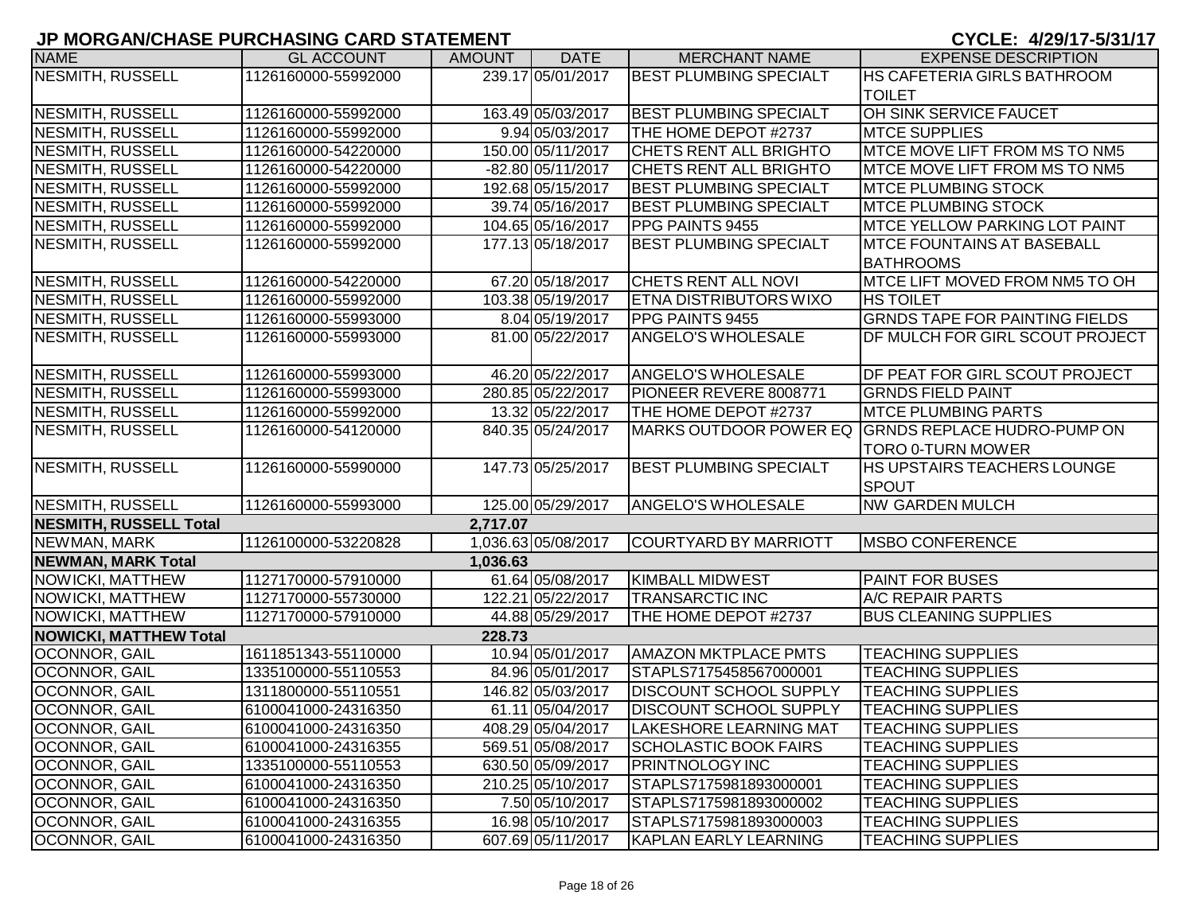| <b>NAME</b>                   | <b>GL ACCOUNT</b>   | <b>AMOUNT</b> | <b>DATE</b>         | <b>MERCHANT NAME</b>          | <b>EXPENSE DESCRIPTION</b>            |
|-------------------------------|---------------------|---------------|---------------------|-------------------------------|---------------------------------------|
| NESMITH, RUSSELL              | 1126160000-55992000 |               | 239.17 05/01/2017   | <b>BEST PLUMBING SPECIALT</b> | HS CAFETERIA GIRLS BATHROOM           |
|                               |                     |               |                     |                               | <b>TOILET</b>                         |
| NESMITH, RUSSELL              | 1126160000-55992000 |               | 163.49 05/03/2017   | <b>BEST PLUMBING SPECIALT</b> | OH SINK SERVICE FAUCET                |
| <b>NESMITH, RUSSELL</b>       | 1126160000-55992000 |               | 9.94 05/03/2017     | THE HOME DEPOT #2737          | <b>MTCE SUPPLIES</b>                  |
| NESMITH, RUSSELL              | 1126160000-54220000 |               | 150.00 05/11/2017   | <b>CHETS RENT ALL BRIGHTO</b> | MTCE MOVE LIFT FROM MS TO NM5         |
| NESMITH, RUSSELL              | 1126160000-54220000 |               | -82.80 05/11/2017   | <b>CHETS RENT ALL BRIGHTO</b> | MTCE MOVE LIFT FROM MS TO NM5         |
| NESMITH, RUSSELL              | 1126160000-55992000 |               | 192.68 05/15/2017   | <b>BEST PLUMBING SPECIALT</b> | <b>MTCE PLUMBING STOCK</b>            |
| NESMITH, RUSSELL              | 1126160000-55992000 |               | 39.74 05/16/2017    | <b>BEST PLUMBING SPECIALT</b> | <b>MTCE PLUMBING STOCK</b>            |
| NESMITH, RUSSELL              | 1126160000-55992000 |               | 104.65 05/16/2017   | <b>PPG PAINTS 9455</b>        | <b>MTCE YELLOW PARKING LOT PAINT</b>  |
| NESMITH, RUSSELL              | 1126160000-55992000 |               | 177.13 05/18/2017   | <b>BEST PLUMBING SPECIALT</b> | <b>MTCE FOUNTAINS AT BASEBALL</b>     |
|                               |                     |               |                     |                               | <b>BATHROOMS</b>                      |
| <b>NESMITH, RUSSELL</b>       | 1126160000-54220000 |               | 67.20 05/18/2017    | <b>CHETS RENT ALL NOVI</b>    | MTCE LIFT MOVED FROM NM5 TO OH        |
| NESMITH, RUSSELL              | 1126160000-55992000 |               | 103.38 05/19/2017   | <b>ETNA DISTRIBUTORS WIXO</b> | <b>HS TOILET</b>                      |
| NESMITH, RUSSELL              | 1126160000-55993000 |               | 8.04 05/19/2017     | PPG PAINTS 9455               | <b>GRNDS TAPE FOR PAINTING FIELDS</b> |
| NESMITH, RUSSELL              | 1126160000-55993000 |               | 81.00 05/22/2017    | <b>ANGELO'S WHOLESALE</b>     | DF MULCH FOR GIRL SCOUT PROJECT       |
|                               |                     |               |                     |                               |                                       |
| <b>NESMITH, RUSSELL</b>       | 1126160000-55993000 |               | 46.20 05/22/2017    | <b>ANGELO'S WHOLESALE</b>     | DF PEAT FOR GIRL SCOUT PROJECT        |
| <b>NESMITH, RUSSELL</b>       | 1126160000-55993000 |               | 280.85 05/22/2017   | PIONEER REVERE 8008771        | <b>GRNDS FIELD PAINT</b>              |
| <b>NESMITH, RUSSELL</b>       | 1126160000-55992000 |               | 13.32 05/22/2017    | THE HOME DEPOT #2737          | <b>IMTCE PLUMBING PARTS</b>           |
| NESMITH, RUSSELL              | 1126160000-54120000 |               | 840.35 05/24/2017   | MARKS OUTDOOR POWER EQ        | <b>GRNDS REPLACE HUDRO-PUMP ON</b>    |
|                               |                     |               |                     |                               | <b>TORO 0-TURN MOWER</b>              |
| NESMITH, RUSSELL              | 1126160000-55990000 |               | 147.73 05/25/2017   | <b>BEST PLUMBING SPECIALT</b> | <b>HS UPSTAIRS TEACHERS LOUNGE</b>    |
|                               |                     |               |                     |                               | <b>SPOUT</b>                          |
| NESMITH, RUSSELL              | 1126160000-55993000 |               | 125.00 05/29/2017   | <b>ANGELO'S WHOLESALE</b>     | <b>NW GARDEN MULCH</b>                |
| <b>NESMITH, RUSSELL Total</b> |                     | 2,717.07      |                     |                               |                                       |
| NEWMAN, MARK                  | 1126100000-53220828 |               | 1,036.63 05/08/2017 | COURTYARD BY MARRIOTT         | <b>MSBO CONFERENCE</b>                |
| <b>NEWMAN, MARK Total</b>     |                     | 1,036.63      |                     |                               |                                       |
| NOWICKI, MATTHEW              | 1127170000-57910000 |               | 61.64 05/08/2017    | <b>KIMBALL MIDWEST</b>        | <b>PAINT FOR BUSES</b>                |
| <b>NOWICKI, MATTHEW</b>       | 1127170000-55730000 |               | 122.21 05/22/2017   | <b>TRANSARCTIC INC</b>        | A/C REPAIR PARTS                      |
| NOWICKI, MATTHEW              | 1127170000-57910000 |               | 44.88 05/29/2017    | THE HOME DEPOT #2737          | <b>BUS CLEANING SUPPLIES</b>          |
| <b>NOWICKI, MATTHEW Total</b> |                     | 228.73        |                     |                               |                                       |
| <b>OCONNOR, GAIL</b>          | 1611851343-55110000 |               | 10.94 05/01/2017    | <b>AMAZON MKTPLACE PMTS</b>   | <b>TEACHING SUPPLIES</b>              |
| OCONNOR, GAIL                 | 1335100000-55110553 |               | 84.96 05/01/2017    | STAPLS7175458567000001        | <b>TEACHING SUPPLIES</b>              |
| OCONNOR, GAIL                 | 1311800000-55110551 |               | 146.82 05/03/2017   | <b>DISCOUNT SCHOOL SUPPLY</b> | <b>TEACHING SUPPLIES</b>              |
| OCONNOR, GAIL                 | 6100041000-24316350 |               | 61.11 05/04/2017    | <b>DISCOUNT SCHOOL SUPPLY</b> | <b>TEACHING SUPPLIES</b>              |
| OCONNOR, GAIL                 | 6100041000-24316350 |               | 408.29 05/04/2017   | <b>LAKESHORE LEARNING MAT</b> | <b>TEACHING SUPPLIES</b>              |
| OCONNOR, GAIL                 | 6100041000-24316355 |               | 569.51 05/08/2017   | <b>SCHOLASTIC BOOK FAIRS</b>  | <b>TEACHING SUPPLIES</b>              |
| OCONNOR, GAIL                 | 1335100000-55110553 |               | 630.50 05/09/2017   | <b>PRINTNOLOGY INC</b>        | <b>TEACHING SUPPLIES</b>              |
| OCONNOR, GAIL                 | 6100041000-24316350 |               | 210.25 05/10/2017   | STAPLS7175981893000001        | <b>TEACHING SUPPLIES</b>              |
| OCONNOR, GAIL                 | 6100041000-24316350 |               | 7.50 05/10/2017     | STAPLS7175981893000002        | <b>TEACHING SUPPLIES</b>              |
| OCONNOR, GAIL                 | 6100041000-24316355 |               | 16.98 05/10/2017    | STAPLS7175981893000003        | <b>TEACHING SUPPLIES</b>              |
| OCONNOR, GAIL                 | 6100041000-24316350 |               | 607.69 05/11/2017   | KAPLAN EARLY LEARNING         | <b>TEACHING SUPPLIES</b>              |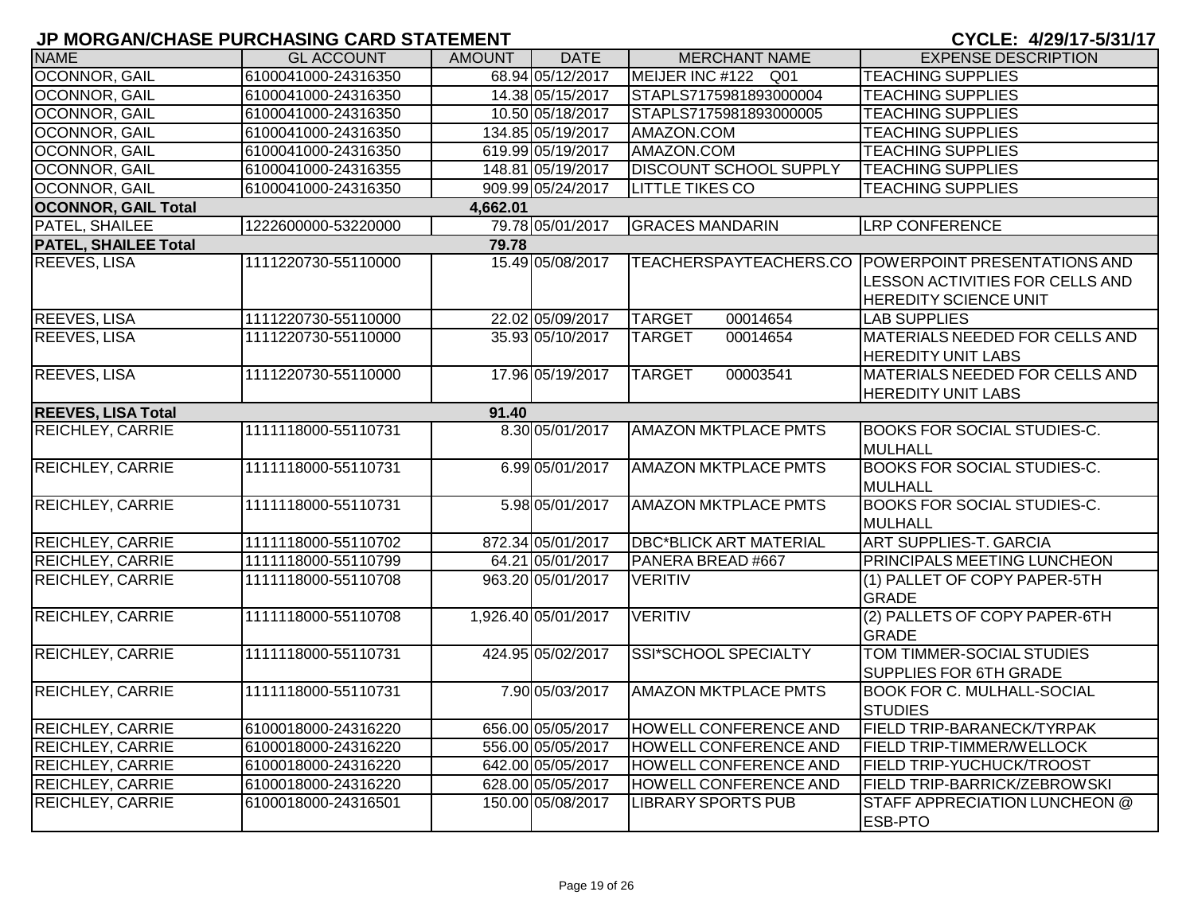| <b>NAME</b>                 | <b>GL ACCOUNT</b>   | AMOUNT   | <b>DATE</b>         | <b>MERCHANT NAME</b>          | <b>EXPENSE DESCRIPTION</b>                                                                                             |
|-----------------------------|---------------------|----------|---------------------|-------------------------------|------------------------------------------------------------------------------------------------------------------------|
| <b>OCONNOR, GAIL</b>        | 6100041000-24316350 |          | 68.94 05/12/2017    | MEIJER INC #122 Q01           | <b>TEACHING SUPPLIES</b>                                                                                               |
| <b>OCONNOR, GAIL</b>        | 6100041000-24316350 |          | 14.38 05/15/2017    | STAPLS7175981893000004        | <b>TEACHING SUPPLIES</b>                                                                                               |
| <b>OCONNOR, GAIL</b>        | 6100041000-24316350 |          | 10.50 05/18/2017    | STAPLS7175981893000005        | <b>TEACHING SUPPLIES</b>                                                                                               |
| <b>OCONNOR, GAIL</b>        | 6100041000-24316350 |          | 134.85 05/19/2017   | AMAZON.COM                    | <b>TEACHING SUPPLIES</b>                                                                                               |
| OCONNOR, GAIL               | 6100041000-24316350 |          | 619.99 05/19/2017   | AMAZON.COM                    | <b>TEACHING SUPPLIES</b>                                                                                               |
| <b>OCONNOR, GAIL</b>        | 6100041000-24316355 |          | 148.81 05/19/2017   | <b>DISCOUNT SCHOOL SUPPLY</b> | <b>TEACHING SUPPLIES</b>                                                                                               |
| <b>OCONNOR, GAIL</b>        | 6100041000-24316350 |          | 909.99 05/24/2017   | <b>LITTLE TIKES CO</b>        | <b>TEACHING SUPPLIES</b>                                                                                               |
| <b>OCONNOR, GAIL Total</b>  |                     | 4,662.01 |                     |                               |                                                                                                                        |
| PATEL, SHAILEE              | 1222600000-53220000 |          | 79.78 05/01/2017    | <b>GRACES MANDARIN</b>        | <b>LRP CONFERENCE</b>                                                                                                  |
| <b>PATEL, SHAILEE Total</b> |                     | 79.78    |                     |                               |                                                                                                                        |
| <b>REEVES, LISA</b>         | 1111220730-55110000 |          | 15.49 05/08/2017    |                               | TEACHERSPAYTEACHERS.CO POWERPOINT PRESENTATIONS AND<br>LESSON ACTIVITIES FOR CELLS AND<br><b>HEREDITY SCIENCE UNIT</b> |
| <b>REEVES, LISA</b>         | 1111220730-55110000 |          | 22.02 05/09/2017    | 00014654<br><b>TARGET</b>     | <b>LAB SUPPLIES</b>                                                                                                    |
| <b>REEVES, LISA</b>         | 1111220730-55110000 |          | 35.93 05/10/2017    | 00014654<br><b>TARGET</b>     | <b>MATERIALS NEEDED FOR CELLS AND</b><br><b>HEREDITY UNIT LABS</b>                                                     |
| <b>REEVES, LISA</b>         | 1111220730-55110000 |          | 17.96 05/19/2017    | <b>TARGET</b><br>00003541     | <b>MATERIALS NEEDED FOR CELLS AND</b><br><b>HEREDITY UNIT LABS</b>                                                     |
| <b>REEVES, LISA Total</b>   |                     | 91.40    |                     |                               |                                                                                                                        |
| <b>REICHLEY, CARRIE</b>     | 1111118000-55110731 |          | 8.30 05/01/2017     | <b>AMAZON MKTPLACE PMTS</b>   | <b>BOOKS FOR SOCIAL STUDIES-C.</b><br>MULHALL                                                                          |
| <b>REICHLEY, CARRIE</b>     | 1111118000-55110731 |          | 6.99 05/01/2017     | <b>AMAZON MKTPLACE PMTS</b>   | <b>BOOKS FOR SOCIAL STUDIES-C.</b><br><b>MULHALL</b>                                                                   |
| <b>REICHLEY, CARRIE</b>     | 1111118000-55110731 |          | 5.98 05/01/2017     | <b>AMAZON MKTPLACE PMTS</b>   | <b>BOOKS FOR SOCIAL STUDIES-C.</b><br><b>MULHALL</b>                                                                   |
| <b>REICHLEY, CARRIE</b>     | 1111118000-55110702 |          | 872.34 05/01/2017   | <b>DBC*BLICK ART MATERIAL</b> | <b>ART SUPPLIES-T. GARCIA</b>                                                                                          |
| <b>REICHLEY, CARRIE</b>     | 1111118000-55110799 |          | 64.21 05/01/2017    | PANERA BREAD #667             | PRINCIPALS MEETING LUNCHEON                                                                                            |
| <b>REICHLEY, CARRIE</b>     | 1111118000-55110708 |          | 963.20 05/01/2017   | <b>VERITIV</b>                | (1) PALLET OF COPY PAPER-5TH<br><b>GRADE</b>                                                                           |
| <b>REICHLEY, CARRIE</b>     | 1111118000-55110708 |          | 1,926.40 05/01/2017 | <b>VERITIV</b>                | (2) PALLETS OF COPY PAPER-6TH<br><b>GRADE</b>                                                                          |
| <b>REICHLEY, CARRIE</b>     | 1111118000-55110731 |          | 424.95 05/02/2017   | <b>SSI*SCHOOL SPECIALTY</b>   | TOM TIMMER-SOCIAL STUDIES<br>SUPPLIES FOR 6TH GRADE                                                                    |
| <b>REICHLEY, CARRIE</b>     | 1111118000-55110731 |          | 7.90 05/03/2017     | <b>AMAZON MKTPLACE PMTS</b>   | <b>BOOK FOR C. MULHALL-SOCIAL</b><br><b>STUDIES</b>                                                                    |
| REICHLEY, CARRIE            | 6100018000-24316220 |          | 656.00 05/05/2017   | <b>HOWELL CONFERENCE AND</b>  | FIELD TRIP-BARANECK/TYRPAK                                                                                             |
| <b>REICHLEY, CARRIE</b>     | 6100018000-24316220 |          | 556.00 05/05/2017   | <b>HOWELL CONFERENCE AND</b>  | FIELD TRIP-TIMMER/WELLOCK                                                                                              |
| <b>REICHLEY, CARRIE</b>     | 6100018000-24316220 |          | 642.00 05/05/2017   | <b>HOWELL CONFERENCE AND</b>  | FIELD TRIP-YUCHUCK/TROOST                                                                                              |
| <b>REICHLEY, CARRIE</b>     | 6100018000-24316220 |          | 628.00 05/05/2017   | <b>HOWELL CONFERENCE AND</b>  | FIELD TRIP-BARRICK/ZEBROWSKI                                                                                           |
| <b>REICHLEY, CARRIE</b>     | 6100018000-24316501 |          | 150.00 05/08/2017   | <b>LIBRARY SPORTS PUB</b>     | STAFF APPRECIATION LUNCHEON @<br><b>ESB-PTO</b>                                                                        |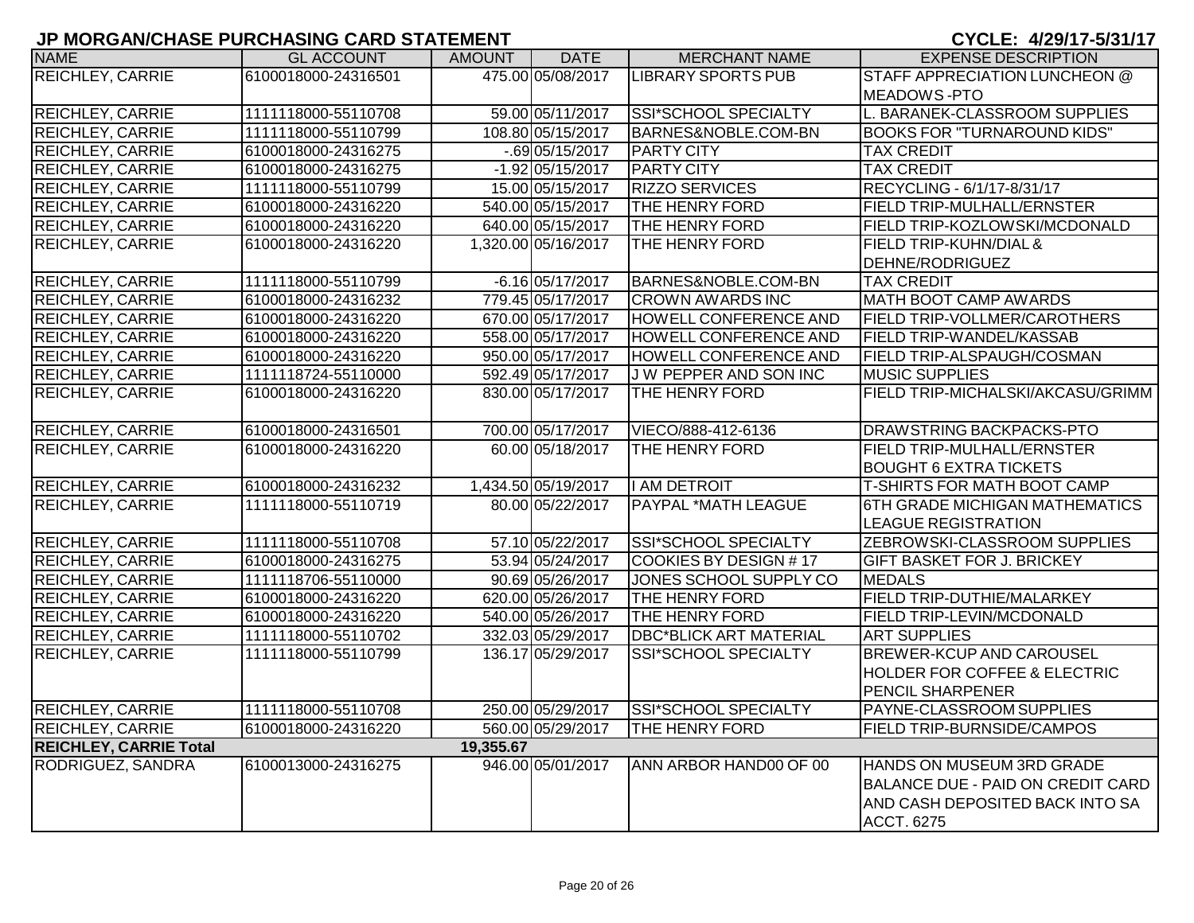| <b>NAME</b>                   | <b>GL ACCOUNT</b>   | <b>AMOUNT</b> | <b>DATE</b>         | <b>MERCHANT NAME</b>          | <b>EXPENSE DESCRIPTION</b>              |
|-------------------------------|---------------------|---------------|---------------------|-------------------------------|-----------------------------------------|
| <b>REICHLEY, CARRIE</b>       | 6100018000-24316501 |               | 475.00 05/08/2017   | <b>LIBRARY SPORTS PUB</b>     | <b>STAFF APPRECIATION LUNCHEON @</b>    |
|                               |                     |               |                     |                               | <b>MEADOWS-PTO</b>                      |
| <b>REICHLEY, CARRIE</b>       | 1111118000-55110708 |               | 59.00 05/11/2017    | SSI*SCHOOL SPECIALTY          | L. BARANEK-CLASSROOM SUPPLIES           |
| <b>REICHLEY, CARRIE</b>       | 1111118000-55110799 |               | 108.80 05/15/2017   | BARNES&NOBLE.COM-BN           | <b>BOOKS FOR "TURNAROUND KIDS"</b>      |
| <b>REICHLEY, CARRIE</b>       | 6100018000-24316275 |               | $-0.69$ 05/15/2017  | <b>PARTY CITY</b>             | <b>TAX CREDIT</b>                       |
| <b>REICHLEY, CARRIE</b>       | 6100018000-24316275 |               | $-1.92$ 05/15/2017  | <b>PARTY CITY</b>             | <b>TAX CREDIT</b>                       |
| <b>REICHLEY, CARRIE</b>       | 1111118000-55110799 |               | 15.00 05/15/2017    | <b>RIZZO SERVICES</b>         | RECYCLING - 6/1/17-8/31/17              |
| <b>REICHLEY, CARRIE</b>       | 6100018000-24316220 |               | 540.00 05/15/2017   | THE HENRY FORD                | <b>FIELD TRIP-MULHALL/ERNSTER</b>       |
| <b>REICHLEY, CARRIE</b>       | 6100018000-24316220 |               | 640.00 05/15/2017   | THE HENRY FORD                | FIELD TRIP-KOZLOWSKI/MCDONALD           |
| <b>REICHLEY, CARRIE</b>       | 6100018000-24316220 |               | 1,320.00 05/16/2017 | THE HENRY FORD                | <b>FIELD TRIP-KUHN/DIAL &amp;</b>       |
|                               |                     |               |                     |                               | DEHNE/RODRIGUEZ                         |
| <b>REICHLEY, CARRIE</b>       | 1111118000-55110799 |               | $-6.16$ 05/17/2017  | BARNES&NOBLE.COM-BN           | <b>TAX CREDIT</b>                       |
| <b>REICHLEY, CARRIE</b>       | 6100018000-24316232 |               | 779.45 05/17/2017   | <b>CROWN AWARDS INC</b>       | <b>MATH BOOT CAMP AWARDS</b>            |
| <b>REICHLEY, CARRIE</b>       | 6100018000-24316220 |               | 670.00 05/17/2017   | <b>HOWELL CONFERENCE AND</b>  | <b>FIELD TRIP-VOLLMER/CAROTHERS</b>     |
| <b>REICHLEY, CARRIE</b>       | 6100018000-24316220 |               | 558.00 05/17/2017   | <b>HOWELL CONFERENCE AND</b>  | <b>FIELD TRIP-WANDEL/KASSAB</b>         |
| <b>REICHLEY, CARRIE</b>       | 6100018000-24316220 |               | 950.00 05/17/2017   | <b>HOWELL CONFERENCE AND</b>  | <b>FIELD TRIP-ALSPAUGH/COSMAN</b>       |
| <b>REICHLEY, CARRIE</b>       | 1111118724-55110000 |               | 592.49 05/17/2017   | J W PEPPER AND SON INC        | <b>MUSIC SUPPLIES</b>                   |
| REICHLEY, CARRIE              | 6100018000-24316220 |               | 830.00 05/17/2017   | THE HENRY FORD                | FIELD TRIP-MICHALSKI/AKCASU/GRIMM       |
| <b>REICHLEY, CARRIE</b>       | 6100018000-24316501 |               | 700.00 05/17/2017   | VIECO/888-412-6136            | DRAWSTRING BACKPACKS-PTO                |
| <b>REICHLEY, CARRIE</b>       | 6100018000-24316220 |               | 60.00 05/18/2017    | THE HENRY FORD                | <b>FIELD TRIP-MULHALL/ERNSTER</b>       |
|                               |                     |               |                     |                               | <b>BOUGHT 6 EXTRA TICKETS</b>           |
| <b>REICHLEY, CARRIE</b>       | 6100018000-24316232 |               | 1,434.50 05/19/2017 | I AM DETROIT                  | <b>T-SHIRTS FOR MATH BOOT CAMP</b>      |
| <b>REICHLEY, CARRIE</b>       | 1111118000-55110719 |               | 80.00 05/22/2017    | <b>PAYPAL *MATH LEAGUE</b>    | 6TH GRADE MICHIGAN MATHEMATICS          |
|                               |                     |               |                     |                               | <b>LEAGUE REGISTRATION</b>              |
| <b>REICHLEY, CARRIE</b>       | 1111118000-55110708 |               | 57.10 05/22/2017    | SSI*SCHOOL SPECIALTY          | <b>ZEBROWSKI-CLASSROOM SUPPLIES</b>     |
| <b>REICHLEY, CARRIE</b>       | 6100018000-24316275 |               | 53.94 05/24/2017    | <b>COOKIES BY DESIGN #17</b>  | <b>GIFT BASKET FOR J. BRICKEY</b>       |
| <b>REICHLEY, CARRIE</b>       | 1111118706-55110000 |               | 90.69 05/26/2017    | JONES SCHOOL SUPPLY CO        | <b>MEDALS</b>                           |
| <b>REICHLEY, CARRIE</b>       | 6100018000-24316220 |               | 620.00 05/26/2017   | <b>THE HENRY FORD</b>         | <b>FIELD TRIP-DUTHIE/MALARKEY</b>       |
| REICHLEY, CARRIE              | 6100018000-24316220 |               | 540.00 05/26/2017   | <b>THE HENRY FORD</b>         | <b>FIELD TRIP-LEVIN/MCDONALD</b>        |
| <b>REICHLEY, CARRIE</b>       | 1111118000-55110702 |               | 332.03 05/29/2017   | <b>DBC*BLICK ART MATERIAL</b> | <b>ART SUPPLIES</b>                     |
| <b>REICHLEY, CARRIE</b>       | 1111118000-55110799 |               | 136.17 05/29/2017   | <b>SSI*SCHOOL SPECIALTY</b>   | <b>BREWER-KCUP AND CAROUSEL</b>         |
|                               |                     |               |                     |                               | <b>HOLDER FOR COFFEE &amp; ELECTRIC</b> |
|                               |                     |               |                     |                               | <b>PENCIL SHARPENER</b>                 |
| <b>REICHLEY, CARRIE</b>       | 1111118000-55110708 |               | 250.00 05/29/2017   | SSI*SCHOOL SPECIALTY          | <b>PAYNE-CLASSROOM SUPPLIES</b>         |
| <b>REICHLEY, CARRIE</b>       | 6100018000-24316220 |               | 560.00 05/29/2017   | THE HENRY FORD                | <b>FIELD TRIP-BURNSIDE/CAMPOS</b>       |
| <b>REICHLEY, CARRIE Total</b> |                     | 19,355.67     |                     |                               |                                         |
| RODRIGUEZ, SANDRA             | 6100013000-24316275 |               | 946.00 05/01/2017   | ANN ARBOR HAND00 OF 00        | HANDS ON MUSEUM 3RD GRADE               |
|                               |                     |               |                     |                               | BALANCE DUE - PAID ON CREDIT CARD       |
|                               |                     |               |                     |                               | AND CASH DEPOSITED BACK INTO SA         |
|                               |                     |               |                     |                               | <b>ACCT. 6275</b>                       |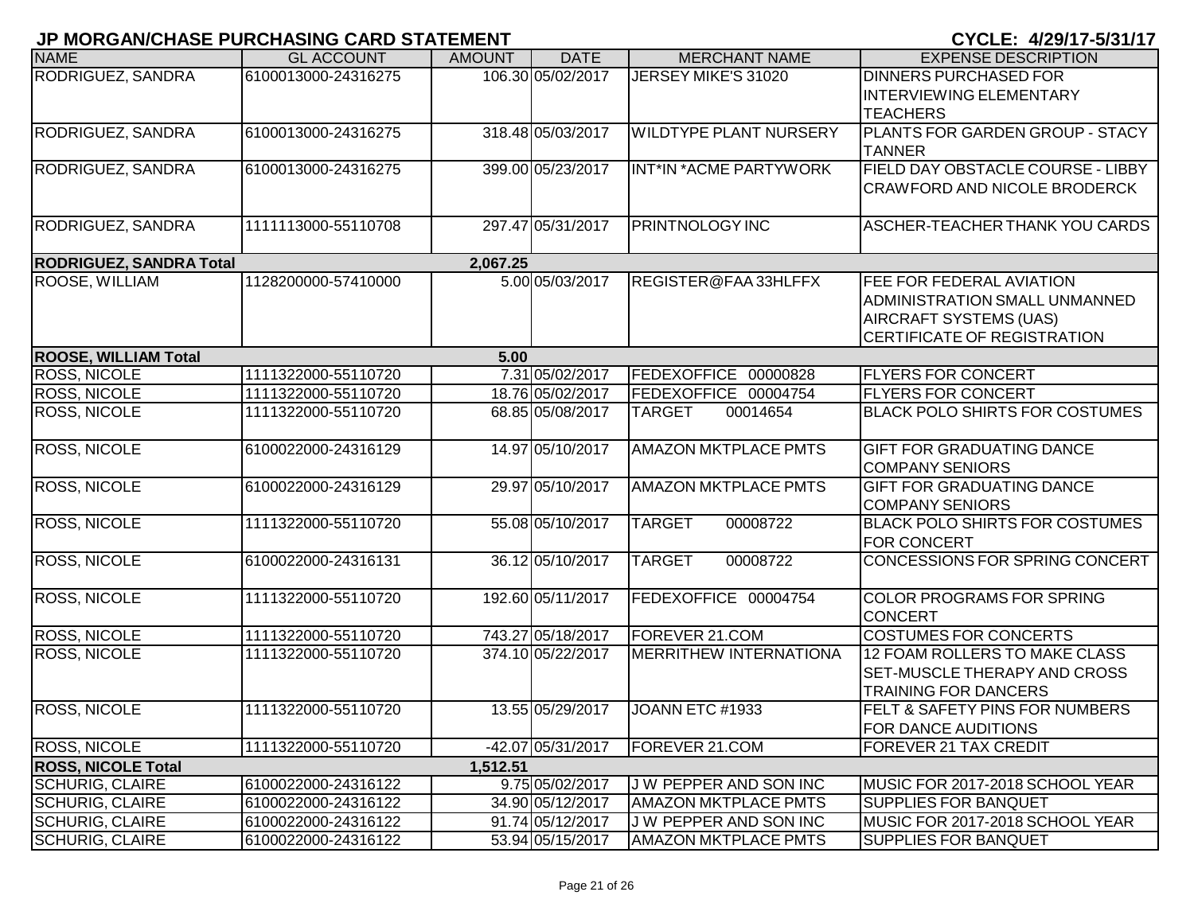|                                | <b>UNURUMULIADE I URUHAUNU UARD U ATEMENT</b> |               |                   |                               | <u>UTULL. <i>Tilui</i> 17</u> Juli        |
|--------------------------------|-----------------------------------------------|---------------|-------------------|-------------------------------|-------------------------------------------|
| <b>NAME</b>                    | <b>GL ACCOUNT</b>                             | <b>AMOUNT</b> | <b>DATE</b>       | <b>MERCHANT NAME</b>          | <b>EXPENSE DESCRIPTION</b>                |
| RODRIGUEZ, SANDRA              | 6100013000-24316275                           |               | 106.30 05/02/2017 | JERSEY MIKE'S 31020           | <b>DINNERS PURCHASED FOR</b>              |
|                                |                                               |               |                   |                               | <b>INTERVIEWING ELEMENTARY</b>            |
|                                |                                               |               |                   |                               | <b>TEACHERS</b>                           |
| RODRIGUEZ, SANDRA              | 6100013000-24316275                           |               | 318.48 05/03/2017 | <b>WILDTYPE PLANT NURSERY</b> | PLANTS FOR GARDEN GROUP - STACY           |
|                                |                                               |               |                   |                               | <b>TANNER</b>                             |
| RODRIGUEZ, SANDRA              | 6100013000-24316275                           |               | 399.00 05/23/2017 | INT*IN *ACME PARTYWORK        | <b>FIELD DAY OBSTACLE COURSE - LIBBY</b>  |
|                                |                                               |               |                   |                               | <b>CRAWFORD AND NICOLE BRODERCK</b>       |
|                                |                                               |               |                   |                               |                                           |
| <b>RODRIGUEZ, SANDRA</b>       | 1111113000-55110708                           |               | 297.47 05/31/2017 | <b>PRINTNOLOGY INC</b>        | ASCHER-TEACHER THANK YOU CARDS            |
|                                |                                               |               |                   |                               |                                           |
| <b>RODRIGUEZ, SANDRA Total</b> |                                               | 2,067.25      |                   |                               |                                           |
| ROOSE, WILLIAM                 | 1128200000-57410000                           |               | 5.00 05/03/2017   | REGISTER@FAA33HLFFX           | <b>FEE FOR FEDERAL AVIATION</b>           |
|                                |                                               |               |                   |                               | ADMINISTRATION SMALL UNMANNED             |
|                                |                                               |               |                   |                               | AIRCRAFT SYSTEMS (UAS)                    |
|                                |                                               |               |                   |                               | <b>CERTIFICATE OF REGISTRATION</b>        |
| <b>ROOSE, WILLIAM Total</b>    |                                               | 5.00          |                   |                               |                                           |
| <b>ROSS, NICOLE</b>            | 1111322000-55110720                           |               | 7.31 05/02/2017   | FEDEXOFFICE 00000828          | <b>FLYERS FOR CONCERT</b>                 |
| <b>ROSS, NICOLE</b>            | 1111322000-55110720                           |               | 18.76 05/02/2017  | FEDEXOFFICE 00004754          | <b>FLYERS FOR CONCERT</b>                 |
| <b>ROSS, NICOLE</b>            | 1111322000-55110720                           |               | 68.85 05/08/2017  | <b>TARGET</b><br>00014654     | <b>BLACK POLO SHIRTS FOR COSTUMES</b>     |
| <b>ROSS, NICOLE</b>            | 6100022000-24316129                           |               | 14.97 05/10/2017  | <b>AMAZON MKTPLACE PMTS</b>   | <b>GIFT FOR GRADUATING DANCE</b>          |
|                                |                                               |               |                   |                               | <b>COMPANY SENIORS</b>                    |
| <b>ROSS, NICOLE</b>            | 6100022000-24316129                           |               | 29.97 05/10/2017  | <b>AMAZON MKTPLACE PMTS</b>   | <b>GIFT FOR GRADUATING DANCE</b>          |
|                                |                                               |               |                   |                               | <b>COMPANY SENIORS</b>                    |
| <b>ROSS, NICOLE</b>            | 1111322000-55110720                           |               | 55.08 05/10/2017  | <b>TARGET</b><br>00008722     | <b>BLACK POLO SHIRTS FOR COSTUMES</b>     |
|                                |                                               |               |                   |                               | <b>FOR CONCERT</b>                        |
| <b>ROSS, NICOLE</b>            | 6100022000-24316131                           |               | 36.12 05/10/2017  | <b>TARGET</b><br>00008722     | CONCESSIONS FOR SPRING CONCERT            |
|                                |                                               |               |                   |                               |                                           |
| <b>ROSS, NICOLE</b>            | 1111322000-55110720                           |               | 192.60 05/11/2017 | FEDEXOFFICE 00004754          | <b>COLOR PROGRAMS FOR SPRING</b>          |
|                                |                                               |               |                   |                               | <b>CONCERT</b>                            |
| <b>ROSS, NICOLE</b>            | 1111322000-55110720                           |               | 743.27 05/18/2017 | <b>FOREVER 21.COM</b>         | <b>COSTUMES FOR CONCERTS</b>              |
| <b>ROSS, NICOLE</b>            | 1111322000-55110720                           |               | 374.10 05/22/2017 | <b>MERRITHEW INTERNATIONA</b> | 12 FOAM ROLLERS TO MAKE CLASS             |
|                                |                                               |               |                   |                               | <b>SET-MUSCLE THERAPY AND CROSS</b>       |
|                                |                                               |               |                   |                               | <b>TRAINING FOR DANCERS</b>               |
| <b>ROSS, NICOLE</b>            | 1111322000-55110720                           |               | 13.55 05/29/2017  | JOANN ETC #1933               | <b>FELT &amp; SAFETY PINS FOR NUMBERS</b> |
|                                |                                               |               |                   |                               | <b>FOR DANCE AUDITIONS</b>                |
| <b>ROSS, NICOLE</b>            | 1111322000-55110720                           |               | -42.07 05/31/2017 | <b>FOREVER 21.COM</b>         | <b>FOREVER 21 TAX CREDIT</b>              |
| <b>ROSS, NICOLE Total</b>      |                                               | 1,512.51      |                   |                               |                                           |
| <b>SCHURIG, CLAIRE</b>         | 6100022000-24316122                           |               | 9.75 05/02/2017   | J W PEPPER AND SON INC        | MUSIC FOR 2017-2018 SCHOOL YEAR           |
| <b>SCHURIG, CLAIRE</b>         | 6100022000-24316122                           |               | 34.90 05/12/2017  | <b>AMAZON MKTPLACE PMTS</b>   | <b>SUPPLIES FOR BANQUET</b>               |
| <b>SCHURIG, CLAIRE</b>         | 6100022000-24316122                           |               | 91.74 05/12/2017  | J W PEPPER AND SON INC        | MUSIC FOR 2017-2018 SCHOOL YEAR           |
| <b>SCHURIG, CLAIRE</b>         | 6100022000-24316122                           |               | 53.94 05/15/2017  | <b>AMAZON MKTPLACE PMTS</b>   | <b>SUPPLIES FOR BANQUET</b>               |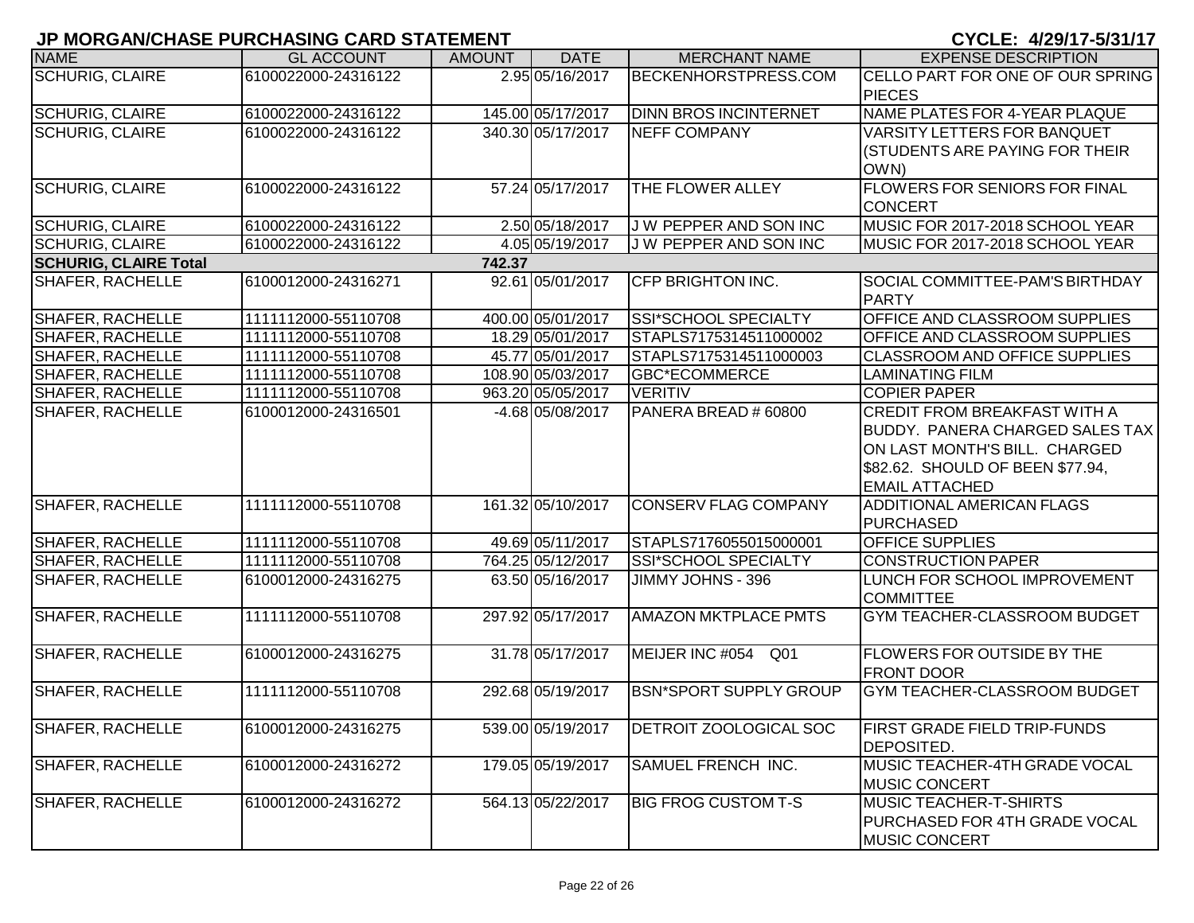|                              | <u>U MUNOANULIAJE I UNUIAJINO UAND JIATEMENT</u> |               |                   |                               | V I VLL. ₩∠JI I I "JIJ II I I           |
|------------------------------|--------------------------------------------------|---------------|-------------------|-------------------------------|-----------------------------------------|
| <b>NAME</b>                  | <b>GL ACCOUNT</b>                                | <b>AMOUNT</b> | <b>DATE</b>       | <b>MERCHANT NAME</b>          | <b>EXPENSE DESCRIPTION</b>              |
| <b>SCHURIG, CLAIRE</b>       | 6100022000-24316122                              |               | 2.95 05/16/2017   | <b>BECKENHORSTPRESS.COM</b>   | <b>CELLO PART FOR ONE OF OUR SPRING</b> |
|                              |                                                  |               |                   |                               | <b>PIECES</b>                           |
| <b>SCHURIG, CLAIRE</b>       | 6100022000-24316122                              |               | 145.00 05/17/2017 | <b>DINN BROS INCINTERNET</b>  | NAME PLATES FOR 4-YEAR PLAQUE           |
| <b>SCHURIG, CLAIRE</b>       | 6100022000-24316122                              |               | 340.30 05/17/2017 | <b>NEFF COMPANY</b>           | <b>VARSITY LETTERS FOR BANQUET</b>      |
|                              |                                                  |               |                   |                               | (STUDENTS ARE PAYING FOR THEIR          |
|                              |                                                  |               |                   |                               | OWN)                                    |
| <b>SCHURIG, CLAIRE</b>       | 6100022000-24316122                              |               | 57.24 05/17/2017  | THE FLOWER ALLEY              | <b>FLOWERS FOR SENIORS FOR FINAL</b>    |
|                              |                                                  |               |                   |                               | <b>CONCERT</b>                          |
| <b>SCHURIG, CLAIRE</b>       | 6100022000-24316122                              |               | 2.50 05/18/2017   | J W PEPPER AND SON INC        | MUSIC FOR 2017-2018 SCHOOL YEAR         |
| <b>SCHURIG, CLAIRE</b>       | 6100022000-24316122                              |               | 4.05 05/19/2017   | J W PEPPER AND SON INC        | MUSIC FOR 2017-2018 SCHOOL YEAR         |
| <b>SCHURIG, CLAIRE Total</b> |                                                  | 742.37        |                   |                               |                                         |
| <b>SHAFER, RACHELLE</b>      | 6100012000-24316271                              |               | 92.61 05/01/2017  | <b>CFP BRIGHTON INC.</b>      | SOCIAL COMMITTEE-PAM'S BIRTHDAY         |
|                              |                                                  |               |                   |                               | <b>IPARTY</b>                           |
| <b>SHAFER, RACHELLE</b>      | 1111112000-55110708                              |               | 400.00 05/01/2017 | <b>SSI*SCHOOL SPECIALTY</b>   | <b>OFFICE AND CLASSROOM SUPPLIES</b>    |
| <b>SHAFER, RACHELLE</b>      | 1111112000-55110708                              |               | 18.29 05/01/2017  | STAPLS7175314511000002        | <b>OFFICE AND CLASSROOM SUPPLIES</b>    |
| <b>SHAFER, RACHELLE</b>      | 1111112000-55110708                              |               | 45.77 05/01/2017  | STAPLS7175314511000003        | <b>CLASSROOM AND OFFICE SUPPLIES</b>    |
| <b>SHAFER, RACHELLE</b>      | 1111112000-55110708                              |               | 108.90 05/03/2017 | <b>GBC*ECOMMERCE</b>          | <b>LAMINATING FILM</b>                  |
| <b>SHAFER, RACHELLE</b>      | 1111112000-55110708                              |               | 963.20 05/05/2017 | <b>VERITIV</b>                | <b>COPIER PAPER</b>                     |
| SHAFER, RACHELLE             | 6100012000-24316501                              |               | -4.68 05/08/2017  | PANERA BREAD # 60800          | <b>CREDIT FROM BREAKFAST WITH A</b>     |
|                              |                                                  |               |                   |                               | BUDDY. PANERA CHARGED SALES TAX         |
|                              |                                                  |               |                   |                               | ON LAST MONTH'S BILL. CHARGED           |
|                              |                                                  |               |                   |                               | \$82.62. SHOULD OF BEEN \$77.94,        |
|                              |                                                  |               |                   |                               | <b>EMAIL ATTACHED</b>                   |
| SHAFER, RACHELLE             | 1111112000-55110708                              |               | 161.32 05/10/2017 | <b>CONSERV FLAG COMPANY</b>   | <b>ADDITIONAL AMERICAN FLAGS</b>        |
|                              |                                                  |               |                   |                               | <b>PURCHASED</b>                        |
| SHAFER, RACHELLE             | 1111112000-55110708                              |               | 49.69 05/11/2017  | STAPLS7176055015000001        | <b>OFFICE SUPPLIES</b>                  |
| <b>SHAFER, RACHELLE</b>      | 1111112000-55110708                              |               | 764.25 05/12/2017 | <b>SSI*SCHOOL SPECIALTY</b>   | <b>CONSTRUCTION PAPER</b>               |
| <b>SHAFER, RACHELLE</b>      | 6100012000-24316275                              |               | 63.50 05/16/2017  | JIMMY JOHNS - 396             | LUNCH FOR SCHOOL IMPROVEMENT            |
|                              |                                                  |               |                   |                               | <b>COMMITTEE</b>                        |
| <b>SHAFER, RACHELLE</b>      | 1111112000-55110708                              |               | 297.92 05/17/2017 | <b>AMAZON MKTPLACE PMTS</b>   | <b>GYM TEACHER-CLASSROOM BUDGET</b>     |
|                              |                                                  |               |                   |                               |                                         |
| <b>SHAFER, RACHELLE</b>      | 6100012000-24316275                              |               | 31.78 05/17/2017  | MEIJER INC #054<br>Q01        | <b>FLOWERS FOR OUTSIDE BY THE</b>       |
|                              |                                                  |               |                   |                               | <b>FRONT DOOR</b>                       |
| SHAFER, RACHELLE             | 1111112000-55110708                              |               | 292.68 05/19/2017 | <b>BSN*SPORT SUPPLY GROUP</b> | <b>IGYM TEACHER-CLASSROOM BUDGET</b>    |
|                              |                                                  |               |                   |                               |                                         |
| SHAFER, RACHELLE             | 6100012000-24316275                              |               | 539.00 05/19/2017 | DETROIT ZOOLOGICAL SOC        | <b>FIRST GRADE FIELD TRIP-FUNDS</b>     |
|                              |                                                  |               |                   |                               | <b>DEPOSITED.</b>                       |
| SHAFER, RACHELLE             | 6100012000-24316272                              |               | 179.05 05/19/2017 | <b>SAMUEL FRENCH INC.</b>     | MUSIC TEACHER-4TH GRADE VOCAL           |
|                              |                                                  |               |                   |                               | <b>MUSIC CONCERT</b>                    |
| SHAFER, RACHELLE             | 6100012000-24316272                              |               | 564.13 05/22/2017 | <b>BIG FROG CUSTOM T-S</b>    | <b>MUSIC TEACHER-T-SHIRTS</b>           |
|                              |                                                  |               |                   |                               | <b>PURCHASED FOR 4TH GRADE VOCAL</b>    |
|                              |                                                  |               |                   |                               | <b>MUSIC CONCERT</b>                    |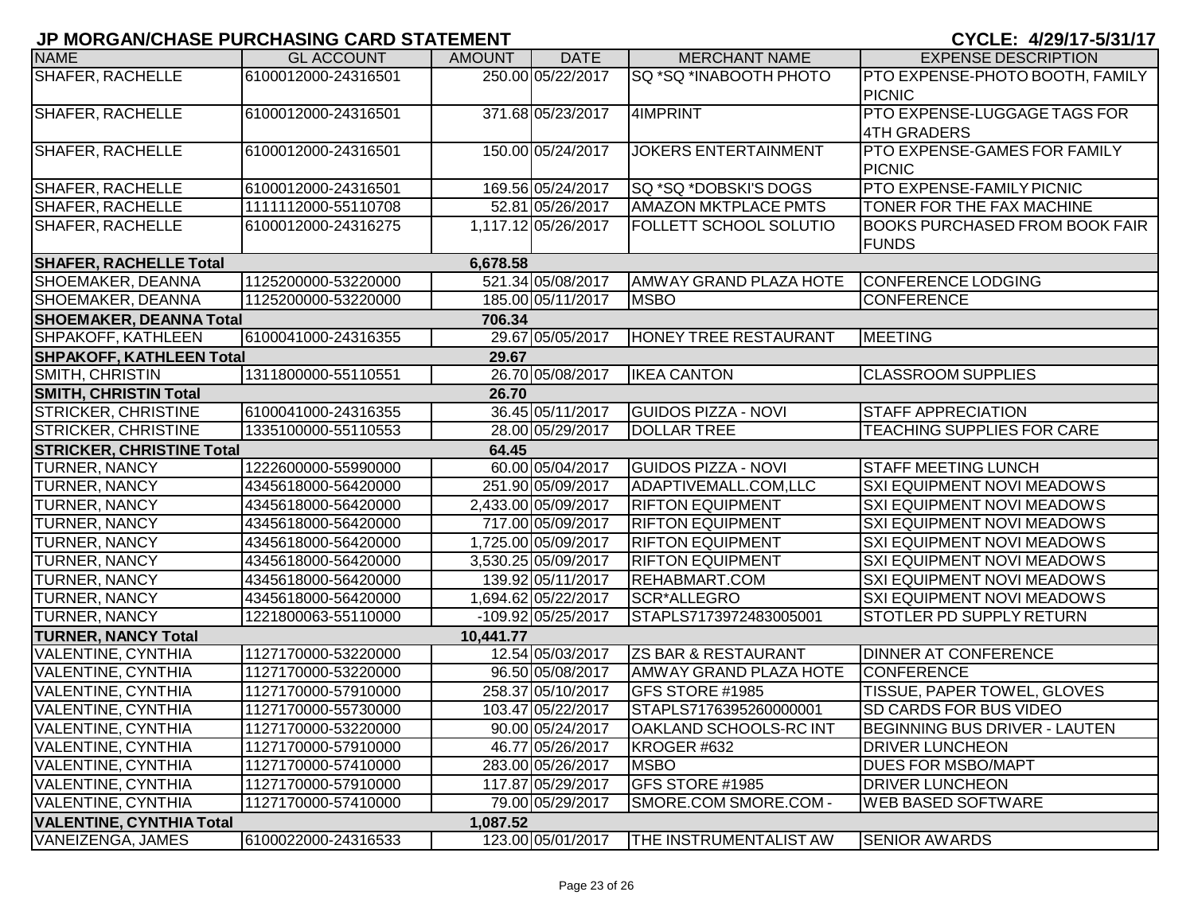| <b>NAME</b>                      | <b>GL ACCOUNT</b>   | <b>AMOUNT</b> | <b>DATE</b>         | <b>MERCHANT NAME</b>           | <b>EXPENSE DESCRIPTION</b>            |
|----------------------------------|---------------------|---------------|---------------------|--------------------------------|---------------------------------------|
| <b>SHAFER, RACHELLE</b>          | 6100012000-24316501 |               | 250.00 05/22/2017   | SQ *SQ *INABOOTH PHOTO         | PTO EXPENSE-PHOTO BOOTH, FAMILY       |
|                                  |                     |               |                     |                                | PICNIC                                |
| <b>SHAFER, RACHELLE</b>          | 6100012000-24316501 |               | 371.68 05/23/2017   | 4IMPRINT                       | <b>PTO EXPENSE-LUGGAGE TAGS FOR</b>   |
|                                  |                     |               |                     |                                | 4TH GRADERS                           |
| <b>SHAFER, RACHELLE</b>          | 6100012000-24316501 |               | 150.00 05/24/2017   | <b>JOKERS ENTERTAINMENT</b>    | <b>PTO EXPENSE-GAMES FOR FAMILY</b>   |
|                                  |                     |               |                     |                                | <b>PICNIC</b>                         |
| <b>SHAFER, RACHELLE</b>          | 6100012000-24316501 |               | 169.56 05/24/2017   | SQ *SQ *DOBSKI'S DOGS          | <b>PTO EXPENSE-FAMILY PICNIC</b>      |
| <b>SHAFER, RACHELLE</b>          | 1111112000-55110708 |               | 52.81 05/26/2017    | <b>AMAZON MKTPLACE PMTS</b>    | TONER FOR THE FAX MACHINE             |
| <b>SHAFER, RACHELLE</b>          | 6100012000-24316275 |               | 1,117.12 05/26/2017 | FOLLETT SCHOOL SOLUTIO         | <b>BOOKS PURCHASED FROM BOOK FAIR</b> |
|                                  |                     |               |                     |                                | <b>FUNDS</b>                          |
| <b>SHAFER, RACHELLE Total</b>    |                     | 6,678.58      |                     |                                |                                       |
| SHOEMAKER, DEANNA                | 1125200000-53220000 |               | 521.34 05/08/2017   | <b>AMWAY GRAND PLAZA HOTE</b>  | CONFERENCE LODGING                    |
| SHOEMAKER, DEANNA                | 1125200000-53220000 |               | 185.00 05/11/2017   | <b>MSBO</b>                    | <b>CONFERENCE</b>                     |
| <b>SHOEMAKER, DEANNA Total</b>   |                     | 706.34        |                     |                                |                                       |
| SHPAKOFF, KATHLEEN               | 6100041000-24316355 |               | 29.67 05/05/2017    | <b>HONEY TREE RESTAURANT</b>   | <b>MEETING</b>                        |
| <b>SHPAKOFF, KATHLEEN Total</b>  |                     | 29.67         |                     |                                |                                       |
| SMITH, CHRISTIN                  | 1311800000-55110551 |               | 26.70 05/08/2017    | <b>IKEA CANTON</b>             | <b>CLASSROOM SUPPLIES</b>             |
| <b>SMITH, CHRISTIN Total</b>     |                     | 26.70         |                     |                                |                                       |
| <b>STRICKER, CHRISTINE</b>       | 6100041000-24316355 |               | 36.45 05/11/2017    | <b>GUIDOS PIZZA - NOVI</b>     | <b>STAFF APPRECIATION</b>             |
| <b>STRICKER, CHRISTINE</b>       | 1335100000-55110553 |               | 28.00 05/29/2017    | <b>DOLLAR TREE</b>             | <b>TEACHING SUPPLIES FOR CARE</b>     |
| <b>STRICKER, CHRISTINE Total</b> |                     | 64.45         |                     |                                |                                       |
| <b>TURNER, NANCY</b>             | 1222600000-55990000 |               | 60.00 05/04/2017    | <b>GUIDOS PIZZA - NOVI</b>     | <b>STAFF MEETING LUNCH</b>            |
| <b>TURNER, NANCY</b>             | 4345618000-56420000 |               | 251.90 05/09/2017   | ADAPTIVEMALL.COM,LLC           | <b>SXI EQUIPMENT NOVI MEADOWS</b>     |
| <b>TURNER, NANCY</b>             | 4345618000-56420000 |               | 2,433.00 05/09/2017 | <b>RIFTON EQUIPMENT</b>        | <b>SXI EQUIPMENT NOVI MEADOWS</b>     |
| <b>TURNER, NANCY</b>             | 4345618000-56420000 |               | 717.00 05/09/2017   | <b>RIFTON EQUIPMENT</b>        | <b>SXI EQUIPMENT NOVI MEADOWS</b>     |
| <b>TURNER, NANCY</b>             | 4345618000-56420000 |               | 1,725.00 05/09/2017 | <b>RIFTON EQUIPMENT</b>        | <b>SXI EQUIPMENT NOVI MEADOWS</b>     |
| <b>TURNER, NANCY</b>             | 4345618000-56420000 |               | 3,530.25 05/09/2017 | <b>RIFTON EQUIPMENT</b>        | <b>SXI EQUIPMENT NOVI MEADOWS</b>     |
| <b>TURNER, NANCY</b>             | 4345618000-56420000 |               | 139.92 05/11/2017   | REHABMART.COM                  | <b>SXI EQUIPMENT NOVI MEADOWS</b>     |
| <b>TURNER, NANCY</b>             | 4345618000-56420000 |               | 1,694.62 05/22/2017 | SCR*ALLEGRO                    | <b>SXI EQUIPMENT NOVI MEADOWS</b>     |
| <b>TURNER, NANCY</b>             | 1221800063-55110000 |               | -109.92 05/25/2017  | STAPLS7173972483005001         | <b>STOTLER PD SUPPLY RETURN</b>       |
| <b>TURNER, NANCY Total</b>       |                     | 10,441.77     |                     |                                |                                       |
| <b>VALENTINE, CYNTHIA</b>        | 1127170000-53220000 |               | 12.54 05/03/2017    | <b>ZS BAR &amp; RESTAURANT</b> | <b>DINNER AT CONFERENCE</b>           |
| <b>VALENTINE, CYNTHIA</b>        | 1127170000-53220000 |               | 96.50 05/08/2017    | <b>AMWAY GRAND PLAZA HOTE</b>  | <b>CONFERENCE</b>                     |
| VALENTINE, CYNTHIA               | 1127170000-57910000 |               | 258.37 05/10/2017   | GFS STORE #1985                | <b>TISSUE, PAPER TOWEL, GLOVES</b>    |
| <b>VALENTINE, CYNTHIA</b>        | 1127170000-55730000 |               | 103.47 05/22/2017   | STAPLS7176395260000001         | <b>SD CARDS FOR BUS VIDEO</b>         |
| VALENTINE, CYNTHIA               | 1127170000-53220000 |               | 90.00 05/24/2017    | <b>OAKLAND SCHOOLS-RC INT</b>  | BEGINNING BUS DRIVER - LAUTEN         |
| VALENTINE, CYNTHIA               | 1127170000-57910000 |               | 46.77 05/26/2017    | KROGER #632                    | <b>DRIVER LUNCHEON</b>                |
| <b>VALENTINE, CYNTHIA</b>        | 1127170000-57410000 |               | 283.00 05/26/2017   | <b>MSBO</b>                    | <b>DUES FOR MSBO/MAPT</b>             |
| VALENTINE, CYNTHIA               | 1127170000-57910000 |               | 117.87 05/29/2017   | GFS STORE #1985                | <b>DRIVER LUNCHEON</b>                |
| <b>VALENTINE, CYNTHIA</b>        | 1127170000-57410000 |               | 79.00 05/29/2017    | SMORE.COM SMORE.COM -          | <b>WEB BASED SOFTWARE</b>             |
| <b>VALENTINE, CYNTHIA Total</b>  |                     | 1,087.52      |                     |                                |                                       |
| VANEIZENGA, JAMES                | 6100022000-24316533 |               | 123.00 05/01/2017   | <b>THE INSTRUMENTALIST AW</b>  | <b>SENIOR AWARDS</b>                  |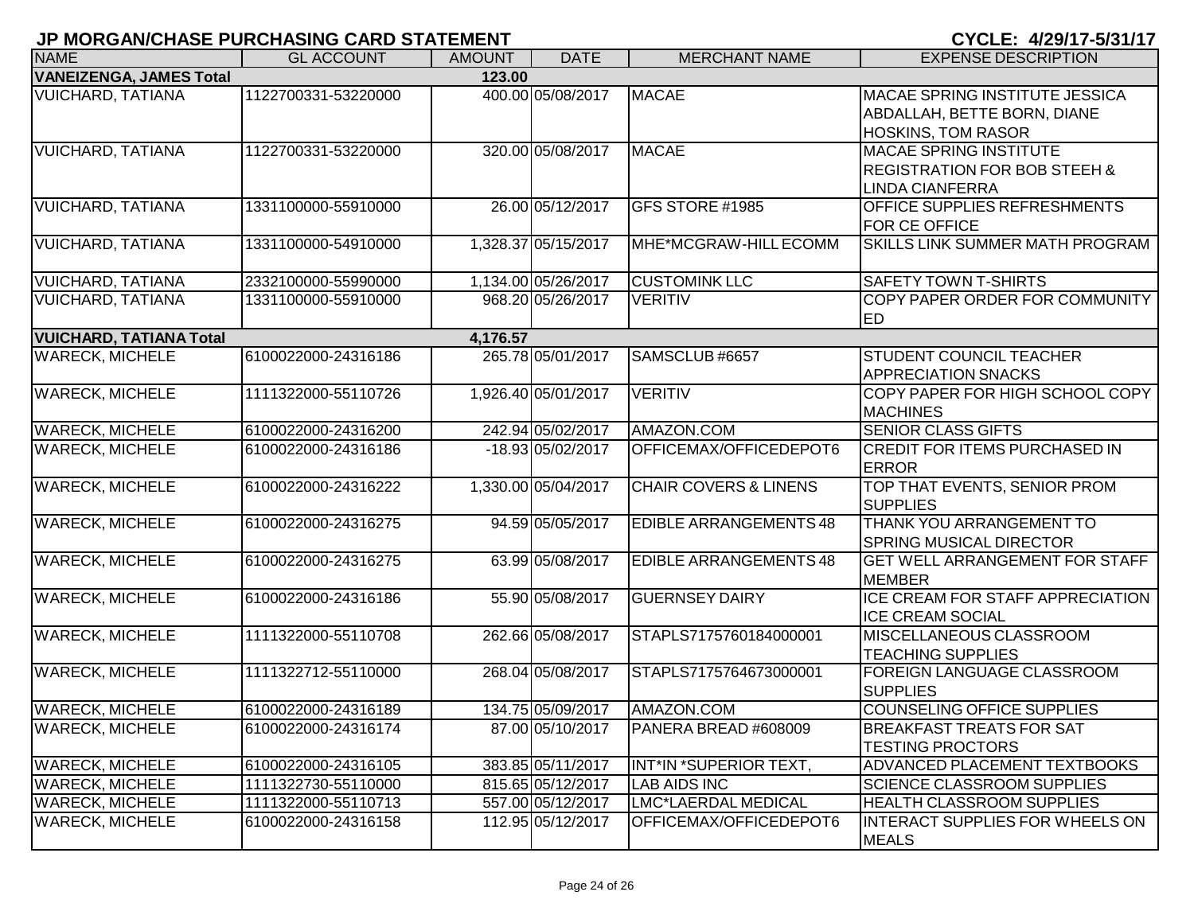| CYCLE: 4/29/17-5/31/17 |  |  |  |  |
|------------------------|--|--|--|--|
|------------------------|--|--|--|--|

| JP MURGAN/UNASE PURUNASING UARD STATEMENT<br>UIULE: 4/29/11-0/31/11 |                     |               |                     |                                  |                                                                                                    |  |  |
|---------------------------------------------------------------------|---------------------|---------------|---------------------|----------------------------------|----------------------------------------------------------------------------------------------------|--|--|
| <b>NAME</b>                                                         | <b>GL ACCOUNT</b>   | <b>AMOUNT</b> | <b>DATE</b>         | <b>MERCHANT NAME</b>             | <b>EXPENSE DESCRIPTION</b>                                                                         |  |  |
| <b>VANEIZENGA, JAMES Total</b>                                      |                     | 123.00        |                     |                                  |                                                                                                    |  |  |
| <b>VUICHARD, TATIANA</b>                                            | 1122700331-53220000 |               | 400.00 05/08/2017   | <b>MACAE</b>                     | <b>MACAE SPRING INSTITUTE JESSICA</b><br>ABDALLAH, BETTE BORN, DIANE<br><b>HOSKINS, TOM RASOR</b>  |  |  |
| <b>VUICHARD, TATIANA</b>                                            | 1122700331-53220000 |               | 320.00 05/08/2017   | <b>MACAE</b>                     | <b>MACAE SPRING INSTITUTE</b><br><b>REGISTRATION FOR BOB STEEH &amp;</b><br><b>LINDA CIANFERRA</b> |  |  |
| <b>VUICHARD, TATIANA</b>                                            | 1331100000-55910000 |               | 26.00 05/12/2017    | GFS STORE #1985                  | OFFICE SUPPLIES REFRESHMENTS<br><b>FOR CE OFFICE</b>                                               |  |  |
| <b>VUICHARD, TATIANA</b>                                            | 1331100000-54910000 |               | 1,328.37 05/15/2017 | MHE*MCGRAW-HILL ECOMM            | SKILLS LINK SUMMER MATH PROGRAM                                                                    |  |  |
| <b>VUICHARD, TATIANA</b>                                            | 2332100000-55990000 |               | 1,134.00 05/26/2017 | <b>CUSTOMINK LLC</b>             | <b>SAFETY TOWN T-SHIRTS</b>                                                                        |  |  |
| <b>VUICHARD, TATIANA</b>                                            | 1331100000-55910000 |               | 968.20 05/26/2017   | <b>VERITIV</b>                   | COPY PAPER ORDER FOR COMMUNITY<br><b>IED</b>                                                       |  |  |
| <b>VUICHARD, TATIANA Total</b>                                      |                     | 4,176.57      |                     |                                  |                                                                                                    |  |  |
| <b>WARECK, MICHELE</b>                                              | 6100022000-24316186 |               | 265.78 05/01/2017   | SAMSCLUB #6657                   | <b>STUDENT COUNCIL TEACHER</b><br><b>APPRECIATION SNACKS</b>                                       |  |  |
| <b>WARECK, MICHELE</b>                                              | 1111322000-55110726 |               | 1,926.40 05/01/2017 | <b>VERITIV</b>                   | COPY PAPER FOR HIGH SCHOOL COPY<br><b>MACHINES</b>                                                 |  |  |
| <b>WARECK, MICHELE</b>                                              | 6100022000-24316200 |               | 242.94 05/02/2017   | AMAZON.COM                       | <b>SENIOR CLASS GIFTS</b>                                                                          |  |  |
| <b>WARECK, MICHELE</b>                                              | 6100022000-24316186 |               | -18.93 05/02/2017   | OFFICEMAX/OFFICEDEPOT6           | <b>CREDIT FOR ITEMS PURCHASED IN</b><br><b>ERROR</b>                                               |  |  |
| <b>WARECK, MICHELE</b>                                              | 6100022000-24316222 |               | 1,330.00 05/04/2017 | <b>CHAIR COVERS &amp; LINENS</b> | TOP THAT EVENTS, SENIOR PROM<br><b>SUPPLIES</b>                                                    |  |  |
| <b>WARECK, MICHELE</b>                                              | 6100022000-24316275 |               | 94.59 05/05/2017    | <b>EDIBLE ARRANGEMENTS 48</b>    | THANK YOU ARRANGEMENT TO<br><b>SPRING MUSICAL DIRECTOR</b>                                         |  |  |
| <b>WARECK, MICHELE</b>                                              | 6100022000-24316275 |               | 63.99 05/08/2017    | <b>EDIBLE ARRANGEMENTS 48</b>    | <b>GET WELL ARRANGEMENT FOR STAFF</b><br><b>MEMBER</b>                                             |  |  |
| <b>WARECK, MICHELE</b>                                              | 6100022000-24316186 |               | 55.90 05/08/2017    | <b>GUERNSEY DAIRY</b>            | ICE CREAM FOR STAFF APPRECIATION<br><b>ICE CREAM SOCIAL</b>                                        |  |  |
| <b>WARECK, MICHELE</b>                                              | 1111322000-55110708 |               | 262.66 05/08/2017   | STAPLS7175760184000001           | MISCELLANEOUS CLASSROOM<br><b>TEACHING SUPPLIES</b>                                                |  |  |
| <b>WARECK, MICHELE</b>                                              | 1111322712-55110000 |               | 268.04 05/08/2017   | STAPLS7175764673000001           | FOREIGN LANGUAGE CLASSROOM<br><b>SUPPLIES</b>                                                      |  |  |
| <b>WARECK, MICHELE</b>                                              | 6100022000-24316189 |               | 134.75 05/09/2017   | AMAZON.COM                       | COUNSELING OFFICE SUPPLIES                                                                         |  |  |
| <b>WARECK, MICHELE</b>                                              | 6100022000-24316174 |               | 87.00 05/10/2017    | PANERA BREAD #608009             | <b>BREAKFAST TREATS FOR SAT</b><br><b>TESTING PROCTORS</b>                                         |  |  |
| <b>WARECK, MICHELE</b>                                              | 6100022000-24316105 |               | 383.85 05/11/2017   | INT*IN *SUPERIOR TEXT,           | <b>ADVANCED PLACEMENT TEXTBOOKS</b>                                                                |  |  |
| <b>WARECK, MICHELE</b>                                              | 1111322730-55110000 |               | 815.65 05/12/2017   | <b>LAB AIDS INC</b>              | <b>SCIENCE CLASSROOM SUPPLIES</b>                                                                  |  |  |
| <b>WARECK, MICHELE</b>                                              | 1111322000-55110713 |               | 557.00 05/12/2017   | LMC*LAERDAL MEDICAL              | <b>HEALTH CLASSROOM SUPPLIES</b>                                                                   |  |  |
| <b>WARECK, MICHELE</b>                                              | 6100022000-24316158 |               | 112.95 05/12/2017   | OFFICEMAX/OFFICEDEPOT6           | <b>INTERACT SUPPLIES FOR WHEELS ON</b><br><b>MEALS</b>                                             |  |  |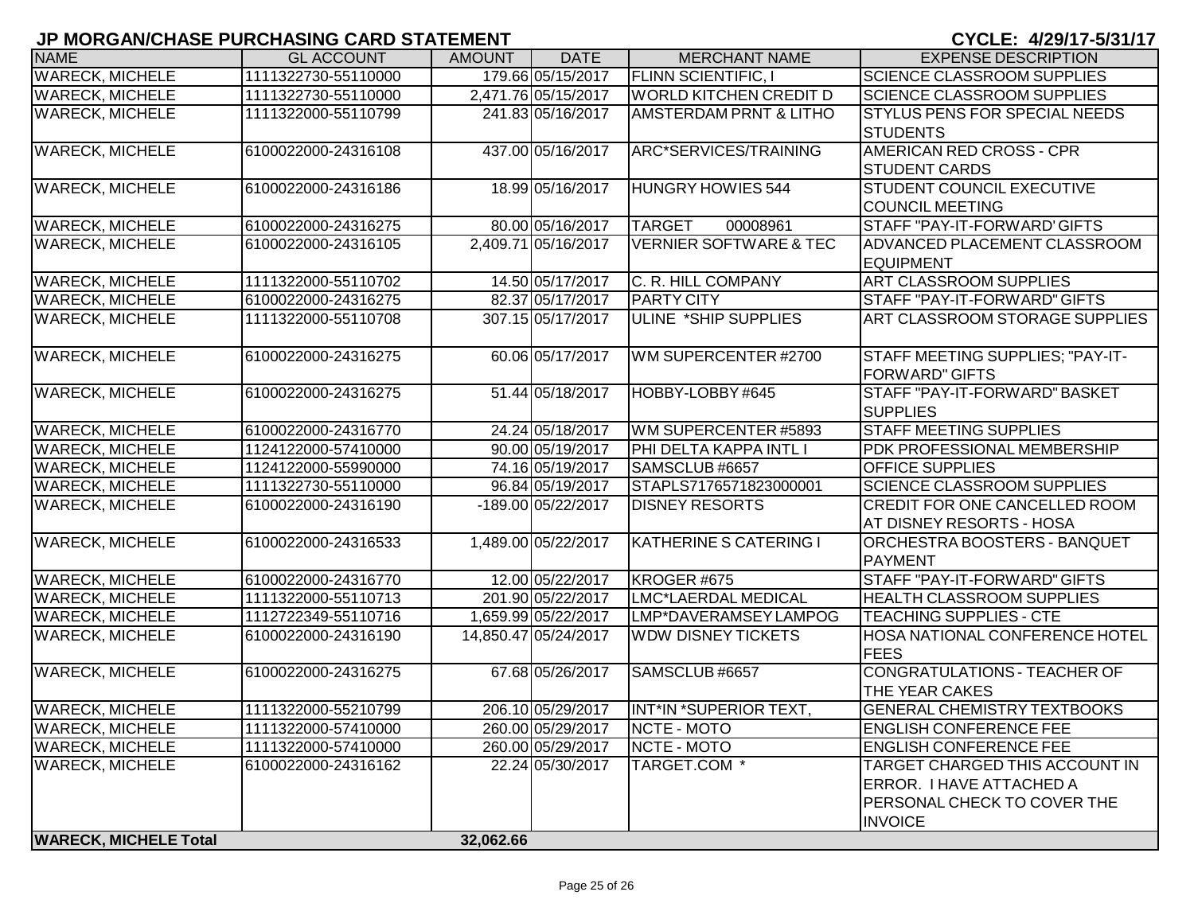| <b>NAME</b>                  | <b>GL ACCOUNT</b>   | <b>AMOUNT</b> | <b>DATE</b>          | <b>MERCHANT NAME</b>              | <b>EXPENSE DESCRIPTION</b>                           |
|------------------------------|---------------------|---------------|----------------------|-----------------------------------|------------------------------------------------------|
| <b>WARECK, MICHELE</b>       | 1111322730-55110000 |               | 179.66 05/15/2017    | <b>FLINN SCIENTIFIC, I</b>        | <b>SCIENCE CLASSROOM SUPPLIES</b>                    |
| <b>WARECK, MICHELE</b>       | 1111322730-55110000 |               | 2,471.76 05/15/2017  | <b>WORLD KITCHEN CREDIT D</b>     | <b>SCIENCE CLASSROOM SUPPLIES</b>                    |
| <b>WARECK, MICHELE</b>       | 1111322000-55110799 |               | 241.83 05/16/2017    | <b>AMSTERDAM PRNT &amp; LITHO</b> | <b>STYLUS PENS FOR SPECIAL NEEDS</b>                 |
|                              |                     |               |                      |                                   | <b>STUDENTS</b>                                      |
| <b>WARECK, MICHELE</b>       | 6100022000-24316108 |               | 437.00 05/16/2017    | ARC*SERVICES/TRAINING             | <b>AMERICAN RED CROSS - CPR</b>                      |
|                              |                     |               |                      |                                   | <b>STUDENT CARDS</b>                                 |
| <b>WARECK, MICHELE</b>       | 6100022000-24316186 |               | 18.99 05/16/2017     | <b>HUNGRY HOWIES 544</b>          | <b>STUDENT COUNCIL EXECUTIVE</b>                     |
|                              |                     |               |                      |                                   | <b>COUNCIL MEETING</b>                               |
| <b>WARECK, MICHELE</b>       | 6100022000-24316275 |               | 80.00 05/16/2017     | 00008961<br><b>TARGET</b>         | STAFF "PAY-IT-FORWARD' GIFTS                         |
| <b>WARECK, MICHELE</b>       | 6100022000-24316105 |               | 2,409.71 05/16/2017  | <b>VERNIER SOFTWARE &amp; TEC</b> | ADVANCED PLACEMENT CLASSROOM                         |
|                              |                     |               |                      |                                   | <b>EQUIPMENT</b>                                     |
| <b>WARECK, MICHELE</b>       | 1111322000-55110702 |               | 14.50 05/17/2017     | C. R. HILL COMPANY                | <b>ART CLASSROOM SUPPLIES</b>                        |
| <b>WARECK, MICHELE</b>       | 6100022000-24316275 |               | 82.37 05/17/2017     | <b>PARTY CITY</b>                 | <b>STAFF "PAY-IT-FORWARD" GIFTS</b>                  |
| <b>WARECK, MICHELE</b>       | 1111322000-55110708 |               | 307.15 05/17/2017    | ULINE *SHIP SUPPLIES              | <b>ART CLASSROOM STORAGE SUPPLIES</b>                |
|                              |                     |               |                      |                                   |                                                      |
| <b>WARECK, MICHELE</b>       | 6100022000-24316275 |               | 60.06 05/17/2017     | WM SUPERCENTER #2700              | STAFF MEETING SUPPLIES; "PAY-IT-                     |
|                              |                     |               |                      |                                   | <b>FORWARD" GIFTS</b>                                |
| <b>WARECK, MICHELE</b>       | 6100022000-24316275 |               | 51.44 05/18/2017     | HOBBY-LOBBY #645                  | STAFF "PAY-IT-FORWARD" BASKET                        |
|                              |                     |               |                      |                                   | <b>SUPPLIES</b>                                      |
| <b>WARECK, MICHELE</b>       | 6100022000-24316770 |               | 24.24 05/18/2017     | WM SUPERCENTER #5893              | <b>STAFF MEETING SUPPLIES</b>                        |
| <b>WARECK, MICHELE</b>       | 1124122000-57410000 |               | 90.00 05/19/2017     | PHI DELTA KAPPA INTL I            | <b>PDK PROFESSIONAL MEMBERSHIP</b>                   |
| <b>WARECK, MICHELE</b>       | 1124122000-55990000 |               | 74.16 05/19/2017     | SAMSCLUB #6657                    | <b>OFFICE SUPPLIES</b>                               |
| <b>WARECK, MICHELE</b>       | 1111322730-55110000 |               | 96.84 05/19/2017     | STAPLS7176571823000001            | <b>SCIENCE CLASSROOM SUPPLIES</b>                    |
| <b>WARECK, MICHELE</b>       | 6100022000-24316190 |               | -189.00 05/22/2017   | <b>DISNEY RESORTS</b>             | <b>CREDIT FOR ONE CANCELLED ROOM</b>                 |
|                              |                     |               |                      |                                   | <b>AT DISNEY RESORTS - HOSA</b>                      |
| <b>WARECK, MICHELE</b>       | 6100022000-24316533 |               | 1,489.00 05/22/2017  | <b>KATHERINE S CATERING I</b>     | ORCHESTRA BOOSTERS - BANQUET                         |
|                              |                     |               |                      |                                   | <b>PAYMENT</b>                                       |
| <b>WARECK, MICHELE</b>       | 6100022000-24316770 |               | 12.00 05/22/2017     | KROGER #675                       | STAFF "PAY-IT-FORWARD" GIFTS                         |
| <b>WARECK, MICHELE</b>       | 1111322000-55110713 |               | 201.90 05/22/2017    | LMC*LAERDAL MEDICAL               | <b>HEALTH CLASSROOM SUPPLIES</b>                     |
| <b>WARECK, MICHELE</b>       | 1112722349-55110716 |               | 1,659.99 05/22/2017  | LMP*DAVERAMSEY LAMPOG             | <b>TEACHING SUPPLIES - CTE</b>                       |
| <b>WARECK, MICHELE</b>       | 6100022000-24316190 |               | 14,850.47 05/24/2017 | <b>WDW DISNEY TICKETS</b>         | <b>HOSA NATIONAL CONFERENCE HOTEL</b><br><b>FEES</b> |
| <b>WARECK, MICHELE</b>       | 6100022000-24316275 |               | 67.68 05/26/2017     | SAMSCLUB #6657                    | CONGRATULATIONS - TEACHER OF                         |
|                              |                     |               |                      |                                   | <b>THE YEAR CAKES</b>                                |
| <b>WARECK, MICHELE</b>       | 1111322000-55210799 |               | 206.10 05/29/2017    | INT*IN *SUPERIOR TEXT,            | <b>GENERAL CHEMISTRY TEXTBOOKS</b>                   |
| <b>WARECK, MICHELE</b>       | 1111322000-57410000 |               | 260.00 05/29/2017    | NCTE - MOTO                       | <b>ENGLISH CONFERENCE FEE</b>                        |
| <b>WARECK, MICHELE</b>       | 1111322000-57410000 |               | 260.00 05/29/2017    | NCTE - MOTO                       | <b>ENGLISH CONFERENCE FEE</b>                        |
| <b>WARECK, MICHELE</b>       | 6100022000-24316162 |               | 22.24 05/30/2017     | TARGET.COM *                      | TARGET CHARGED THIS ACCOUNT IN                       |
|                              |                     |               |                      |                                   | <b>ERROR. I HAVE ATTACHED A</b>                      |
|                              |                     |               |                      |                                   | <b>PERSONAL CHECK TO COVER THE</b>                   |
|                              |                     |               |                      |                                   | <b>INVOICE</b>                                       |
| <b>WARECK, MICHELE Total</b> |                     | 32,062.66     |                      |                                   |                                                      |